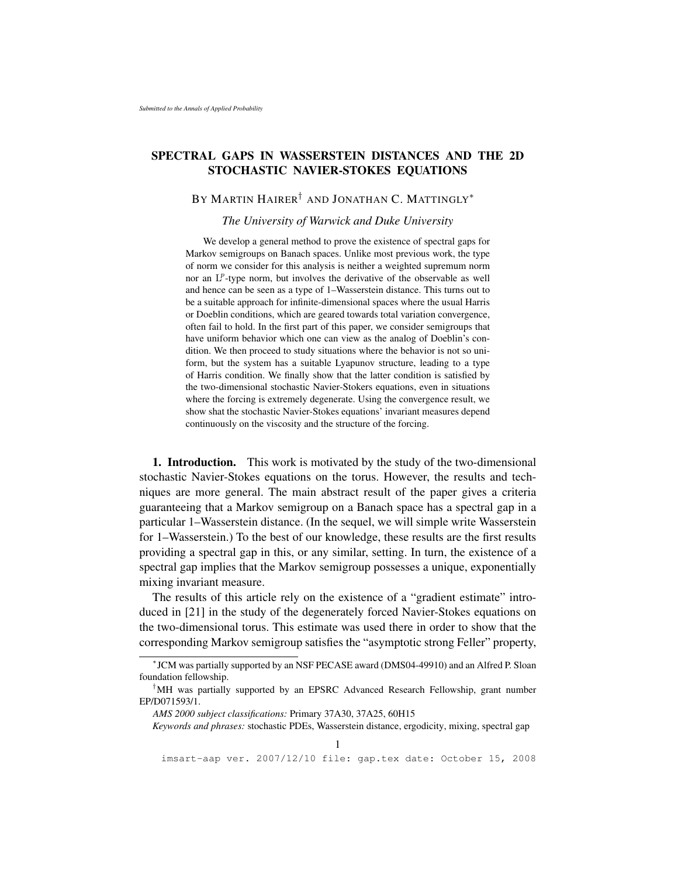# SPECTRAL GAPS IN WASSERSTEIN DISTANCES AND THE 2D STOCHASTIC NAVIER-STOKES EQUATIONS

## BY MARTIN HAIRER<sup>†</sup> AND JONATHAN C. MATTINGLY<sup>\*</sup>

### *The University of Warwick and Duke University*

We develop a general method to prove the existence of spectral gaps for Markov semigroups on Banach spaces. Unlike most previous work, the type of norm we consider for this analysis is neither a weighted supremum norm nor an  $L^p$ -type norm, but involves the derivative of the observable as well and hence can be seen as a type of 1–Wasserstein distance. This turns out to be a suitable approach for infinite-dimensional spaces where the usual Harris or Doeblin conditions, which are geared towards total variation convergence, often fail to hold. In the first part of this paper, we consider semigroups that have uniform behavior which one can view as the analog of Doeblin's condition. We then proceed to study situations where the behavior is not so uniform, but the system has a suitable Lyapunov structure, leading to a type of Harris condition. We finally show that the latter condition is satisfied by the two-dimensional stochastic Navier-Stokers equations, even in situations where the forcing is extremely degenerate. Using the convergence result, we show shat the stochastic Navier-Stokes equations' invariant measures depend continuously on the viscosity and the structure of the forcing.

1. Introduction. This work is motivated by the study of the two-dimensional stochastic Navier-Stokes equations on the torus. However, the results and techniques are more general. The main abstract result of the paper gives a criteria guaranteeing that a Markov semigroup on a Banach space has a spectral gap in a particular 1–Wasserstein distance. (In the sequel, we will simple write Wasserstein for 1–Wasserstein.) To the best of our knowledge, these results are the first results providing a spectral gap in this, or any similar, setting. In turn, the existence of a spectral gap implies that the Markov semigroup possesses a unique, exponentially mixing invariant measure.

The results of this article rely on the existence of a "gradient estimate" introduced in [21] in the study of the degenerately forced Navier-Stokes equations on the two-dimensional torus. This estimate was used there in order to show that the corresponding Markov semigroup satisfies the "asymptotic strong Feller" property,

*Keywords and phrases:* stochastic PDEs, Wasserstein distance, ergodicity, mixing, spectral gap

<sup>∗</sup> JCM was partially supported by an NSF PECASE award (DMS04-49910) and an Alfred P. Sloan foundation fellowship.

<sup>†</sup>MH was partially supported by an EPSRC Advanced Research Fellowship, grant number EP/D071593/1.

*AMS 2000 subject classifications:* Primary 37A30, 37A25, 60H15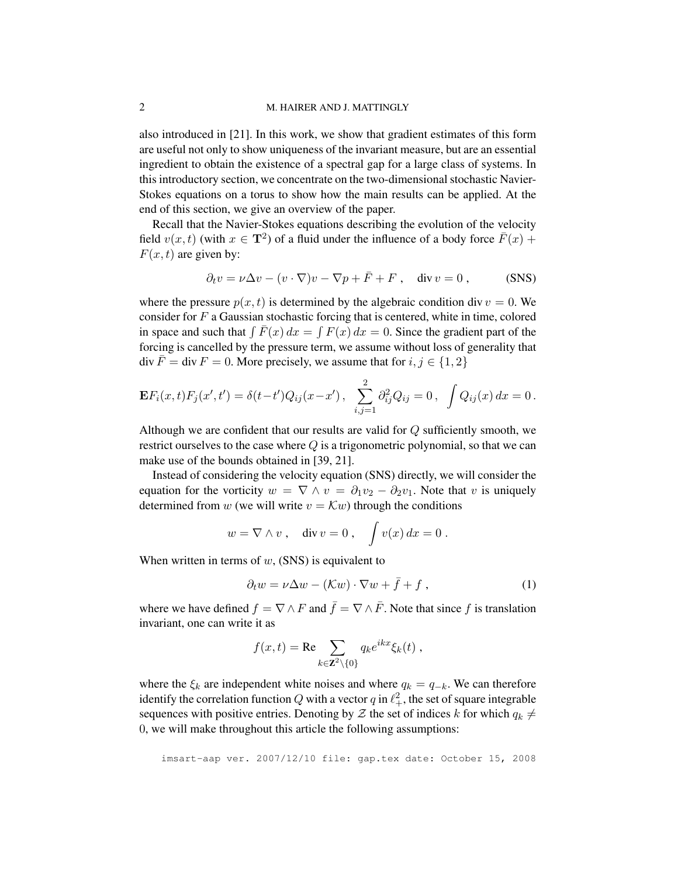### 2 M. HAIRER AND J. MATTINGLY

also introduced in [21]. In this work, we show that gradient estimates of this form are useful not only to show uniqueness of the invariant measure, but are an essential ingredient to obtain the existence of a spectral gap for a large class of systems. In this introductory section, we concentrate on the two-dimensional stochastic Navier-Stokes equations on a torus to show how the main results can be applied. At the end of this section, we give an overview of the paper.

Recall that the Navier-Stokes equations describing the evolution of the velocity field  $v(x, t)$  (with  $x \in \mathbf{T}^2$ ) of a fluid under the influence of a body force  $\overline{F}(x)$  +  $F(x, t)$  are given by:

$$
\partial_t v = \nu \Delta v - (v \cdot \nabla)v - \nabla p + \bar{F} + F , \quad \text{div } v = 0 , \quad (SNS)
$$

where the pressure  $p(x, t)$  is determined by the algebraic condition div  $v = 0$ . We consider for  $F$  a Gaussian stochastic forcing that is centered, white in time, colored in space and such that  $\int \overline{F}(x) dx = \int F(x) dx = 0$ . Since the gradient part of the forcing is cancelled by the pressure term, we assume without loss of generality that  $\text{div}\,\bar{F} = \text{div}\,F = 0.$  More precisely, we assume that for  $i, j \in \{1, 2\}$ 

$$
\mathbf{E}F_i(x,t)F_j(x',t') = \delta(t-t')Q_{ij}(x-x'), \sum_{i,j=1}^2 \partial_{ij}^2 Q_{ij} = 0, \int Q_{ij}(x) dx = 0.
$$

Although we are confident that our results are valid for  $Q$  sufficiently smooth, we restrict ourselves to the case where Q is a trigonometric polynomial, so that we can make use of the bounds obtained in [39, 21].

Instead of considering the velocity equation (SNS) directly, we will consider the equation for the vorticity  $w = \nabla \wedge v = \partial_1 v_2 - \partial_2 v_1$ . Note that v is uniquely determined from w (we will write  $v = \mathcal{K}w$ ) through the conditions

$$
w = \nabla \wedge v , \quad \text{div } v = 0 , \quad \int v(x) \, dx = 0 .
$$

When written in terms of  $w$ , (SNS) is equivalent to

$$
\partial_t w = \nu \Delta w - (\mathcal{K}w) \cdot \nabla w + \bar{f} + f \,, \tag{1}
$$

where we have defined  $f = \nabla \wedge F$  and  $\bar{f} = \nabla \wedge \bar{F}$ . Note that since f is translation invariant, one can write it as

$$
f(x,t) = \text{Re} \sum_{k \in \mathbf{Z}^2 \setminus \{0\}} q_k e^{ikx} \xi_k(t) ,
$$

where the  $\xi_k$  are independent white noises and where  $q_k = q_{-k}$ . We can therefore identify the correlation function  $Q$  with a vector  $q$  in  $\ell_+^2$ , the set of square integrable sequences with positive entries. Denoting by Z the set of indices k for which  $q_k \neq$ 0, we will make throughout this article the following assumptions: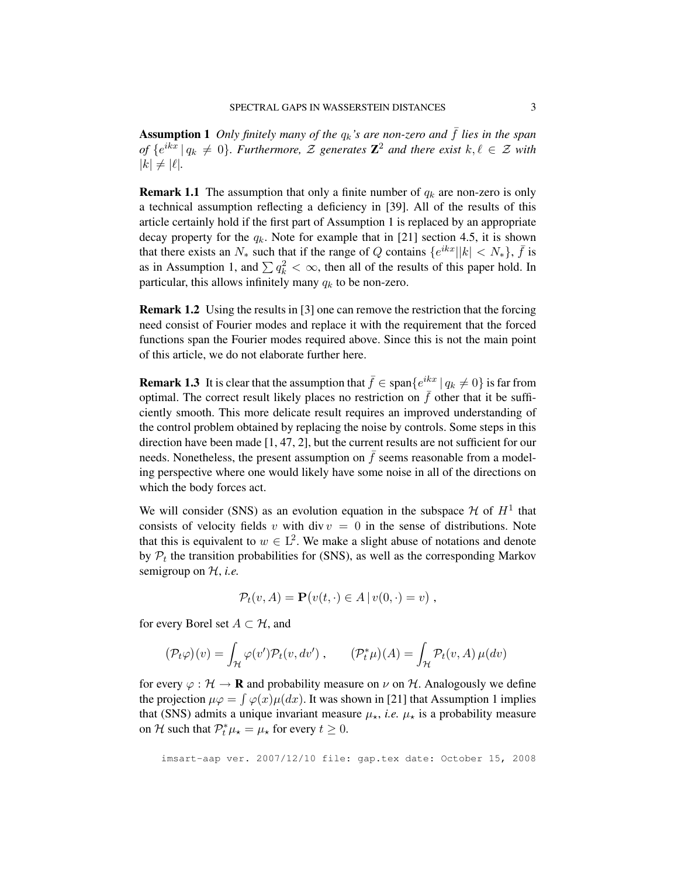**Assumption 1** *Only finitely many of the*  $q_k$ *'s are non-zero and*  $\bar{f}$  *lies in the span of*  $\{e^{ikx} \mid q_k \neq 0\}$ . Furthermore,  $\mathcal Z$  generates  $\mathbb Z^2$  and there exist  $k, \ell \in \mathcal Z$  with  $|k| \neq |\ell|.$ 

**Remark 1.1** The assumption that only a finite number of  $q_k$  are non-zero is only a technical assumption reflecting a deficiency in [39]. All of the results of this article certainly hold if the first part of Assumption 1 is replaced by an appropriate decay property for the  $q_k$ . Note for example that in [21] section 4.5, it is shown that there exists an  $N_*$  such that if the range of Q contains  $\{e^{ikx} | |k| < N_*\}$ ,  $\bar{f}$  is as in Assumption 1, and  $\sum q_k^2 < \infty$ , then all of the results of this paper hold. In particular, this allows infinitely many  $q_k$  to be non-zero.

Remark 1.2 Using the results in [3] one can remove the restriction that the forcing need consist of Fourier modes and replace it with the requirement that the forced functions span the Fourier modes required above. Since this is not the main point of this article, we do not elaborate further here.

**Remark 1.3** It is clear that the assumption that  $\bar{f} \in \text{span}\{e^{ikx} \mid q_k \neq 0\}$  is far from optimal. The correct result likely places no restriction on  $\bar{f}$  other that it be sufficiently smooth. This more delicate result requires an improved understanding of the control problem obtained by replacing the noise by controls. Some steps in this direction have been made [1, 47, 2], but the current results are not sufficient for our needs. Nonetheless, the present assumption on  $\bar{f}$  seems reasonable from a modeling perspective where one would likely have some noise in all of the directions on which the body forces act.

We will consider (SNS) as an evolution equation in the subspace  $\mathcal H$  of  $H^1$  that consists of velocity fields v with div  $v = 0$  in the sense of distributions. Note that this is equivalent to  $w \in L^2$ . We make a slight abuse of notations and denote by  $P_t$  the transition probabilities for (SNS), as well as the corresponding Markov semigroup on H, *i.e.*

$$
\mathcal{P}_t(v, A) = \mathbf{P}(v(t, \cdot) \in A \,|\, v(0, \cdot) = v) ,
$$

for every Borel set  $A \subset \mathcal{H}$ , and

$$
(\mathcal{P}_t\varphi)(v) = \int_{\mathcal{H}} \varphi(v') \mathcal{P}_t(v, dv') , \qquad (\mathcal{P}_t^*\mu)(A) = \int_{\mathcal{H}} \mathcal{P}_t(v, A) \,\mu(dv)
$$

for every  $\varphi : \mathcal{H} \to \mathbf{R}$  and probability measure on  $\nu$  on  $\mathcal{H}$ . Analogously we define the projection  $\mu\varphi = \int \varphi(x)\mu(dx)$ . It was shown in [21] that Assumption 1 implies that (SNS) admits a unique invariant measure  $\mu_{\star}$ , *i.e.*  $\mu_{\star}$  is a probability measure on H such that  $P_t^* \mu_* = \mu_*$  for every  $t \ge 0$ .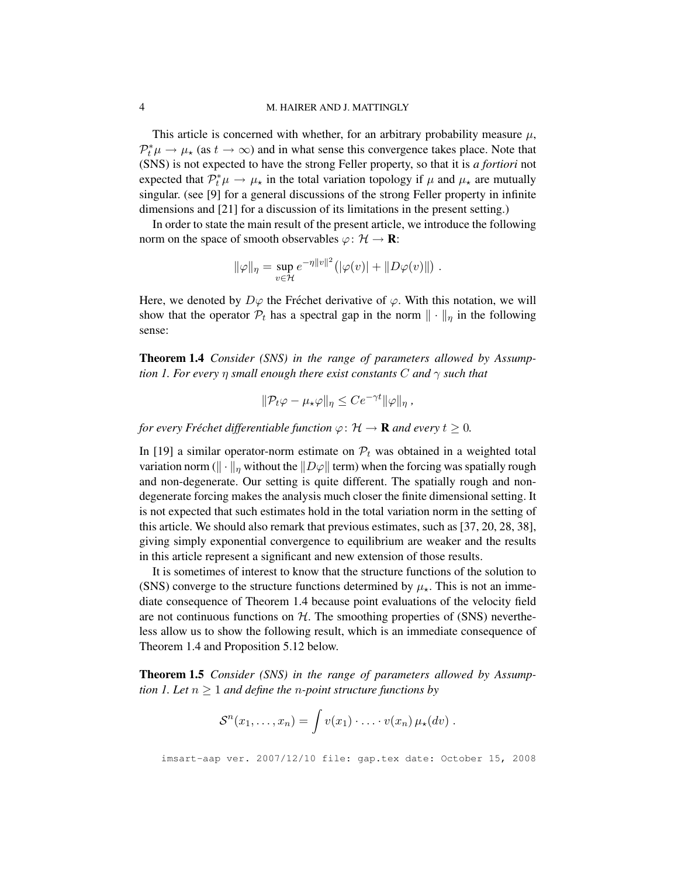### 4 M. HAIRER AND J. MATTINGLY

This article is concerned with whether, for an arbitrary probability measure  $\mu$ ,  $\mathcal{P}_t^*\mu \to \mu_\star$  (as  $t \to \infty$ ) and in what sense this convergence takes place. Note that (SNS) is not expected to have the strong Feller property, so that it is *a fortiori* not expected that  $\mathcal{P}_t^*\mu \to \mu_\star$  in the total variation topology if  $\mu$  and  $\mu_\star$  are mutually singular. (see [9] for a general discussions of the strong Feller property in infinite dimensions and [21] for a discussion of its limitations in the present setting.)

In order to state the main result of the present article, we introduce the following norm on the space of smooth observables  $\varphi \colon \mathcal{H} \to \mathbf{R}$ :

$$
\|\varphi\|_{\eta} = \sup_{v \in \mathcal{H}} e^{-\eta \|v\|^2} (|\varphi(v)| + \|D\varphi(v)\|) .
$$

Here, we denoted by  $D\varphi$  the Fréchet derivative of  $\varphi$ . With this notation, we will show that the operator  $\mathcal{P}_t$  has a spectral gap in the norm  $\|\cdot\|_{\eta}$  in the following sense:

Theorem 1.4 *Consider (SNS) in the range of parameters allowed by Assumption 1. For every* η *small enough there exist constants* C *and* γ *such that*

$$
\|\mathcal{P}_t\varphi-\mu_\star\varphi\|_\eta\leq Ce^{-\gamma t}\|\varphi\|_\eta,
$$

*for every Fréchet differentiable function*  $\varphi$ :  $\mathcal{H} \to \mathbf{R}$  *and every*  $t \geq 0$ *.* 

In [19] a similar operator-norm estimate on  $P_t$  was obtained in a weighted total variation norm ( $\|\cdot\|_{\eta}$  without the  $\|D\varphi\|$  term) when the forcing was spatially rough and non-degenerate. Our setting is quite different. The spatially rough and nondegenerate forcing makes the analysis much closer the finite dimensional setting. It is not expected that such estimates hold in the total variation norm in the setting of this article. We should also remark that previous estimates, such as [37, 20, 28, 38], giving simply exponential convergence to equilibrium are weaker and the results in this article represent a significant and new extension of those results.

It is sometimes of interest to know that the structure functions of the solution to (SNS) converge to the structure functions determined by  $\mu_{\star}$ . This is not an immediate consequence of Theorem 1.4 because point evaluations of the velocity field are not continuous functions on  $H$ . The smoothing properties of (SNS) nevertheless allow us to show the following result, which is an immediate consequence of Theorem 1.4 and Proposition 5.12 below.

Theorem 1.5 *Consider (SNS) in the range of parameters allowed by Assumption 1. Let*  $n \geq 1$  *and define the n-point structure functions by* 

$$
\mathcal{S}^n(x_1,\ldots,x_n)=\int v(x_1)\cdot\ldots\cdot v(x_n)\,\mu_{\star}(dv) .
$$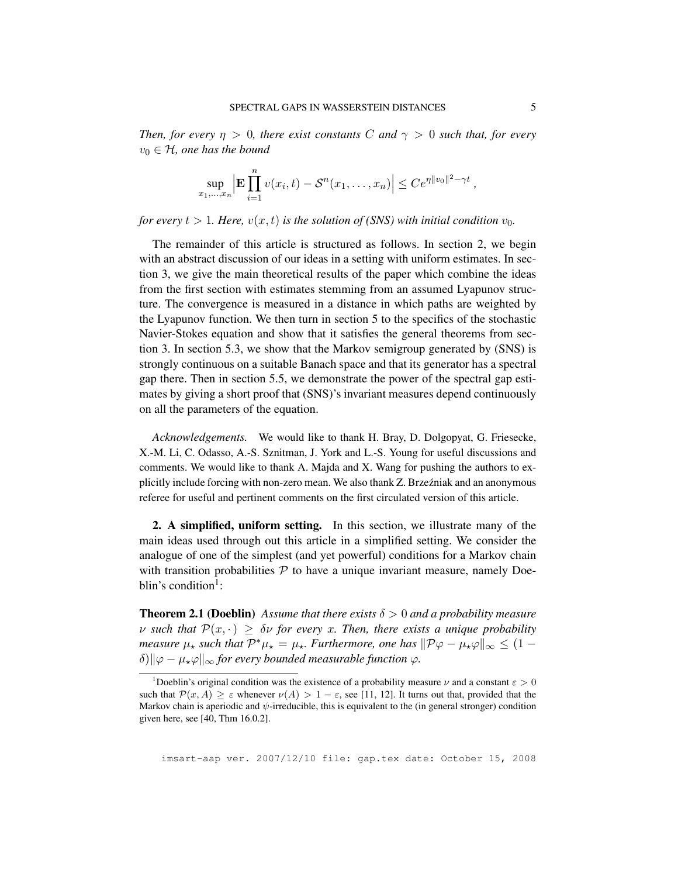*Then, for every*  $\eta > 0$ *, there exist constants* C *and*  $\gamma > 0$  *such that, for every*  $v_0 \in H$ , one has the bound

$$
\sup_{x_1, ..., x_n} \Big| \mathbf{E} \prod_{i=1}^n v(x_i, t) - \mathcal{S}^n(x_1, ..., x_n) \Big| \leq Ce^{\eta ||v_0||^2 - \gamma t},
$$

*for every*  $t > 1$ *. Here,*  $v(x, t)$  *is the solution of (SNS) with initial condition*  $v_0$ *.* 

The remainder of this article is structured as follows. In section 2, we begin with an abstract discussion of our ideas in a setting with uniform estimates. In section 3, we give the main theoretical results of the paper which combine the ideas from the first section with estimates stemming from an assumed Lyapunov structure. The convergence is measured in a distance in which paths are weighted by the Lyapunov function. We then turn in section 5 to the specifics of the stochastic Navier-Stokes equation and show that it satisfies the general theorems from section 3. In section 5.3, we show that the Markov semigroup generated by (SNS) is strongly continuous on a suitable Banach space and that its generator has a spectral gap there. Then in section 5.5, we demonstrate the power of the spectral gap estimates by giving a short proof that (SNS)'s invariant measures depend continuously on all the parameters of the equation.

*Acknowledgements.* We would like to thank H. Bray, D. Dolgopyat, G. Friesecke, X.-M. Li, C. Odasso, A.-S. Sznitman, J. York and L.-S. Young for useful discussions and comments. We would like to thank A. Majda and X. Wang for pushing the authors to explicitly include forcing with non-zero mean. We also thank Z. Brzeźniak and an anonymous referee for useful and pertinent comments on the first circulated version of this article.

2. A simplified, uniform setting. In this section, we illustrate many of the main ideas used through out this article in a simplified setting. We consider the analogue of one of the simplest (and yet powerful) conditions for a Markov chain with transition probabilities  $P$  to have a unique invariant measure, namely Doeblin's condition<sup>1</sup>:

**Theorem 2.1 (Doeblin)** Assume that there exists  $\delta > 0$  and a probability measure  $\nu$  *such that*  $\mathcal{P}(x, \cdot) \geq \delta \nu$  *for every x. Then, there exists a unique probability measure*  $\mu_{\star}$  *such that*  $\mathcal{P}^*\mu_{\star} = \mu_{\star}$ *. Furthermore, one has*  $\|\mathcal{P}\varphi - \mu_{\star}\varphi\|_{\infty} \leq (1 - \mu_{\star})$  $\delta$ ) $\|\varphi - \mu_{\star}\varphi\|_{\infty}$  *for every bounded measurable function*  $\varphi$ *.* 

<sup>&</sup>lt;sup>1</sup>Doeblin's original condition was the existence of a probability measure  $\nu$  and a constant  $\varepsilon > 0$ such that  $\mathcal{P}(x, A) \geq \varepsilon$  whenever  $\nu(A) > 1 - \varepsilon$ , see [11, 12]. It turns out that, provided that the Markov chain is aperiodic and  $\psi$ -irreducible, this is equivalent to the (in general stronger) condition given here, see [40, Thm 16.0.2].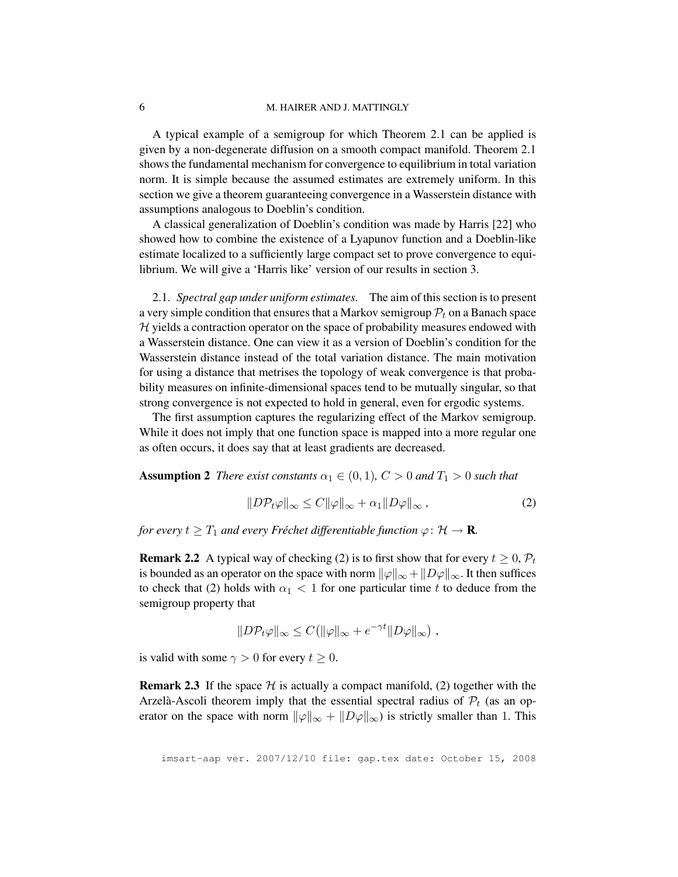### 6 M. HAIRER AND J. MATTINGLY

A typical example of a semigroup for which Theorem 2.1 can be applied is given by a non-degenerate diffusion on a smooth compact manifold. Theorem 2.1 shows the fundamental mechanism for convergence to equilibrium in total variation norm. It is simple because the assumed estimates are extremely uniform. In this section we give a theorem guaranteeing convergence in a Wasserstein distance with assumptions analogous to Doeblin's condition.

A classical generalization of Doeblin's condition was made by Harris [22] who showed how to combine the existence of a Lyapunov function and a Doeblin-like estimate localized to a sufficiently large compact set to prove convergence to equilibrium. We will give a 'Harris like' version of our results in section 3.

2.1. *Spectral gap under uniform estimates.* The aim of this section is to present a very simple condition that ensures that a Markov semigroup  $\mathcal{P}_t$  on a Banach space  $H$  yields a contraction operator on the space of probability measures endowed with a Wasserstein distance. One can view it as a version of Doeblin's condition for the Wasserstein distance instead of the total variation distance. The main motivation for using a distance that metrises the topology of weak convergence is that probability measures on infinite-dimensional spaces tend to be mutually singular, so that strong convergence is not expected to hold in general, even for ergodic systems.

The first assumption captures the regularizing effect of the Markov semigroup. While it does not imply that one function space is mapped into a more regular one as often occurs, it does say that at least gradients are decreased.

**Assumption 2** *There exist constants*  $\alpha_1 \in (0,1)$ *,*  $C > 0$  *and*  $T_1 > 0$  *such that* 

$$
||D\mathcal{P}_t\varphi||_{\infty} \le C||\varphi||_{\infty} + \alpha_1 ||D\varphi||_{\infty}, \qquad (2)
$$

*for every*  $t \geq T_1$  *and every Fréchet differentiable function*  $\varphi : \mathcal{H} \to \mathbf{R}$ *.* 

**Remark 2.2** A typical way of checking (2) is to first show that for every  $t \geq 0$ ,  $\mathcal{P}_t$ is bounded as an operator on the space with norm  $\|\varphi\|_{\infty} + \|D\varphi\|_{\infty}$ . It then suffices to check that (2) holds with  $\alpha_1$  < 1 for one particular time t to deduce from the semigroup property that

$$
||D\mathcal{P}_t\varphi||_{\infty} \leq C(||\varphi||_{\infty} + e^{-\gamma t}||D\varphi||_{\infty}),
$$

is valid with some  $\gamma > 0$  for every  $t \geq 0$ .

**Remark 2.3** If the space  $H$  is actually a compact manifold, (2) together with the Arzelà-Ascoli theorem imply that the essential spectral radius of  $P_t$  (as an operator on the space with norm  $\|\varphi\|_{\infty} + \|D\varphi\|_{\infty}$  is strictly smaller than 1. This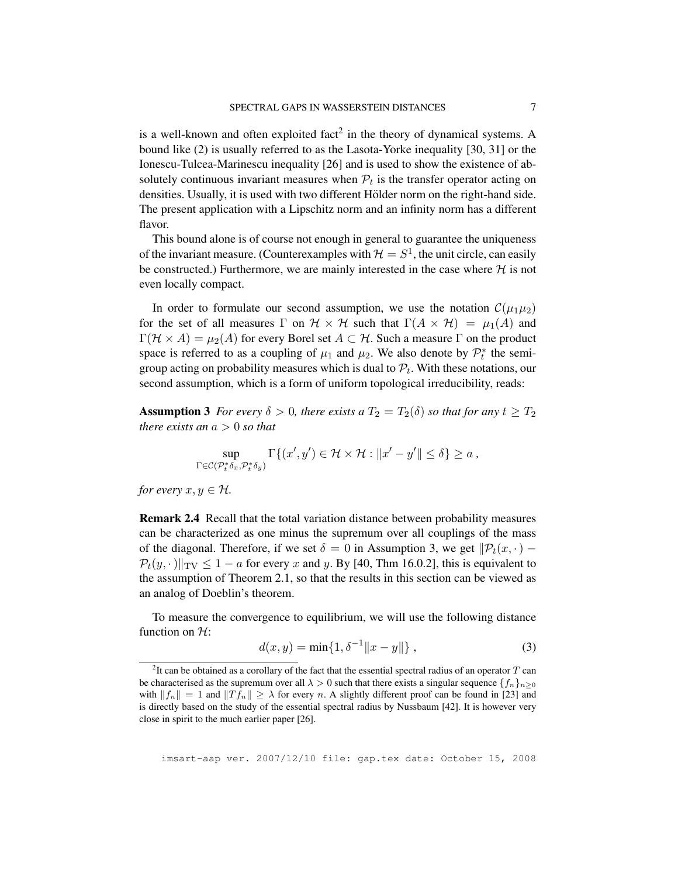is a well-known and often exploited fact<sup>2</sup> in the theory of dynamical systems. A bound like (2) is usually referred to as the Lasota-Yorke inequality [30, 31] or the Ionescu-Tulcea-Marinescu inequality [26] and is used to show the existence of absolutely continuous invariant measures when  $P_t$  is the transfer operator acting on densities. Usually, it is used with two different Hölder norm on the right-hand side. The present application with a Lipschitz norm and an infinity norm has a different flavor.

This bound alone is of course not enough in general to guarantee the uniqueness of the invariant measure. (Counterexamples with  $\mathcal{H} = S^1$ , the unit circle, can easily be constructed.) Furthermore, we are mainly interested in the case where  $H$  is not even locally compact.

In order to formulate our second assumption, we use the notation  $\mathcal{C}(\mu_1\mu_2)$ for the set of all measures  $\Gamma$  on  $\mathcal{H} \times \mathcal{H}$  such that  $\Gamma(A \times \mathcal{H}) = \mu_1(A)$  and  $\Gamma(\mathcal{H} \times A) = \mu_2(A)$  for every Borel set  $A \subset \mathcal{H}$ . Such a measure  $\Gamma$  on the product space is referred to as a coupling of  $\mu_1$  and  $\mu_2$ . We also denote by  $\mathcal{P}_t^*$  the semigroup acting on probability measures which is dual to  $\mathcal{P}_t$ . With these notations, our second assumption, which is a form of uniform topological irreducibility, reads:

**Assumption 3** *For every*  $\delta > 0$ *, there exists a*  $T_2 = T_2(\delta)$  *so that for any*  $t \geq T_2$ *there exists an*  $a > 0$  *so that* 

$$
\sup_{\Gamma\in\mathcal{C}(\mathcal{P}^*_t\delta_x,\mathcal{P}^*_t\delta_y)}\Gamma\{(x',y')\in\mathcal{H}\times\mathcal{H}: \|x'-y'\|\leq\delta\}\geq a\ ,
$$

*for every*  $x, y \in \mathcal{H}$ *.* 

Remark 2.4 Recall that the total variation distance between probability measures can be characterized as one minus the supremum over all couplings of the mass of the diagonal. Therefore, if we set  $\delta = 0$  in Assumption 3, we get  $\|\mathcal{P}_t(x, \cdot) \mathcal{P}_t(y, \cdot)$   $\Vert_{\text{TV}} \leq 1 - a$  for every x and y. By [40, Thm 16.0.2], this is equivalent to the assumption of Theorem 2.1, so that the results in this section can be viewed as an analog of Doeblin's theorem.

To measure the convergence to equilibrium, we will use the following distance function on  $H$ :

$$
d(x, y) = \min\{1, \delta^{-1} ||x - y||\},
$$
\n(3)

<sup>&</sup>lt;sup>2</sup>It can be obtained as a corollary of the fact that the essential spectral radius of an operator  $T$  can be characterised as the supremum over all  $\lambda > 0$  such that there exists a singular sequence  $\{f_n\}_{n>0}$ with  $||f_n|| = 1$  and  $||T f_n|| \ge \lambda$  for every n. A slightly different proof can be found in [23] and is directly based on the study of the essential spectral radius by Nussbaum [42]. It is however very close in spirit to the much earlier paper [26].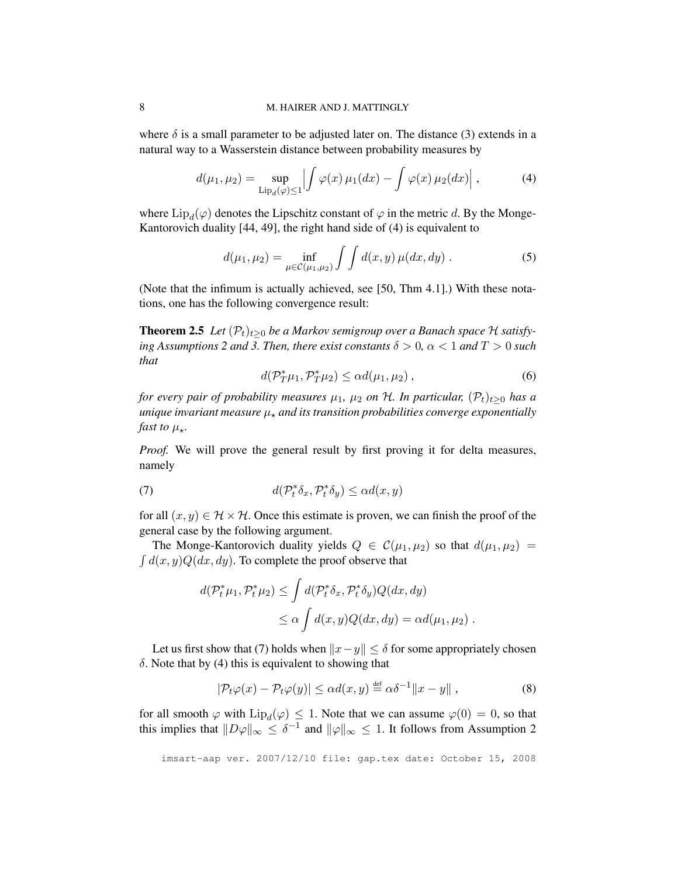where  $\delta$  is a small parameter to be adjusted later on. The distance (3) extends in a natural way to a Wasserstein distance between probability measures by

$$
d(\mu_1, \mu_2) = \sup_{\text{Lip}_d(\varphi) \le 1} \left| \int \varphi(x) \, \mu_1(dx) - \int \varphi(x) \, \mu_2(dx) \right|, \tag{4}
$$

where  $\text{Lip}_d(\varphi)$  denotes the Lipschitz constant of  $\varphi$  in the metric d. By the Monge-Kantorovich duality [44, 49], the right hand side of (4) is equivalent to

$$
d(\mu_1, \mu_2) = \inf_{\mu \in \mathcal{C}(\mu_1, \mu_2)} \int \int d(x, y) \,\mu(dx, dy) \,.
$$
 (5)

(Note that the infimum is actually achieved, see [50, Thm 4.1].) With these notations, one has the following convergence result:

**Theorem 2.5** *Let*  $(\mathcal{P}_t)_{t>0}$  *be a Markov semigroup over a Banach space*  $\mathcal H$  *satisfying Assumptions 2 and 3. Then, there exist constants*  $\delta > 0$ ,  $\alpha < 1$  *and*  $T > 0$  *such that*

$$
d(\mathcal{P}_T^*\mu_1, \mathcal{P}_T^*\mu_2) \le \alpha d(\mu_1, \mu_2), \qquad (6)
$$

*for every pair of probability measures*  $\mu_1$ ,  $\mu_2$  *on*  $\mathcal{H}$ *. In particular,*  $(\mathcal{P}_t)_{t>0}$  *has a unique invariant measure*  $\mu_{\star}$  *and its transition probabilities converge exponentially fast to*  $\mu_{\star}$ *.* 

*Proof.* We will prove the general result by first proving it for delta measures, namely

(7) 
$$
d(\mathcal{P}_t^*\delta_x,\mathcal{P}_t^*\delta_y) \le \alpha d(x,y)
$$

for all  $(x, y) \in \mathcal{H} \times \mathcal{H}$ . Once this estimate is proven, we can finish the proof of the general case by the following argument.

The Monge-Kantorovich duality yields  $Q \in \mathcal{C}(\mu_1, \mu_2)$  so that  $d(\mu_1, \mu_2)$  =  $\int d(x, y) Q(dx, dy)$ . To complete the proof observe that

$$
d(\mathcal{P}_t^*\mu_1, \mathcal{P}_t^*\mu_2) \le \int d(\mathcal{P}_t^*\delta_x, \mathcal{P}_t^*\delta_y) Q(dx, dy)
$$
  

$$
\le \alpha \int d(x, y) Q(dx, dy) = \alpha d(\mu_1, \mu_2).
$$

Let us first show that (7) holds when  $||x-y|| \leq \delta$  for some appropriately chosen  $\delta$ . Note that by (4) this is equivalent to showing that

$$
|\mathcal{P}_t\varphi(x) - \mathcal{P}_t\varphi(y)| \le \alpha d(x, y) \stackrel{\text{def}}{=} \alpha \delta^{-1} ||x - y||,
$$
 (8)

for all smooth  $\varphi$  with  $\text{Lip}_d(\varphi) \leq 1$ . Note that we can assume  $\varphi(0) = 0$ , so that this implies that  $||D\varphi||_{\infty} \leq \delta^{-1}$  and  $||\varphi||_{\infty} \leq 1$ . It follows from Assumption 2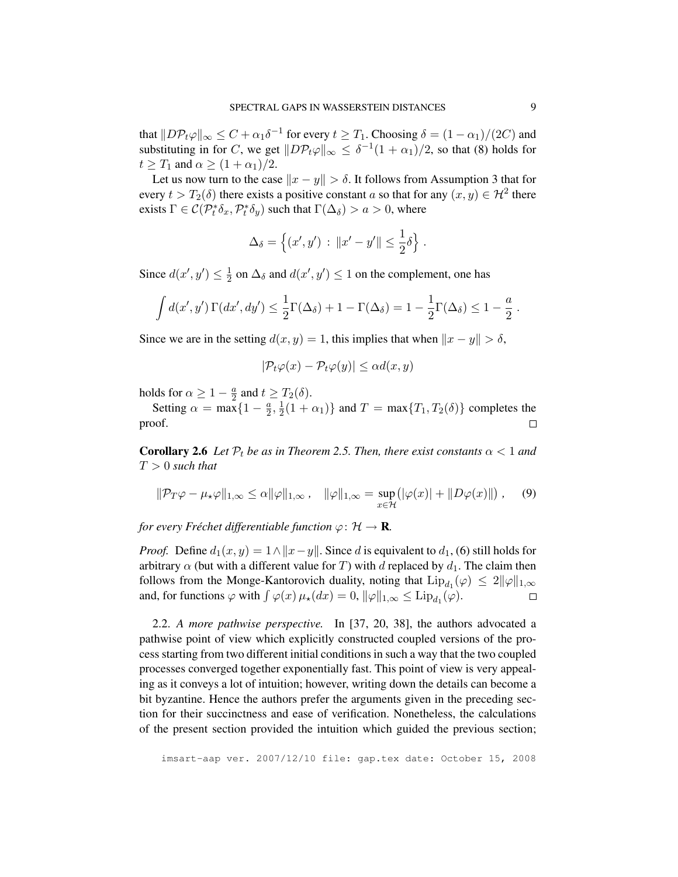that  $||D\mathcal{P}_t\varphi||_{\infty} \leq C + \alpha_1 \delta^{-1}$  for every  $t \geq T_1$ . Choosing  $\delta = (1 - \alpha_1)/(2C)$  and substituting in for C, we get  $||D\mathcal{P}_t\varphi||_{\infty} \leq \delta^{-1}(1+\alpha_1)/2$ , so that (8) holds for  $t \geq T_1$  and  $\alpha \geq (1 + \alpha_1)/2$ .

Let us now turn to the case  $||x - y|| > \delta$ . It follows from Assumption 3 that for every  $t > T_2(\delta)$  there exists a positive constant a so that for any  $(x, y) \in \mathcal{H}^2$  there exists  $\Gamma \in \mathcal{C}(\mathcal{P}_t^* \delta_x, \mathcal{P}_t^* \delta_y)$  such that  $\Gamma(\Delta_\delta) > a > 0$ , where

$$
\Delta_{\delta} = \left\{ (x', y') : ||x' - y'|| \le \frac{1}{2}\delta \right\}.
$$

Since  $d(x', y') \leq \frac{1}{2}$  $\frac{1}{2}$  on  $\Delta_{\delta}$  and  $d(x', y') \leq 1$  on the complement, one has

$$
\int d(x',y') \Gamma(dx',dy') \leq \frac{1}{2} \Gamma(\Delta_{\delta}) + 1 - \Gamma(\Delta_{\delta}) = 1 - \frac{1}{2} \Gamma(\Delta_{\delta}) \leq 1 - \frac{a}{2}.
$$

Since we are in the setting  $d(x, y) = 1$ , this implies that when  $||x - y|| > \delta$ ,

$$
|\mathcal{P}_t\varphi(x) - \mathcal{P}_t\varphi(y)| \le \alpha d(x, y)
$$

holds for  $\alpha \geq 1 - \frac{a}{2}$  $\frac{a}{2}$  and  $t \geq T_2(\delta)$ .

Setting  $\alpha = \max\{1 - \frac{a}{2}\}$  $\frac{a}{2}, \frac{1}{2}$  $\frac{1}{2}(1+\alpha_1)$ } and  $T = \max\{T_1, T_2(\delta)\}\)$  completes the proof.  $\Box$ 

**Corollary 2.6** *Let*  $\mathcal{P}_t$  *be as in Theorem 2.5. Then, there exist constants*  $\alpha < 1$  *and* T > 0 *such that*

$$
\|\mathcal{P}_T\varphi - \mu_\star\varphi\|_{1,\infty} \le \alpha \|\varphi\|_{1,\infty}, \quad \|\varphi\|_{1,\infty} = \sup_{x \in \mathcal{H}} \left( |\varphi(x)| + \|D\varphi(x)\| \right), \quad (9)
$$

*for every Fréchet differentiable function*  $\varphi$ :  $\mathcal{H} \rightarrow \mathbf{R}$ *.* 

*Proof.* Define  $d_1(x, y) = 1 \land ||x - y||$ . Since d is equivalent to  $d_1$ , (6) still holds for arbitrary  $\alpha$  (but with a different value for T) with d replaced by  $d_1$ . The claim then follows from the Monge-Kantorovich duality, noting that  $\text{Lip}_{d_1}(\varphi) \leq 2||\varphi||_{1,\infty}$ and, for functions  $\varphi$  with  $\int \varphi(x) \mu_{\star}(dx) = 0$ ,  $\|\varphi\|_{1,\infty} \leq \text{Lip}_{d_1}(\varphi)$ .  $\Box$ 

2.2. *A more pathwise perspective.* In [37, 20, 38], the authors advocated a pathwise point of view which explicitly constructed coupled versions of the process starting from two different initial conditions in such a way that the two coupled processes converged together exponentially fast. This point of view is very appealing as it conveys a lot of intuition; however, writing down the details can become a bit byzantine. Hence the authors prefer the arguments given in the preceding section for their succinctness and ease of verification. Nonetheless, the calculations of the present section provided the intuition which guided the previous section;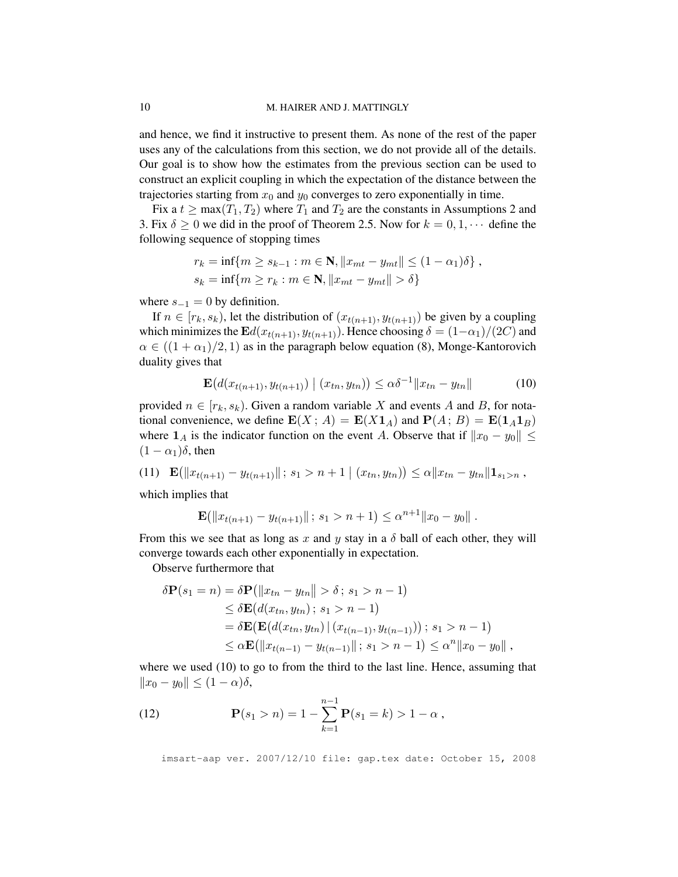### 10 M. HAIRER AND J. MATTINGLY

and hence, we find it instructive to present them. As none of the rest of the paper uses any of the calculations from this section, we do not provide all of the details. Our goal is to show how the estimates from the previous section can be used to construct an explicit coupling in which the expectation of the distance between the trajectories starting from  $x_0$  and  $y_0$  converges to zero exponentially in time.

Fix a  $t \ge \max(T_1, T_2)$  where  $T_1$  and  $T_2$  are the constants in Assumptions 2 and 3. Fix  $\delta \geq 0$  we did in the proof of Theorem 2.5. Now for  $k = 0, 1, \cdots$  define the following sequence of stopping times

$$
r_k = \inf\{m \ge s_{k-1} : m \in \mathbf{N}, ||x_{mt} - y_{mt}|| \le (1 - \alpha_1)\delta\},\,
$$
  

$$
s_k = \inf\{m \ge r_k : m \in \mathbf{N}, ||x_{mt} - y_{mt}|| > \delta\}
$$

where  $s_{-1} = 0$  by definition.

If  $n \in [r_k, s_k)$ , let the distribution of  $(x_{t(n+1)}, y_{t(n+1)})$  be given by a coupling which minimizes the  $\mathbf{E}d(x_{t(n+1)}, y_{t(n+1)})$ . Hence choosing  $\delta = (1-\alpha_1)/(2C)$  and  $\alpha \in ((1 + \alpha_1)/2, 1)$  as in the paragraph below equation (8), Monge-Kantorovich duality gives that

$$
\mathbf{E}\big(d(x_{t(n+1)}, y_{t(n+1)}) \mid (x_{tn}, y_{tn})\big) \le \alpha \delta^{-1} \|x_{tn} - y_{tn}\| \tag{10}
$$

provided  $n \in [r_k, s_k)$ . Given a random variable X and events A and B, for notational convenience, we define  $\mathbf{E}(X; A) = \mathbf{E}(X\mathbf{1}_A)$  and  $\mathbf{P}(A; B) = \mathbf{E}(\mathbf{1}_A\mathbf{1}_B)$ where  $1_A$  is the indicator function on the event A. Observe that if  $||x_0 - y_0|| \le$  $(1 - \alpha_1)\delta$ , then

(11) 
$$
\mathbf{E}(\|x_{t(n+1)} - y_{t(n+1)}\|; s_1 > n+1 | (x_{tn}, y_{tn})) \leq \alpha \|x_{tn} - y_{tn}\| \mathbf{1}_{s_1 > n}
$$

which implies that

$$
\mathbf{E}(\|x_{t(n+1)} - y_{t(n+1)}\|; s_1 > n+1) \leq \alpha^{n+1} \|x_0 - y_0\|.
$$

From this we see that as long as x and y stay in a  $\delta$  ball of each other, they will converge towards each other exponentially in expectation.

Observe furthermore that

$$
\delta \mathbf{P}(s_1 = n) = \delta \mathbf{P}(\|x_{tn} - y_{tn}\| > \delta; s_1 > n - 1)
$$
  
\n
$$
\leq \delta \mathbf{E}(d(x_{tn}, y_{tn}); s_1 > n - 1)
$$
  
\n
$$
= \delta \mathbf{E}(\mathbf{E}(d(x_{tn}, y_{tn}) | (x_{t(n-1)}, y_{t(n-1)})); s_1 > n - 1)
$$
  
\n
$$
\leq \alpha \mathbf{E}(\|x_{t(n-1)} - y_{t(n-1)}\|; s_1 > n - 1) \leq \alpha^n \|x_0 - y_0\|,
$$

where we used (10) to go to from the third to the last line. Hence, assuming that  $||x_0 - y_0|| \leq (1 - \alpha)\delta,$ 

(12) 
$$
\mathbf{P}(s_1 > n) = 1 - \sum_{k=1}^{n-1} \mathbf{P}(s_1 = k) > 1 - \alpha,
$$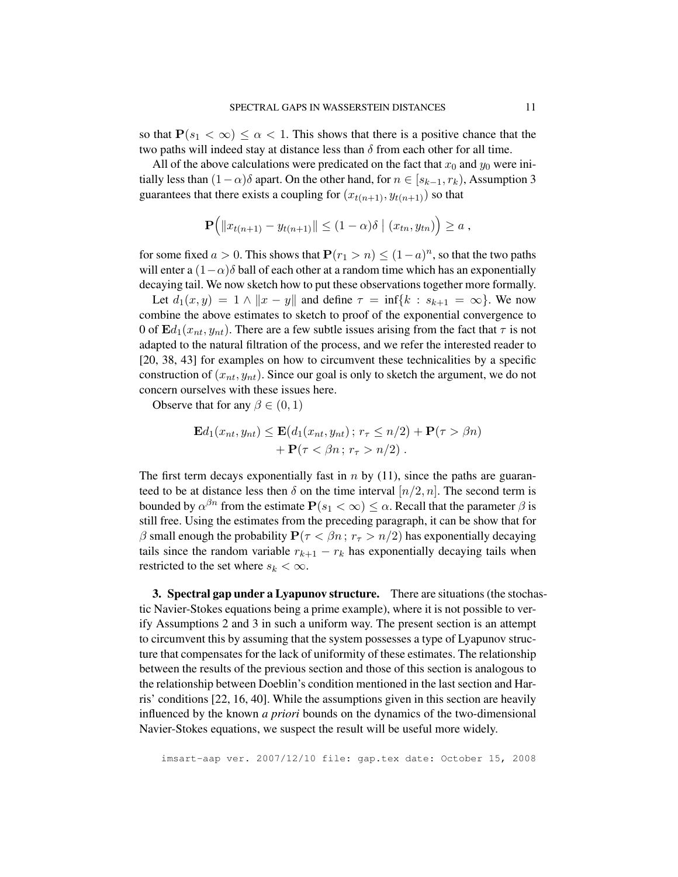so that  $P(s_1 < \infty) \leq \alpha < 1$ . This shows that there is a positive chance that the two paths will indeed stay at distance less than  $\delta$  from each other for all time.

All of the above calculations were predicated on the fact that  $x_0$  and  $y_0$  were initially less than  $(1-\alpha)\delta$  apart. On the other hand, for  $n \in [s_{k-1}, r_k)$ , Assumption 3 guarantees that there exists a coupling for  $(x_{t(n+1)}, y_{t(n+1)})$  so that

$$
\mathbf{P}\Big(\|x_{t(n+1)}-y_{t(n+1)}\|\leq (1-\alpha)\delta\mid (x_{tn},y_{tn})\Big)\geq a,
$$

for some fixed  $a > 0$ . This shows that  $P(r_1 > n) \le (1 - a)^n$ , so that the two paths will enter a  $(1-\alpha)\delta$  ball of each other at a random time which has an exponentially decaying tail. We now sketch how to put these observations together more formally.

Let  $d_1(x, y) = 1 \wedge ||x - y||$  and define  $\tau = \inf\{k : s_{k+1} = \infty\}$ . We now combine the above estimates to sketch to proof of the exponential convergence to 0 of  $\mathbf{E}d_1(x_{nt}, y_{nt})$ . There are a few subtle issues arising from the fact that  $\tau$  is not adapted to the natural filtration of the process, and we refer the interested reader to [20, 38, 43] for examples on how to circumvent these technicalities by a specific construction of  $(x_{nt}, y_{nt})$ . Since our goal is only to sketch the argument, we do not concern ourselves with these issues here.

Observe that for any  $\beta \in (0, 1)$ 

$$
\mathbf{E}d_1(x_{nt}, y_{nt}) \leq \mathbf{E}(d_1(x_{nt}, y_{nt}); r_\tau \leq n/2) + \mathbf{P}(\tau > \beta n) + \mathbf{P}(\tau < \beta n; r_\tau > n/2).
$$

The first term decays exponentially fast in n by  $(11)$ , since the paths are guaranteed to be at distance less then  $\delta$  on the time interval  $[n/2, n]$ . The second term is bounded by  $\alpha^{\beta n}$  from the estimate  $\mathbf{P}(s_1 < \infty) \leq \alpha$ . Recall that the parameter  $\beta$  is still free. Using the estimates from the preceding paragraph, it can be show that for β small enough the probability  $P(τ < βn; r<sub>τ</sub> > n/2)$  has exponentially decaying tails since the random variable  $r_{k+1} - r_k$  has exponentially decaying tails when restricted to the set where  $s_k < \infty$ .

3. Spectral gap under a Lyapunov structure. There are situations (the stochastic Navier-Stokes equations being a prime example), where it is not possible to verify Assumptions 2 and 3 in such a uniform way. The present section is an attempt to circumvent this by assuming that the system possesses a type of Lyapunov structure that compensates for the lack of uniformity of these estimates. The relationship between the results of the previous section and those of this section is analogous to the relationship between Doeblin's condition mentioned in the last section and Harris' conditions [22, 16, 40]. While the assumptions given in this section are heavily influenced by the known *a priori* bounds on the dynamics of the two-dimensional Navier-Stokes equations, we suspect the result will be useful more widely.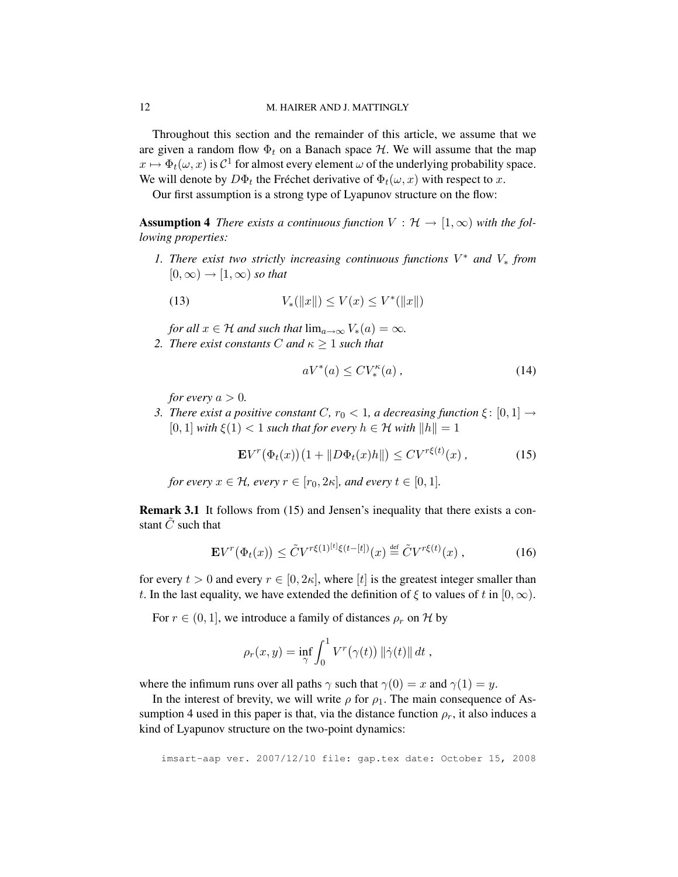Throughout this section and the remainder of this article, we assume that we are given a random flow  $\Phi_t$  on a Banach space  $\mathcal{H}$ . We will assume that the map  $x \mapsto \Phi_t(\omega, x)$  is  $C^1$  for almost every element  $\omega$  of the underlying probability space. We will denote by  $D\Phi_t$  the Fréchet derivative of  $\Phi_t(\omega, x)$  with respect to x.

Our first assumption is a strong type of Lyapunov structure on the flow:

**Assumption 4** *There exists a continuous function*  $V : \mathcal{H} \to [1, \infty)$  *with the following properties:*

*1. There exist two strictly increasing continuous functions* V <sup>∗</sup> *and* V<sup>∗</sup> *from*  $[0, \infty) \rightarrow [1, \infty)$  *so that* 

(13) 
$$
V_*(\|x\|) \le V(x) \le V^*(\|x\|)
$$

*for all*  $x \in \mathcal{H}$  *and such that*  $\lim_{a \to \infty} V_*(a) = \infty$ *. 2. There exist constants C and*  $\kappa \geq 1$  *such that* 

$$
aV^*(a) \le CV_*^{\kappa}(a) ,\qquad (14)
$$

*for every*  $a > 0$ *.* 

*3. There exist a positive constant* C,  $r_0 < 1$ , a decreasing function  $\xi : [0,1] \rightarrow$  $[0, 1]$  *with*  $\xi(1) < 1$  *such that for every*  $h \in \mathcal{H}$  *with*  $||h|| = 1$ 

$$
\mathbf{E}V^{r}(\Phi_t(x))(1+\|D\Phi_t(x)h\|) \le CV^{r\xi(t)}(x),\tag{15}
$$

*for every*  $x \in \mathcal{H}$ *, every*  $r \in [r_0, 2\kappa]$ *, and every*  $t \in [0, 1]$ *.* 

Remark 3.1 It follows from (15) and Jensen's inequality that there exists a constant  $\tilde{C}$  such that

$$
\mathbf{E}V^{r}(\Phi_t(x)) \leq \tilde{C}V^{r\xi(1)^{[t]}\xi(t-[t])}(x) \stackrel{\text{def}}{=} \tilde{C}V^{r\xi(t)}(x) ,\qquad (16)
$$

for every  $t > 0$  and every  $r \in [0, 2\kappa]$ , where  $[t]$  is the greatest integer smaller than t. In the last equality, we have extended the definition of  $\xi$  to values of t in  $[0, \infty)$ .

For  $r \in (0, 1]$ , we introduce a family of distances  $\rho_r$  on H by

$$
\rho_r(x,y) = \inf_{\gamma} \int_0^1 V^r(\gamma(t)) \|\dot{\gamma}(t)\| dt,
$$

where the infimum runs over all paths  $\gamma$  such that  $\gamma(0) = x$  and  $\gamma(1) = y$ .

In the interest of brevity, we will write  $\rho$  for  $\rho_1$ . The main consequence of Assumption 4 used in this paper is that, via the distance function  $\rho_r$ , it also induces a kind of Lyapunov structure on the two-point dynamics: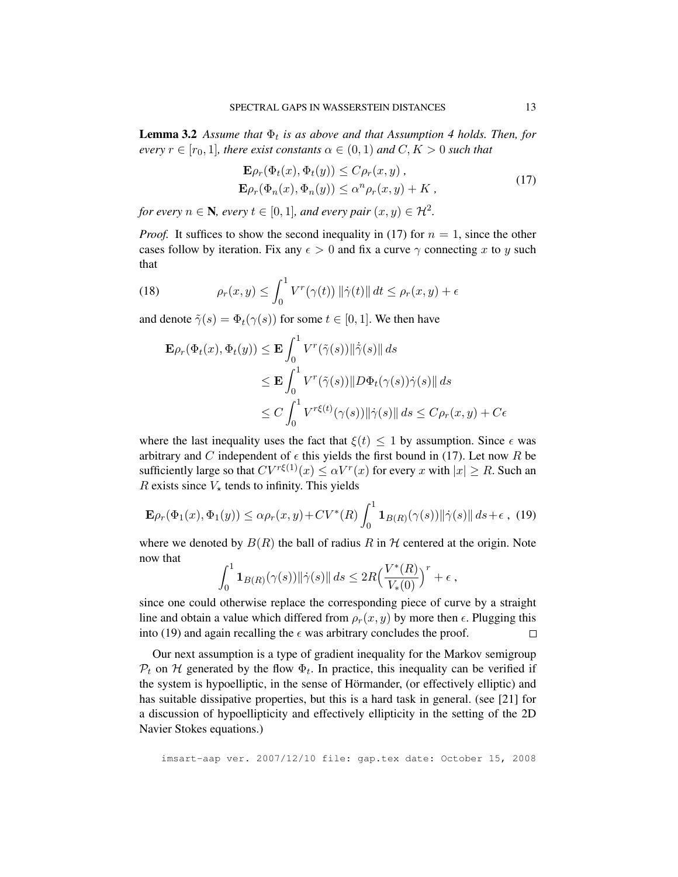**Lemma 3.2** Assume that  $\Phi_t$  is as above and that Assumption 4 holds. Then, for *every*  $r \in [r_0, 1]$ *, there exist constants*  $\alpha \in (0, 1)$  *and*  $C, K > 0$  *such that* 

$$
\mathbf{E}\rho_r(\Phi_t(x), \Phi_t(y)) \le C\rho_r(x, y),
$$
  
\n
$$
\mathbf{E}\rho_r(\Phi_n(x), \Phi_n(y)) \le \alpha^n \rho_r(x, y) + K,
$$
\n(17)

*for every*  $n \in \mathbb{N}$ , every  $t \in [0,1]$ , and every pair  $(x, y) \in \mathcal{H}^2$ .

*Proof.* It suffices to show the second inequality in (17) for  $n = 1$ , since the other cases follow by iteration. Fix any  $\epsilon > 0$  and fix a curve  $\gamma$  connecting x to y such that

(18) 
$$
\rho_r(x,y) \leq \int_0^1 V^r(\gamma(t)) \|\dot{\gamma}(t)\| dt \leq \rho_r(x,y) + \epsilon
$$

and denote  $\tilde{\gamma}(s) = \Phi_t(\gamma(s))$  for some  $t \in [0, 1]$ . We then have

$$
\mathbf{E}\rho_r(\Phi_t(x), \Phi_t(y)) \le \mathbf{E} \int_0^1 V^r(\tilde{\gamma}(s)) \|\dot{\tilde{\gamma}}(s)\| ds
$$
  
\n
$$
\le \mathbf{E} \int_0^1 V^r(\tilde{\gamma}(s)) \|D\Phi_t(\gamma(s))\dot{\gamma}(s)\| ds
$$
  
\n
$$
\le C \int_0^1 V^{r\xi(t)}(\gamma(s)) \|\dot{\gamma}(s)\| ds \le C\rho_r(x, y) + C\epsilon
$$

where the last inequality uses the fact that  $\xi(t) \leq 1$  by assumption. Since  $\epsilon$  was arbitrary and C independent of  $\epsilon$  this yields the first bound in (17). Let now R be sufficiently large so that  $CV^{r\xi(1)}(x) \le \alpha V^{r}(x)$  for every x with  $|x| \ge R$ . Such an R exists since  $V_{\star}$  tends to infinity. This yields

$$
\mathbf{E}\rho_r(\Phi_1(x),\Phi_1(y)) \le \alpha \rho_r(x,y) + CV^*(R) \int_0^1 \mathbf{1}_{B(R)}(\gamma(s)) \|\dot{\gamma}(s)\| \, ds + \epsilon \,, \tag{19}
$$

where we denoted by  $B(R)$  the ball of radius R in H centered at the origin. Note now that

$$
\int_0^1 {\bf 1}_{B(R)}(\gamma(s))\|\dot\gamma(s)\|\,ds \leq 2R \Big(\frac{V^*(R)}{V_*(0)}\Big)^r + \epsilon\;,
$$

since one could otherwise replace the corresponding piece of curve by a straight line and obtain a value which differed from  $\rho_r(x, y)$  by more then  $\epsilon$ . Plugging this into (19) and again recalling the  $\epsilon$  was arbitrary concludes the proof.  $\Box$ 

Our next assumption is a type of gradient inequality for the Markov semigroup  $P_t$  on H generated by the flow  $\Phi_t$ . In practice, this inequality can be verified if the system is hypoelliptic, in the sense of Hörmander, (or effectively elliptic) and has suitable dissipative properties, but this is a hard task in general. (see [21] for a discussion of hypoellipticity and effectively ellipticity in the setting of the 2D Navier Stokes equations.)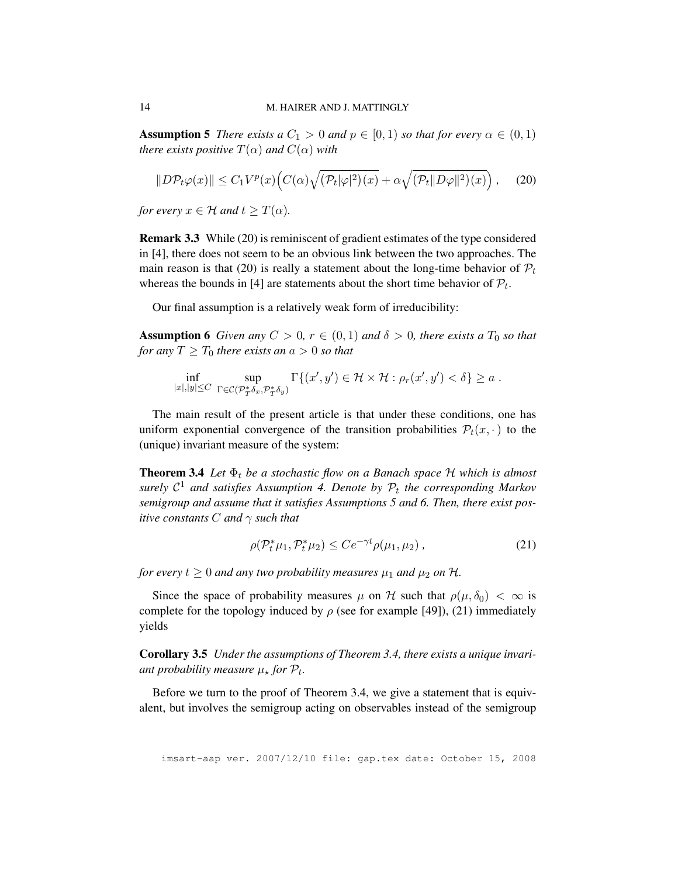**Assumption 5** *There exists a*  $C_1 > 0$  *and*  $p \in [0, 1)$  *so that for every*  $\alpha \in (0, 1)$ *there exists positive*  $T(\alpha)$  *and*  $C(\alpha)$  *with* 

$$
||D\mathcal{P}_t\varphi(x)|| \le C_1 V^p(x) \Big( C(\alpha) \sqrt{(\mathcal{P}_t|\varphi|^2)(x)} + \alpha \sqrt{(\mathcal{P}_t||D\varphi||^2)(x)} \Big), \quad (20)
$$

*for every*  $x \in \mathcal{H}$  *and*  $t > T(\alpha)$ *.* 

Remark 3.3 While (20) is reminiscent of gradient estimates of the type considered in [4], there does not seem to be an obvious link between the two approaches. The main reason is that (20) is really a statement about the long-time behavior of  $\mathcal{P}_t$ whereas the bounds in [4] are statements about the short time behavior of  $\mathcal{P}_t$ .

Our final assumption is a relatively weak form of irreducibility:

**Assumption 6** *Given any*  $C > 0$ ,  $r \in (0, 1)$  *and*  $\delta > 0$ *, there exists a*  $T_0$  *so that for any*  $T \geq T_0$  *there exists an*  $a > 0$  *so that* 

$$
\inf_{|x|,|y|\leq C}\ \sup_{\Gamma\in\mathcal{C}(\mathcal{P}_T^*\delta_x,\mathcal{P}_T^*\delta_y)}\Gamma\{(x',y')\in\mathcal{H}\times\mathcal{H}: \rho_r(x',y')<\delta\}\geq a\;.
$$

The main result of the present article is that under these conditions, one has uniform exponential convergence of the transition probabilities  $\mathcal{P}_t(x, \cdot)$  to the (unique) invariant measure of the system:

**Theorem 3.4** Let  $\Phi_t$  be a stochastic flow on a Banach space  $H$  which is almost surely  $C^1$  and satisfies Assumption 4. Denote by  $\mathcal{P}_t$  the corresponding Markov *semigroup and assume that it satisfies Assumptions 5 and 6. Then, there exist positive constants* C *and* γ *such that*

$$
\rho(\mathcal{P}_t^*\mu_1, \mathcal{P}_t^*\mu_2) \le C e^{-\gamma t} \rho(\mu_1, \mu_2) ,\qquad (21)
$$

*for every*  $t \geq 0$  *and any two probability measures*  $\mu_1$  *and*  $\mu_2$  *on*  $\mathcal{H}$ *.* 

Since the space of probability measures  $\mu$  on H such that  $\rho(\mu, \delta_0) < \infty$  is complete for the topology induced by  $\rho$  (see for example [49]), (21) immediately yields

Corollary 3.5 *Under the assumptions of Theorem 3.4, there exists a unique invari*ant probability measure  $\mu_{\star}$  for  $\mathcal{P}_{t}$ .

Before we turn to the proof of Theorem 3.4, we give a statement that is equivalent, but involves the semigroup acting on observables instead of the semigroup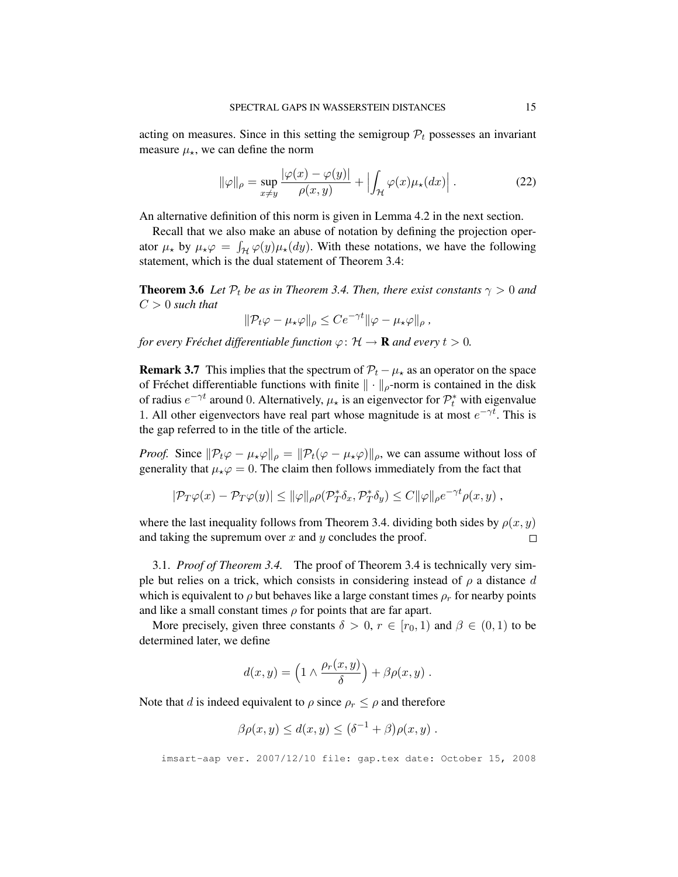acting on measures. Since in this setting the semigroup  $P_t$  possesses an invariant measure  $\mu_{\star}$ , we can define the norm

$$
\|\varphi\|_{\rho} = \sup_{x \neq y} \frac{|\varphi(x) - \varphi(y)|}{\rho(x, y)} + \left| \int_{\mathcal{H}} \varphi(x) \mu_{\star}(dx) \right|.
$$
 (22)

An alternative definition of this norm is given in Lemma 4.2 in the next section.

Recall that we also make an abuse of notation by defining the projection operator  $\mu_{\star}$  by  $\mu_{\star}\varphi = \int_{\mathcal{H}} \varphi(y)\mu_{\star}(dy)$ . With these notations, we have the following statement, which is the dual statement of Theorem 3.4:

**Theorem 3.6** Let  $P_t$  be as in Theorem 3.4. Then, there exist constants  $\gamma > 0$  and  $C > 0$  *such that* 

$$
\|\mathcal{P}_t\varphi-\mu_\star\varphi\|_\rho\leq Ce^{-\gamma t}\|\varphi-\mu_\star\varphi\|_\rho\,,
$$

*for every Fréchet differentiable function*  $\varphi$ :  $\mathcal{H} \to \mathbf{R}$  *and every*  $t > 0$ *.* 

**Remark 3.7** This implies that the spectrum of  $\mathcal{P}_t - \mu_{\star}$  as an operator on the space of Fréchet differentiable functions with finite  $\|\cdot\|_{\rho}$ -norm is contained in the disk of radius  $e^{-\gamma t}$  around 0. Alternatively,  $\mu_{\star}$  is an eigenvector for  $\mathcal{P}_t^*$  with eigenvalue 1. All other eigenvectors have real part whose magnitude is at most  $e^{-\gamma t}$ . This is the gap referred to in the title of the article.

*Proof.* Since  $\|\mathcal{P}_t\varphi - \mu_\star\varphi\|_{\rho} = \|\mathcal{P}_t(\varphi - \mu_\star\varphi)\|_{\rho}$ , we can assume without loss of generality that  $\mu_{\star}\varphi = 0$ . The claim then follows immediately from the fact that

$$
|\mathcal{P}_T\varphi(x)-\mathcal{P}_T\varphi(y)|\leq \|\varphi\|_{\rho}\rho(\mathcal{P}_T^*\delta_x,\mathcal{P}_T^*\delta_y)\leq C\|\varphi\|_{\rho}e^{-\gamma t}\rho(x,y)\;,
$$

where the last inequality follows from Theorem 3.4. dividing both sides by  $\rho(x, y)$ and taking the supremum over  $x$  and  $y$  concludes the proof.  $\Box$ 

3.1. *Proof of Theorem 3.4.* The proof of Theorem 3.4 is technically very simple but relies on a trick, which consists in considering instead of  $\rho$  a distance d which is equivalent to  $\rho$  but behaves like a large constant times  $\rho_r$  for nearby points and like a small constant times  $\rho$  for points that are far apart.

More precisely, given three constants  $\delta > 0$ ,  $r \in [r_0, 1)$  and  $\beta \in (0, 1)$  to be determined later, we define

$$
d(x,y) = \left(1 \wedge \frac{\rho_r(x,y)}{\delta}\right) + \beta \rho(x,y) .
$$

Note that d is indeed equivalent to  $\rho$  since  $\rho_r \leq \rho$  and therefore

$$
\beta \rho(x, y) \le d(x, y) \le (\delta^{-1} + \beta) \rho(x, y) .
$$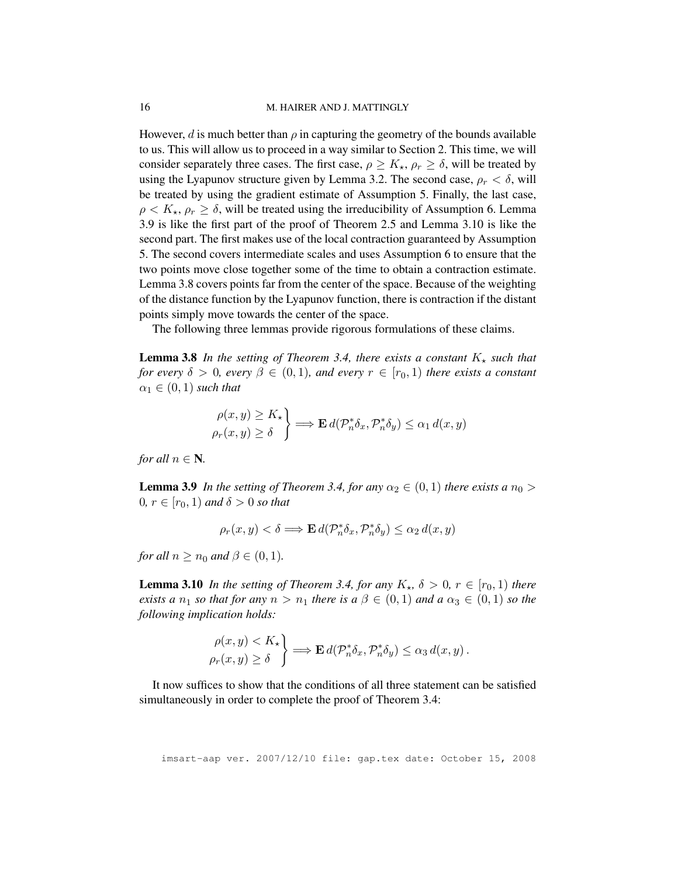However, d is much better than  $\rho$  in capturing the geometry of the bounds available to us. This will allow us to proceed in a way similar to Section 2. This time, we will consider separately three cases. The first case,  $\rho \ge K_{\star}$ ,  $\rho_r \ge \delta$ , will be treated by using the Lyapunov structure given by Lemma 3.2. The second case,  $\rho_r < \delta$ , will be treated by using the gradient estimate of Assumption 5. Finally, the last case,  $\rho < K_{\star}, \rho_r \geq \delta$ , will be treated using the irreducibility of Assumption 6. Lemma 3.9 is like the first part of the proof of Theorem 2.5 and Lemma 3.10 is like the second part. The first makes use of the local contraction guaranteed by Assumption 5. The second covers intermediate scales and uses Assumption 6 to ensure that the two points move close together some of the time to obtain a contraction estimate. Lemma 3.8 covers points far from the center of the space. Because of the weighting of the distance function by the Lyapunov function, there is contraction if the distant points simply move towards the center of the space.

The following three lemmas provide rigorous formulations of these claims.

**Lemma 3.8** In the setting of Theorem 3.4, there exists a constant  $K_{\star}$  such that *for every*  $\delta > 0$ *, every*  $\beta \in (0,1)$ *, and every*  $r \in [r_0,1)$  *there exists a constant*  $\alpha_1 \in (0,1)$  *such that* 

$$
\begin{aligned}\n\rho(x,y) &\ge K_\star \\
\rho_r(x,y) &\ge \delta\n\end{aligned}\n\Longrightarrow \mathbf{E} \, d(\mathcal{P}_n^* \delta_x, \mathcal{P}_n^* \delta_y) \le \alpha_1 \, d(x,y)
$$

*for all*  $n \in \mathbb{N}$ *.* 

**Lemma 3.9** *In the setting of Theorem 3.4, for any*  $\alpha_2 \in (0,1)$  *there exists a*  $n_0$  >  $0, r \in [r_0, 1)$  *and*  $\delta > 0$  *so that* 

$$
\rho_r(x,y)<\delta \Longrightarrow \mathbf{E}\, d(\mathcal{P}_n^*\delta_x,\mathcal{P}_n^*\delta_y)\leq \alpha_2\, d(x,y)
$$

*for all*  $n \geq n_0$  *and*  $\beta \in (0, 1)$ *.* 

**Lemma 3.10** *In the setting of Theorem 3.4, for any*  $K_{\star}$ ,  $\delta > 0$ ,  $r \in [r_0, 1)$  *there exists a*  $n_1$  *so that for any*  $n > n_1$  *there is a*  $\beta \in (0,1)$  *and*  $a \alpha_3 \in (0,1)$  *so the following implication holds:*

$$
\begin{aligned}\n\rho(x,y) &< K_\star \\
\rho_r(x,y) &\geq \delta\n\end{aligned}\n\Longrightarrow \mathbf{E} \, d(\mathcal{P}_n^* \delta_x, \mathcal{P}_n^* \delta_y) \leq \alpha_3 \, d(x,y)\,.
$$

It now suffices to show that the conditions of all three statement can be satisfied simultaneously in order to complete the proof of Theorem 3.4: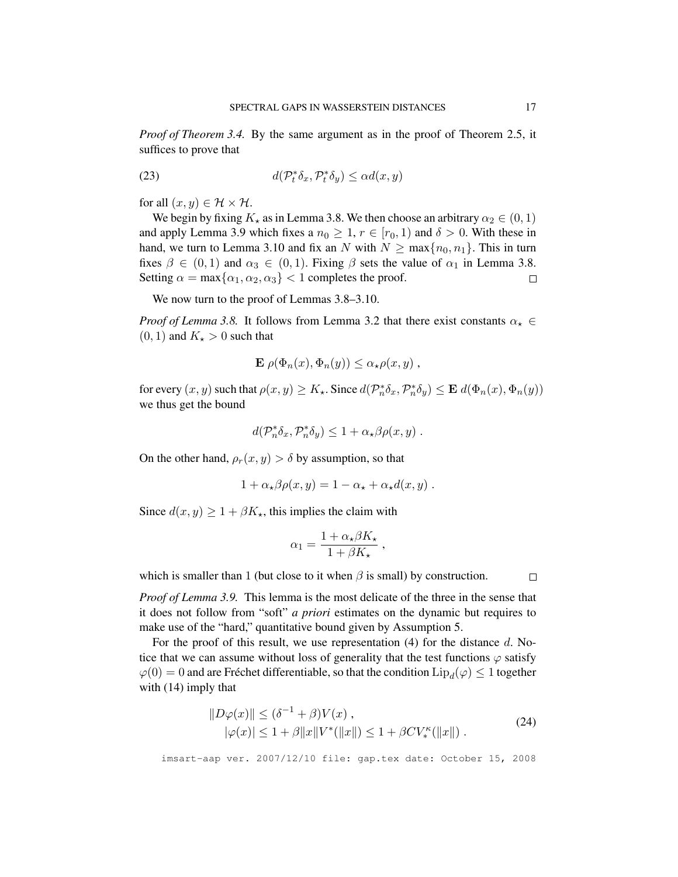*Proof of Theorem 3.4.* By the same argument as in the proof of Theorem 2.5, it suffices to prove that

(23) 
$$
d(\mathcal{P}_t^*\delta_x,\mathcal{P}_t^*\delta_y) \le \alpha d(x,y)
$$

for all  $(x, y) \in \mathcal{H} \times \mathcal{H}$ .

We begin by fixing  $K_{\star}$  as in Lemma 3.8. We then choose an arbitrary  $\alpha_2 \in (0,1)$ and apply Lemma 3.9 which fixes a  $n_0 \geq 1$ ,  $r \in [r_0, 1)$  and  $\delta > 0$ . With these in hand, we turn to Lemma 3.10 and fix an N with  $N \ge \max\{n_0, n_1\}$ . This in turn fixes  $\beta \in (0,1)$  and  $\alpha_3 \in (0,1)$ . Fixing  $\beta$  sets the value of  $\alpha_1$  in Lemma 3.8. Setting  $\alpha = \max{\{\alpha_1, \alpha_2, \alpha_3\}} < 1$  completes the proof.  $\Box$ 

We now turn to the proof of Lemmas 3.8–3.10.

*Proof of Lemma 3.8.* It follows from Lemma 3.2 that there exist constants  $\alpha_{\star} \in$  $(0, 1)$  and  $K_{\star} > 0$  such that

$$
\mathbf{E}\,\rho(\Phi_n(x),\Phi_n(y))\leq \alpha_\star\rho(x,y)\,,
$$

for every  $(x, y)$  such that  $\rho(x, y) \ge K_{\star}$ . Since  $d(\mathcal{P}_n^* \delta_x, \mathcal{P}_n^* \delta_y) \le \mathbf{E} d(\Phi_n(x), \Phi_n(y))$ we thus get the bound

$$
d(\mathcal{P}_n^*\delta_x,\mathcal{P}_n^*\delta_y) \leq 1 + \alpha_\star \beta \rho(x,y) .
$$

On the other hand,  $\rho_r(x, y) > \delta$  by assumption, so that

$$
1 + \alpha_\star \beta \rho(x, y) = 1 - \alpha_\star + \alpha_\star d(x, y) .
$$

Since  $d(x, y) \ge 1 + \beta K_{\star}$ , this implies the claim with

$$
\alpha_1 = \frac{1 + \alpha_\star \beta K_\star}{1 + \beta K_\star} \,,
$$

which is smaller than 1 (but close to it when  $\beta$  is small) by construction.

 $\Box$ 

*Proof of Lemma 3.9.* This lemma is the most delicate of the three in the sense that it does not follow from "soft" *a priori* estimates on the dynamic but requires to make use of the "hard," quantitative bound given by Assumption 5.

For the proof of this result, we use representation  $(4)$  for the distance d. Notice that we can assume without loss of generality that the test functions  $\varphi$  satisfy  $\varphi(0)=0$  and are Fréchet differentiable, so that the condition  $\mathrm{Lip}_d(\varphi)\leq 1$  together with (14) imply that

$$
||D\varphi(x)|| \le (\delta^{-1} + \beta)V(x) ,
$$
  
 
$$
|\varphi(x)| \le 1 + \beta ||x||V^*(||x||) \le 1 + \beta CV_*^{\kappa}(||x||) .
$$
 (24)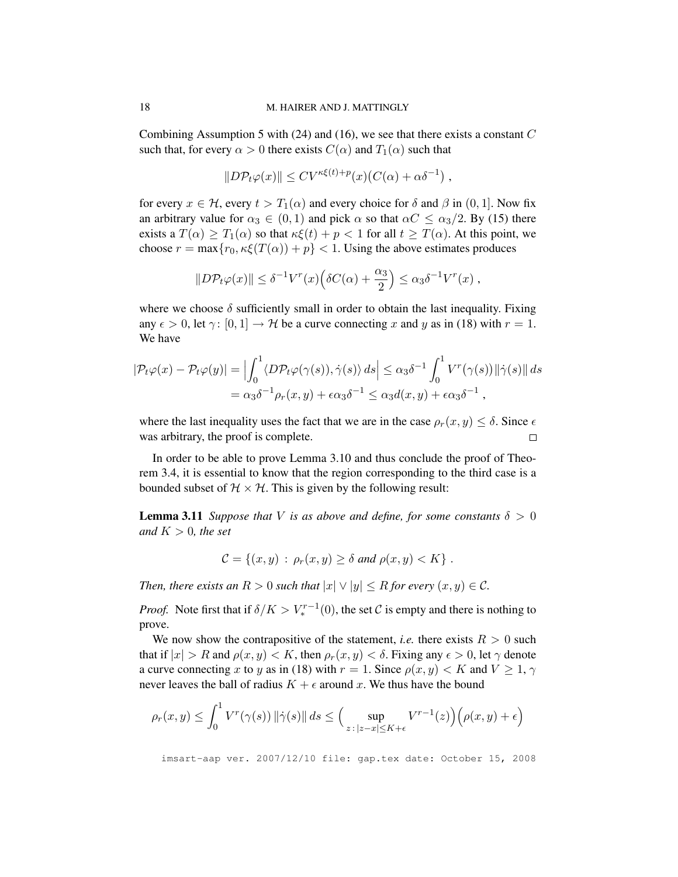Combining Assumption 5 with (24) and (16), we see that there exists a constant  $C$ such that, for every  $\alpha > 0$  there exists  $C(\alpha)$  and  $T_1(\alpha)$  such that

$$
||D\mathcal{P}_t\varphi(x)|| \le CV^{\kappa\xi(t)+p}(x)(C(\alpha)+\alpha\delta^{-1}),
$$

for every  $x \in H$ , every  $t > T_1(\alpha)$  and every choice for  $\delta$  and  $\beta$  in  $(0, 1]$ . Now fix an arbitrary value for  $\alpha_3 \in (0,1)$  and pick  $\alpha$  so that  $\alpha C \leq \alpha_3/2$ . By (15) there exists a  $T(\alpha) \geq T_1(\alpha)$  so that  $\kappa \xi(t) + p < 1$  for all  $t \geq T(\alpha)$ . At this point, we choose  $r = \max\{r_0, \kappa \xi(T(\alpha)) + p\} < 1$ . Using the above estimates produces

$$
||D\mathcal{P}_t\varphi(x)|| \leq \delta^{-1}V^r(x)\Big(\delta C(\alpha) + \frac{\alpha_3}{2}\Big) \leq \alpha_3 \delta^{-1}V^r(x) ,
$$

where we choose  $\delta$  sufficiently small in order to obtain the last inequality. Fixing any  $\epsilon > 0$ , let  $\gamma : [0, 1] \to \mathcal{H}$  be a curve connecting x and y as in (18) with  $r = 1$ . We have

$$
|\mathcal{P}_t\varphi(x) - \mathcal{P}_t\varphi(y)| = \left| \int_0^1 \langle D\mathcal{P}_t\varphi(\gamma(s)), \dot{\gamma}(s) \rangle ds \right| \le \alpha_3 \delta^{-1} \int_0^1 V^r(\gamma(s)) ||\dot{\gamma}(s)|| ds
$$
  
=  $\alpha_3 \delta^{-1} \rho_r(x, y) + \epsilon \alpha_3 \delta^{-1} \le \alpha_3 d(x, y) + \epsilon \alpha_3 \delta^{-1},$ 

where the last inequality uses the fact that we are in the case  $\rho_r(x, y) \leq \delta$ . Since  $\epsilon$ was arbitrary, the proof is complete.  $\Box$ 

In order to be able to prove Lemma 3.10 and thus conclude the proof of Theorem 3.4, it is essential to know that the region corresponding to the third case is a bounded subset of  $H \times H$ . This is given by the following result:

**Lemma 3.11** *Suppose that V is as above and define, for some constants*  $\delta > 0$ *and*  $K > 0$ *, the set* 

$$
\mathcal{C} = \{(x, y) : \rho_r(x, y) \ge \delta \text{ and } \rho(x, y) < K\}.
$$

*Then, there exists an*  $R > 0$  *such that*  $|x| \vee |y| \leq R$  *for every*  $(x, y) \in \mathcal{C}$ *.* 

*Proof.* Note first that if  $\delta/K > V_*^{r-1}(0)$ , the set C is empty and there is nothing to prove.

We now show the contrapositive of the statement, *i.e.* there exists  $R > 0$  such that if  $|x| > R$  and  $\rho(x, y) < K$ , then  $\rho_r(x, y) < \delta$ . Fixing any  $\epsilon > 0$ , let  $\gamma$  denote a curve connecting x to y as in (18) with  $r = 1$ . Since  $\rho(x, y) < K$  and  $V \ge 1, \gamma$ never leaves the ball of radius  $K + \epsilon$  around x. We thus have the bound

$$
\rho_r(x,y) \le \int_0^1 V^r(\gamma(s)) \|\dot{\gamma}(s)\| \, ds \le \Big(\sup_{z\,:\,|z-x| \le K + \epsilon} V^{r-1}(z)\Big) \Big(\rho(x,y) + \epsilon\Big)
$$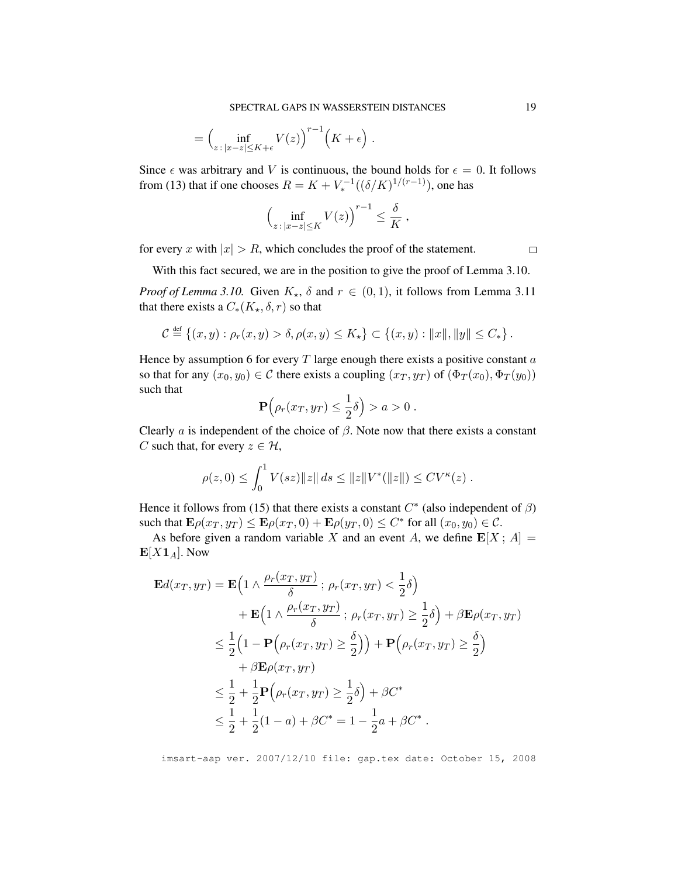$$
= \Big(\inf_{z \,:\, |x-z| \le K + \epsilon} V(z)\Big)^{r-1} \Big(K + \epsilon\Big) \;.
$$

Since  $\epsilon$  was arbitrary and V is continuous, the bound holds for  $\epsilon = 0$ . It follows from (13) that if one chooses  $R = K + V_*^{-1}((\delta/K)^{1/(r-1)})$ , one has

$$
\left(\inf_{z\,:\,|x-z|\leq K}V(z)\right)^{r-1}\leq \frac{\delta}{K}\;,
$$

for every x with  $|x| > R$ , which concludes the proof of the statement.

With this fact secured, we are in the position to give the proof of Lemma 3.10.

*Proof of Lemma 3.10.* Given  $K_{\star}$ ,  $\delta$  and  $r \in (0,1)$ , it follows from Lemma 3.11 that there exists a  $C_*(K_{\star}, \delta, r)$  so that

$$
C \stackrel{\text{def}}{=} \{(x, y) : \rho_r(x, y) > \delta, \rho(x, y) \le K_\star\} \subset \{(x, y) : ||x||, ||y|| \le C_*\}.
$$

Hence by assumption 6 for every  $T$  large enough there exists a positive constant  $a$ so that for any  $(x_0, y_0) \in \mathcal{C}$  there exists a coupling  $(x_T, y_T)$  of  $(\Phi_T(x_0), \Phi_T(y_0))$ such that

$$
\mathbf{P}\Big(\rho_r(x_T,y_T)\leq \frac{1}{2}\delta\Big)>a>0.
$$

Clearly  $\alpha$  is independent of the choice of  $\beta$ . Note now that there exists a constant C such that, for every  $z \in \mathcal{H}$ ,

$$
\rho(z,0) \le \int_0^1 V(sz) \|z\| ds \le \|z\| V^*(\|z\|) \le CV^{\kappa}(z) .
$$

Hence it follows from (15) that there exists a constant  $C^*$  (also independent of  $\beta$ ) such that  $\mathbf{E}\rho(x_T, y_T) \leq \mathbf{E}\rho(x_T, 0) + \mathbf{E}\rho(y_T, 0) \leq C^*$  for all  $(x_0, y_0) \in C$ .

As before given a random variable X and an event A, we define  $\mathbf{E}[X; A] =$  $E[X1_A]$ . Now

$$
\mathbf{E}d(x_T, y_T) = \mathbf{E}\Big(1 \wedge \frac{\rho_r(x_T, y_T)}{\delta}; \ \rho_r(x_T, y_T) < \frac{1}{2}\delta\Big) \n+ \mathbf{E}\Big(1 \wedge \frac{\rho_r(x_T, y_T)}{\delta}; \ \rho_r(x_T, y_T) \ge \frac{1}{2}\delta\Big) + \beta \mathbf{E}\rho(x_T, y_T) \n\le \frac{1}{2}\Big(1 - \mathbf{P}\Big(\rho_r(x_T, y_T) \ge \frac{\delta}{2}\Big)\Big) + \mathbf{P}\Big(\rho_r(x_T, y_T) \ge \frac{\delta}{2}\Big) \n+ \beta \mathbf{E}\rho(x_T, y_T) \n\le \frac{1}{2} + \frac{1}{2}\mathbf{P}\Big(\rho_r(x_T, y_T) \ge \frac{1}{2}\delta\Big) + \beta C^* \n\le \frac{1}{2} + \frac{1}{2}(1 - a) + \beta C^* = 1 - \frac{1}{2}a + \beta C^*.
$$

imsart-aap ver. 2007/12/10 file: gap.tex date: October 15, 2008

 $\Box$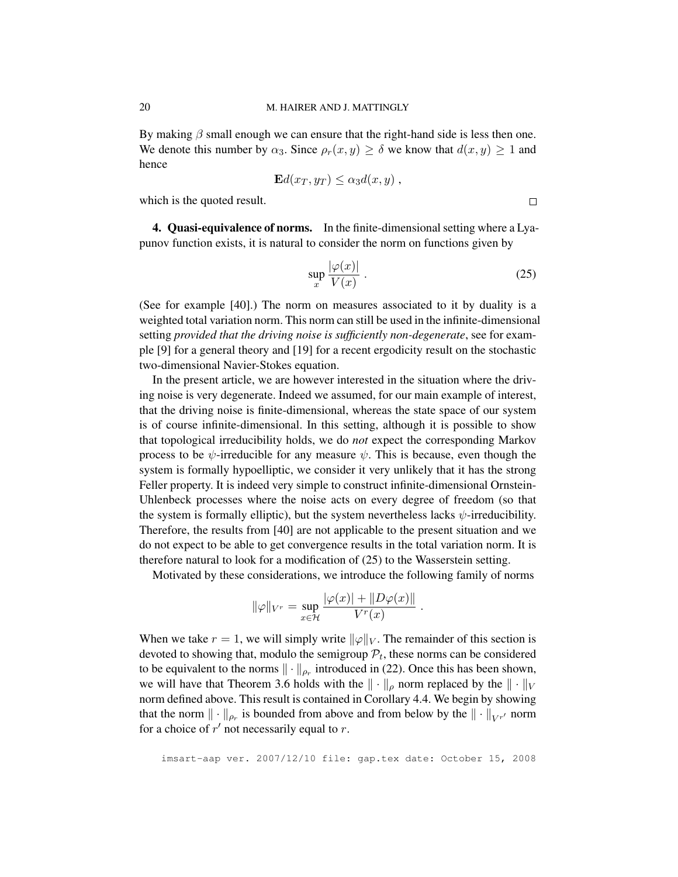By making  $\beta$  small enough we can ensure that the right-hand side is less then one. We denote this number by  $\alpha_3$ . Since  $\rho_r(x, y) \ge \delta$  we know that  $d(x, y) \ge 1$  and hence

$$
\mathbf{E}d(x_T, y_T) \leq \alpha_3 d(x, y) ,
$$

which is the quoted result.

4. Quasi-equivalence of norms. In the finite-dimensional setting where a Lyapunov function exists, it is natural to consider the norm on functions given by

$$
\sup_{x} \frac{|\varphi(x)|}{V(x)} \ . \tag{25}
$$

 $\Box$ 

.

(See for example [40].) The norm on measures associated to it by duality is a weighted total variation norm. This norm can still be used in the infinite-dimensional setting *provided that the driving noise is sufficiently non-degenerate*, see for example [9] for a general theory and [19] for a recent ergodicity result on the stochastic two-dimensional Navier-Stokes equation.

In the present article, we are however interested in the situation where the driving noise is very degenerate. Indeed we assumed, for our main example of interest, that the driving noise is finite-dimensional, whereas the state space of our system is of course infinite-dimensional. In this setting, although it is possible to show that topological irreducibility holds, we do *not* expect the corresponding Markov process to be  $\psi$ -irreducible for any measure  $\psi$ . This is because, even though the system is formally hypoelliptic, we consider it very unlikely that it has the strong Feller property. It is indeed very simple to construct infinite-dimensional Ornstein-Uhlenbeck processes where the noise acts on every degree of freedom (so that the system is formally elliptic), but the system nevertheless lacks  $\psi$ -irreducibility. Therefore, the results from [40] are not applicable to the present situation and we do not expect to be able to get convergence results in the total variation norm. It is therefore natural to look for a modification of (25) to the Wasserstein setting.

Motivated by these considerations, we introduce the following family of norms

$$
\|\varphi\|_{V^r} = \sup_{x \in \mathcal{H}} \frac{|\varphi(x)| + \|D\varphi(x)\|}{V^r(x)}
$$

When we take  $r = 1$ , we will simply write  $\|\varphi\|_V$ . The remainder of this section is devoted to showing that, modulo the semigroup  $P_t$ , these norms can be considered to be equivalent to the norms  $\|\cdot\|_{\rho_r}$  introduced in (22). Once this has been shown, we will have that Theorem 3.6 holds with the  $\|\cdot\|_{\rho}$  norm replaced by the  $\|\cdot\|_{V}$ norm defined above. This result is contained in Corollary 4.4. We begin by showing that the norm  $\|\cdot\|_{\rho_r}$  is bounded from above and from below by the  $\|\cdot\|_{V^{r'}}$  norm for a choice of  $r'$  not necessarily equal to  $r$ .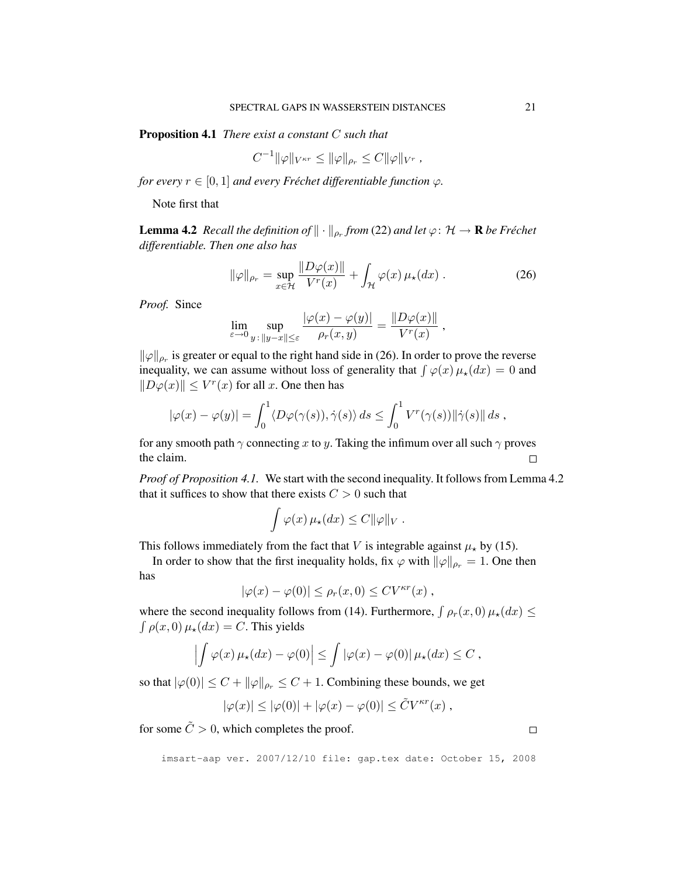Proposition 4.1 *There exist a constant* C *such that*

$$
C^{-1} \|\varphi\|_{V^{\kappa r}} \le \|\varphi\|_{\rho_r} \le C \|\varphi\|_{V^r} ,
$$

*for every*  $r \in [0, 1]$  *and every Fréchet differentiable function*  $\varphi$ *.* 

Note first that

**Lemma 4.2** Recall the definition of  $\|\cdot\|_{\rho_r}$  from (22) and let  $\varphi\colon \mathcal{H}\to \mathbf{R}$  be Fréchet *differentiable. Then one also has*

$$
\|\varphi\|_{\rho_r} = \sup_{x \in \mathcal{H}} \frac{\|D\varphi(x)\|}{V^r(x)} + \int_{\mathcal{H}} \varphi(x) \,\mu_\star(dx) \,. \tag{26}
$$

*Proof.* Since

$$
\lim_{\varepsilon \to 0} \sup_{y \,:\, \|y-x\| \le \varepsilon} \frac{|\varphi(x) - \varphi(y)|}{\rho_r(x,y)} = \frac{\|D\varphi(x)\|}{V^r(x)},
$$

 $\|\varphi\|_{\rho_r}$  is greater or equal to the right hand side in (26). In order to prove the reverse inequality, we can assume without loss of generality that  $\int \varphi(x) \mu_{\star}(dx) = 0$  and  $||D\varphi(x)|| \le V^r(x)$  for all x. One then has

$$
|\varphi(x) - \varphi(y)| = \int_0^1 \langle D\varphi(\gamma(s)), \dot{\gamma}(s) \rangle ds \le \int_0^1 V^r(\gamma(s)) ||\dot{\gamma}(s)|| ds,
$$

for any smooth path  $\gamma$  connecting x to y. Taking the infimum over all such  $\gamma$  proves the claim.  $\Box$ 

*Proof of Proposition 4.1.* We start with the second inequality. It follows from Lemma 4.2 that it suffices to show that there exists  $C > 0$  such that

$$
\int \varphi(x) \,\mu_{\star}(dx) \leq C ||\varphi||_V.
$$

This follows immediately from the fact that V is integrable against  $\mu_{\star}$  by (15).

In order to show that the first inequality holds, fix  $\varphi$  with  $\|\varphi\|_{\rho_r} = 1$ . One then has

$$
|\varphi(x) - \varphi(0)| \le \rho_r(x, 0) \le CV^{\kappa r}(x) ,
$$

where the second inequality follows from (14). Furthermore,  $\int \rho_r(x,0) \mu_\star(dx) \leq$  $\int \rho(x, 0) \mu_{\star}(dx) = C$ . This yields

$$
\left|\int \varphi(x)\,\mu_{\star}(dx)-\varphi(0)\right|\leq \int |\varphi(x)-\varphi(0)|\,\mu_{\star}(dx)\leq C,
$$

so that  $|\varphi(0)| \leq C + ||\varphi||_{\rho_r} \leq C + 1$ . Combining these bounds, we get

$$
|\varphi(x)| \le |\varphi(0)| + |\varphi(x) - \varphi(0)| \le \tilde{C} V^{\kappa r}(x) ,
$$

for some  $\tilde{C} > 0$ , which completes the proof.

imsart-aap ver. 2007/12/10 file: gap.tex date: October 15, 2008

 $\Box$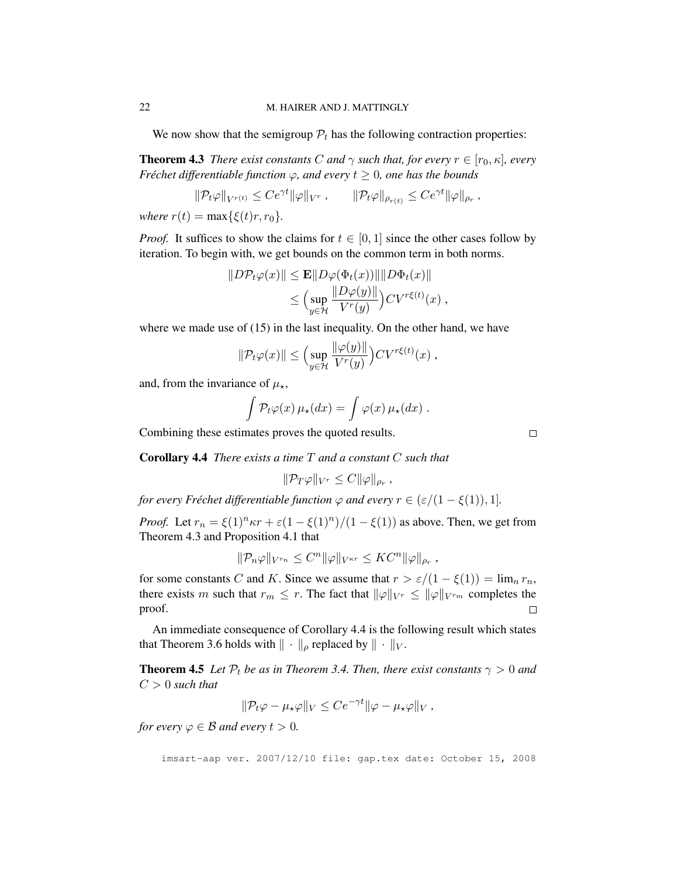We now show that the semigroup  $P_t$  has the following contraction properties:

**Theorem 4.3** *There exist constants* C *and*  $\gamma$  *such that, for every*  $r \in [r_0, \kappa]$ *, every Fréchet differentiable function*  $\varphi$ *, and every*  $t \geq 0$ *, one has the bounds* 

$$
\|\mathcal{P}_t\varphi\|_{V^{r(t)}} \le Ce^{\gamma t} \|\varphi\|_{V^r}, \qquad \|\mathcal{P}_t\varphi\|_{\rho_{r(t)}} \le Ce^{\gamma t} \|\varphi\|_{\rho_r},
$$

*where*  $r(t) = \max{\{\xi(t)r, r_0\}}$ .

*Proof.* It suffices to show the claims for  $t \in [0, 1]$  since the other cases follow by iteration. To begin with, we get bounds on the common term in both norms.

$$
||D\mathcal{P}_t\varphi(x)|| \le \mathbf{E}||D\varphi(\Phi_t(x))|| ||D\Phi_t(x)||
$$
  
\n
$$
\le \Big(\sup_{y\in\mathcal{H}}\frac{||D\varphi(y)||}{V^r(y)}\Big)CV^{r\xi(t)}(x) ,
$$

where we made use of (15) in the last inequality. On the other hand, we have

$$
\|\mathcal{P}_t\varphi(x)\| \le \Big(\sup_{y\in\mathcal{H}}\frac{\|\varphi(y)\|}{V^r(y)}\Big)CV^{r\xi(t)}(x) ,
$$

and, from the invariance of  $\mu_{\star}$ ,

$$
\int \mathcal{P}_t \varphi(x) \,\mu_{\star}(dx) = \int \varphi(x) \,\mu_{\star}(dx) \; .
$$

Combining these estimates proves the quoted results.

Corollary 4.4 *There exists a time* T *and a constant* C *such that*

$$
\|\mathcal{P}_T\varphi\|_{V^r}\leq C\|\varphi\|_{\rho_r},
$$

*for every Fréchet differentiable function*  $\varphi$  *and every*  $r \in (\varepsilon/(1 - \xi(1)), 1]$ *.* 

*Proof.* Let  $r_n = \xi(1)^n \kappa r + \varepsilon(1 - \xi(1)^n)/(1 - \xi(1))$  as above. Then, we get from Theorem 4.3 and Proposition 4.1 that

$$
\|\mathcal{P}_n\varphi\|_{V^{r_n}} \leq C^n \|\varphi\|_{V^{\kappa r}} \leq KC^n \|\varphi\|_{\rho_r},
$$

for some constants C and K. Since we assume that  $r > \varepsilon/(1 - \xi(1)) = \lim_n r_n$ , there exists m such that  $r_m \leq r$ . The fact that  $\|\varphi\|_{V^r} \leq \|\varphi\|_{V^{r_m}}$  completes the proof.  $\Box$ 

An immediate consequence of Corollary 4.4 is the following result which states that Theorem 3.6 holds with  $\|\cdot\|_{\rho}$  replaced by  $\|\cdot\|_{V}$ .

**Theorem 4.5** *Let*  $\mathcal{P}_t$  *be as in Theorem 3.4. Then, there exist constants*  $\gamma > 0$  *and*  $C > 0$  *such that* 

$$
\|\mathcal{P}_t\varphi-\mu_\star\varphi\|_V\leq Ce^{-\gamma t}\|\varphi-\mu_\star\varphi\|_V,
$$

*for every*  $\varphi \in \mathcal{B}$  *and every*  $t > 0$ *.* 

imsart-aap ver. 2007/12/10 file: gap.tex date: October 15, 2008

 $\Box$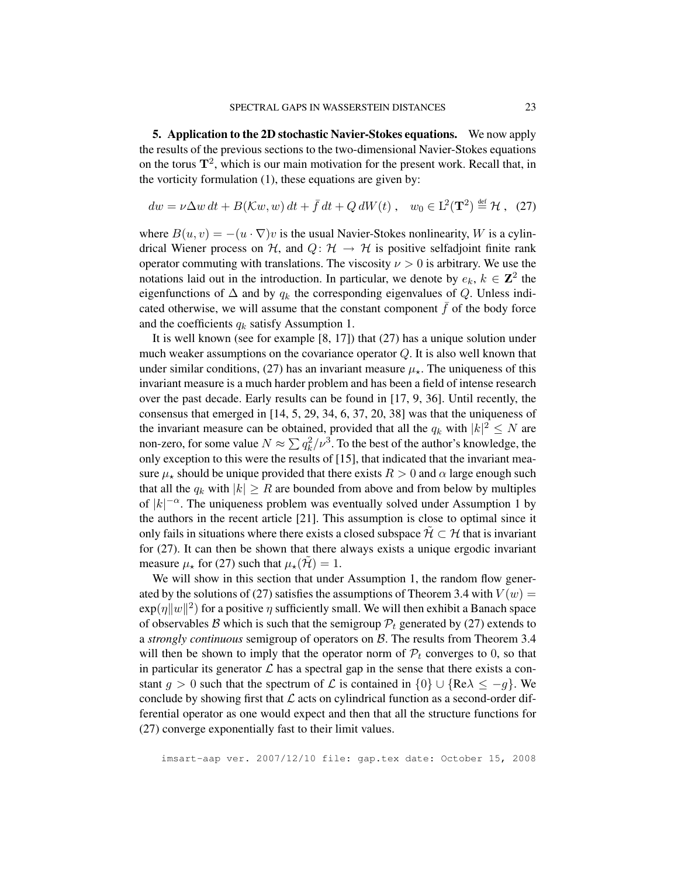5. Application to the 2D stochastic Navier-Stokes equations. We now apply the results of the previous sections to the two-dimensional Navier-Stokes equations on the torus  $\mathbf{T}^2$ , which is our main motivation for the present work. Recall that, in the vorticity formulation (1), these equations are given by:

$$
dw = \nu \Delta w dt + B(\mathcal{K}w, w) dt + \bar{f} dt + Q dW(t), \quad w_0 \in \mathcal{L}^2(\mathbf{T}^2) \stackrel{\text{def}}{=} \mathcal{H}, \tag{27}
$$

where  $B(u, v) = -(u \cdot \nabla)v$  is the usual Navier-Stokes nonlinearity, W is a cylindrical Wiener process on H, and  $Q: H \rightarrow H$  is positive selfadjoint finite rank operator commuting with translations. The viscosity  $\nu > 0$  is arbitrary. We use the notations laid out in the introduction. In particular, we denote by  $e_k$ ,  $k \in \mathbb{Z}^2$  the eigenfunctions of  $\Delta$  and by  $q_k$  the corresponding eigenvalues of Q. Unless indicated otherwise, we will assume that the constant component  $\bar{f}$  of the body force and the coefficients  $q_k$  satisfy Assumption 1.

It is well known (see for example [8, 17]) that (27) has a unique solution under much weaker assumptions on the covariance operator  $Q$ . It is also well known that under similar conditions, (27) has an invariant measure  $\mu_{\star}$ . The uniqueness of this invariant measure is a much harder problem and has been a field of intense research over the past decade. Early results can be found in [17, 9, 36]. Until recently, the consensus that emerged in [14, 5, 29, 34, 6, 37, 20, 38] was that the uniqueness of the invariant measure can be obtained, provided that all the  $q_k$  with  $|k|^2 \le N$  are non-zero, for some value  $N \approx \sum q_k^2/\nu^3$ . To the best of the author's knowledge, the only exception to this were the results of [15], that indicated that the invariant measure  $\mu_{\star}$  should be unique provided that there exists  $R > 0$  and  $\alpha$  large enough such that all the  $q_k$  with  $|k| \geq R$  are bounded from above and from below by multiples of  $|k|^{-\alpha}$ . The uniqueness problem was eventually solved under Assumption 1 by the authors in the recent article [21]. This assumption is close to optimal since it only fails in situations where there exists a closed subspace  $\mathcal{H} \subset \mathcal{H}$  that is invariant for (27). It can then be shown that there always exists a unique ergodic invariant measure  $\mu_{\star}$  for (27) such that  $\mu_{\star}(\mathcal{H}) = 1$ .

We will show in this section that under Assumption 1, the random flow generated by the solutions of (27) satisfies the assumptions of Theorem 3.4 with  $V(w) =$  $\exp(\eta \|w\|^2)$  for a positive  $\eta$  sufficiently small. We will then exhibit a Banach space of observables B which is such that the semigroup  $P_t$  generated by (27) extends to a *strongly continuous* semigroup of operators on B. The results from Theorem 3.4 will then be shown to imply that the operator norm of  $P_t$  converges to 0, so that in particular its generator  $\mathcal L$  has a spectral gap in the sense that there exists a constant g > 0 such that the spectrum of L is contained in  $\{0\} \cup \{Re\} \le -g\}$ . We conclude by showing first that  $\mathcal L$  acts on cylindrical function as a second-order differential operator as one would expect and then that all the structure functions for (27) converge exponentially fast to their limit values.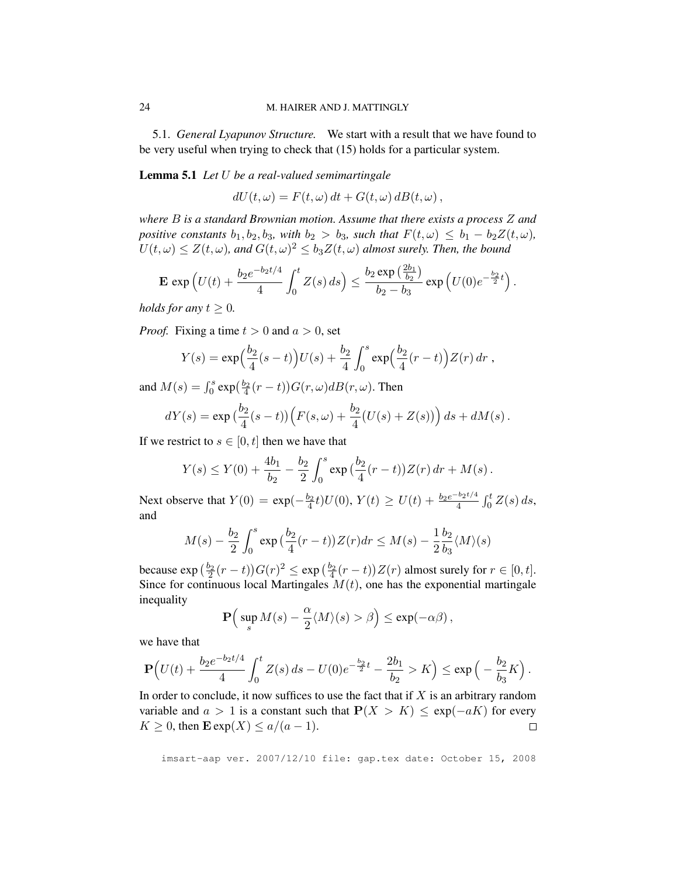5.1. *General Lyapunov Structure.* We start with a result that we have found to be very useful when trying to check that (15) holds for a particular system.

Lemma 5.1 *Let* U *be a real-valued semimartingale*

 $dU(t, \omega) = F(t, \omega) dt + G(t, \omega) dB(t, \omega),$ 

*where* B *is a standard Brownian motion. Assume that there exists a process* Z *and positive constants*  $b_1, b_2, b_3$ *, with*  $b_2 > b_3$ *, such that*  $F(t, \omega) \leq b_1 - b_2 Z(t, \omega)$ *,*  $U(t,\omega) \leq Z(t,\omega)$ , and  $G(t,\omega)^2 \leq b_3 Z(t,\omega)$  almost surely. Then, the bound

$$
\mathbf{E} \exp \left( U(t) + \frac{b_2 e^{-b_2 t/4}}{4} \int_0^t Z(s) \, ds \right) \le \frac{b_2 \exp \left( \frac{2b_1}{b_2} \right)}{b_2 - b_3} \exp \left( U(0) e^{-\frac{b_2}{2} t} \right).
$$

*holds for any*  $t \geq 0$ *.* 

*Proof.* Fixing a time  $t > 0$  and  $a > 0$ , set

$$
Y(s) = \exp\Big(\frac{b_2}{4}(s-t)\Big)U(s) + \frac{b_2}{4}\int_0^s \exp\Big(\frac{b_2}{4}(r-t)\Big)Z(r)\,dr\;,
$$

and  $M(s) = \int_0^s \exp(\frac{b_2}{4}(r-t)) G(r,\omega) dB(r,\omega)$ . Then

$$
dY(s) = \exp(\frac{b_2}{4}(s-t))\Big(F(s,\omega) + \frac{b_2}{4}(U(s) + Z(s))\Big) ds + dM(s).
$$

If we restrict to  $s \in [0, t]$  then we have that

$$
Y(s) \leq Y(0) + \frac{4b_1}{b_2} - \frac{b_2}{2} \int_0^s \exp\left(\frac{b_2}{4}(r-t)\right) Z(r) \, dr + M(s) \, .
$$

Next observe that  $Y(0) = \exp(-\frac{b_2}{4}t)U(0), Y(t) \ge U(t) + \frac{b_2 e^{-b_2 t/4}}{4} \int_0^t Z(s) ds$ , and

$$
M(s) - \frac{b_2}{2} \int_0^s \exp\left(\frac{b_2}{4}(r-t)\right) Z(r) dr \le M(s) - \frac{1}{2} \frac{b_2}{b_3} \langle M \rangle(s)
$$

because  $\exp\left(\frac{b_2}{2}(r-t)\right)G(r)^2 \le \exp\left(\frac{b_2}{4}(r-t)\right)Z(r)$  almost surely for  $r \in [0, t]$ . Since for continuous local Martingales  $M(t)$ , one has the exponential martingale inequality

$$
\mathbf{P}\Big(\sup_s M(s) - \frac{\alpha}{2} \langle M \rangle(s) > \beta\Big) \le \exp(-\alpha\beta)\,,
$$

we have that

$$
\mathbf{P}\Big(U(t)+\frac{b_2e^{-b_2t/4}}{4}\int_0^t Z(s)\,ds - U(0)e^{-\frac{b_2}{2}t}-\frac{2b_1}{b_2}>K\Big)\leq \exp\Big(-\frac{b_2}{b_3}K\Big)\,.
$$

In order to conclude, it now suffices to use the fact that if  $X$  is an arbitrary random variable and  $a > 1$  is a constant such that  $P(X > K) \leq \exp(-aK)$  for every  $K \geq 0$ , then  $\mathbf{E} \exp(X) \leq a/(a-1)$ .  $\Box$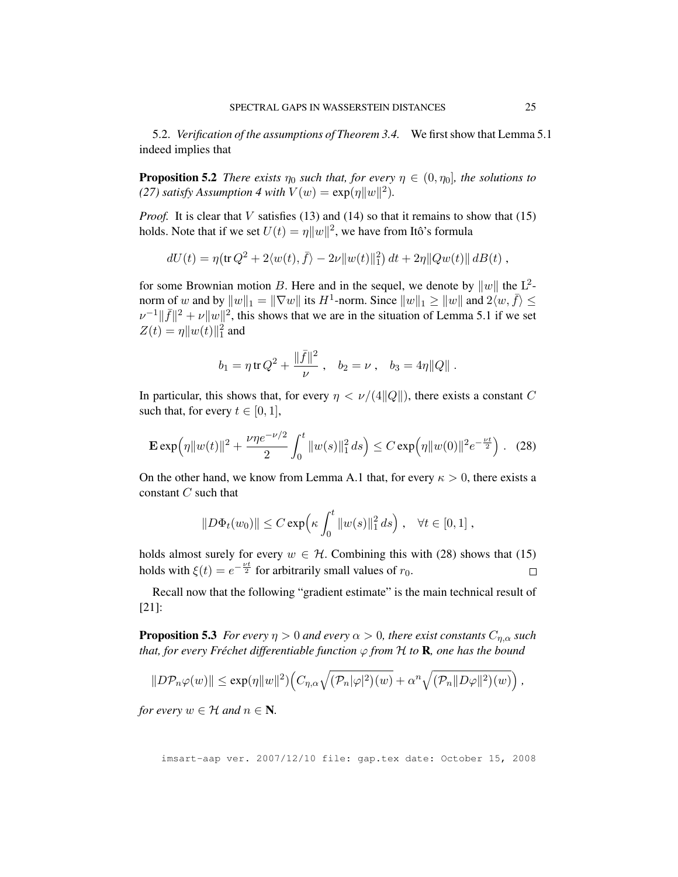5.2. *Verification of the assumptions of Theorem 3.4.* We first show that Lemma 5.1 indeed implies that

**Proposition 5.2** *There exists*  $\eta_0$  *such that, for every*  $\eta \in (0, \eta_0]$ *, the solutions to (27) satisfy Assumption 4 with*  $V(w) = \exp(\eta ||w||^2)$ .

*Proof.* It is clear that V satisfies (13) and (14) so that it remains to show that (15) holds. Note that if we set  $U(t) = \eta ||w||^2$ , we have from Itô's formula

$$
dU(t) = \eta \left( \text{tr} \, Q^2 + 2 \langle w(t), \bar{f} \rangle - 2\nu ||w(t)||_1^2 \right) dt + 2\eta ||Qw(t)|| \, dB(t) ,
$$

for some Brownian motion B. Here and in the sequel, we denote by  $||w||$  the  $L^2$ norm of w and by  $||w||_1 = ||\nabla w||$  its  $H^1$ -norm. Since  $||w||_1 \ge ||w||$  and  $2\langle w, \overline{f} \rangle \le ||w||$  $\nu^{-1}$ || $\bar{f}$ ||<sup>2</sup> +  $\nu$ || $w$ ||<sup>2</sup>, this shows that we are in the situation of Lemma 5.1 if we set  $Z(t) = \eta ||w(t)||_1^2$  and

$$
b_1 = \eta \operatorname{tr} Q^2 + \frac{\|\bar{f}\|^2}{\nu}, \quad b_2 = \nu, \quad b_3 = 4\eta \|Q\|.
$$

In particular, this shows that, for every  $\eta < \nu/(4||Q||)$ , there exists a constant C such that, for every  $t \in [0, 1]$ ,

$$
\mathbf{E} \exp\left(\eta \|w(t)\|^2 + \frac{\nu \eta e^{-\nu/2}}{2} \int_0^t \|w(s)\|_1^2 ds\right) \le C \exp\left(\eta \|w(0)\|^2 e^{-\frac{\nu t}{2}}\right). \tag{28}
$$

On the other hand, we know from Lemma A.1 that, for every  $\kappa > 0$ , there exists a constant  $C$  such that

$$
||D\Phi_t(w_0)|| \leq C \exp\left(\kappa \int_0^t ||w(s)||_1^2 ds\right), \quad \forall t \in [0,1],
$$

holds almost surely for every  $w \in H$ . Combining this with (28) shows that (15) holds with  $\xi(t) = e^{-\frac{\nu t}{2}}$  for arbitrarily small values of  $r_0$ .  $\Box$ 

Recall now that the following "gradient estimate" is the main technical result of [21]:

**Proposition 5.3** *For every*  $\eta > 0$  *and every*  $\alpha > 0$ *, there exist constants*  $C_{n,\alpha}$  *such that, for every Fréchet differentiable function*  $\varphi$  *from*  $H$  *to* **R***, one has the bound* 

$$
||D\mathcal{P}_n\varphi(w)|| \le \exp(\eta ||w||^2) \Big(C_{\eta,\alpha}\sqrt{(\mathcal{P}_n|\varphi|^2)(w)} + \alpha^n \sqrt{(\mathcal{P}_n ||D\varphi||^2)(w)}\Big),
$$

*for every*  $w \in \mathcal{H}$  *and*  $n \in \mathbb{N}$ *.*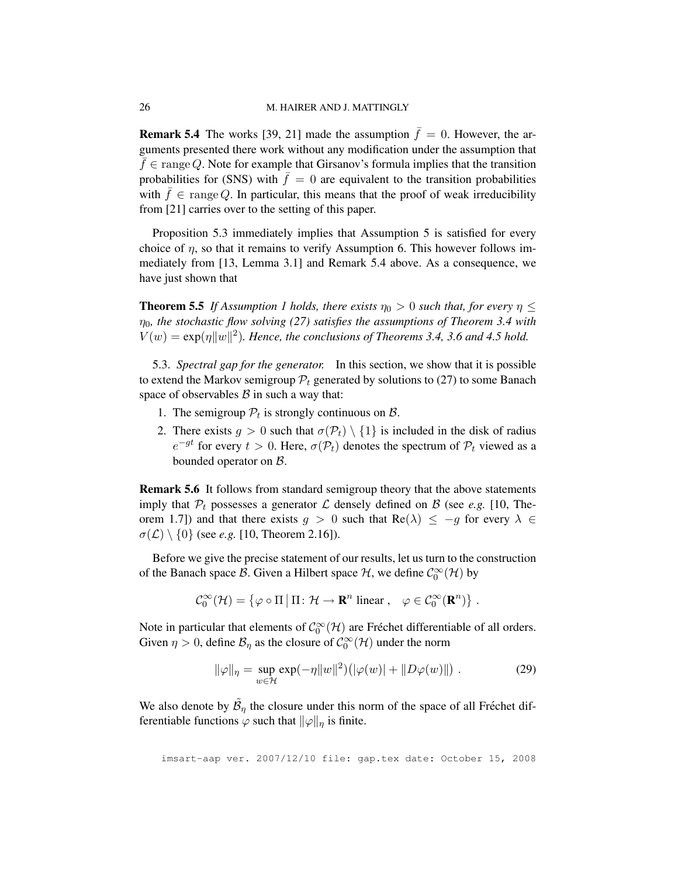**Remark 5.4** The works [39, 21] made the assumption  $\bar{f} = 0$ . However, the arguments presented there work without any modification under the assumption that  $\bar{f} \in \text{range } Q$ . Note for example that Girsanov's formula implies that the transition probabilities for (SNS) with  $\bar{f} = 0$  are equivalent to the transition probabilities with  $\bar{f} \in \text{range } Q$ . In particular, this means that the proof of weak irreducibility from [21] carries over to the setting of this paper.

Proposition 5.3 immediately implies that Assumption 5 is satisfied for every choice of  $\eta$ , so that it remains to verify Assumption 6. This however follows immediately from [13, Lemma 3.1] and Remark 5.4 above. As a consequence, we have just shown that

**Theorem 5.5** *If Assumption 1 holds, there exists*  $\eta_0 > 0$  *such that, for every*  $\eta \leq$  $\eta_0$ , the stochastic flow solving (27) satisfies the assumptions of Theorem 3.4 with  $V(w) = \exp(\eta ||w||^2)$ . Hence, the conclusions of Theorems 3.4, 3.6 and 4.5 hold.

5.3. *Spectral gap for the generator.* In this section, we show that it is possible to extend the Markov semigroup  $\mathcal{P}_t$  generated by solutions to (27) to some Banach space of observables  $\beta$  in such a way that:

- 1. The semigroup  $P_t$  is strongly continuous on  $\mathcal{B}$ .
- 2. There exists  $g > 0$  such that  $\sigma(\mathcal{P}_t) \setminus \{1\}$  is included in the disk of radius  $e^{-gt}$  for every  $t > 0$ . Here,  $\sigma(\mathcal{P}_t)$  denotes the spectrum of  $\mathcal{P}_t$  viewed as a bounded operator on B.

Remark 5.6 It follows from standard semigroup theory that the above statements imply that  $P_t$  possesses a generator  $\mathcal L$  densely defined on  $\mathcal B$  (see *e.g.* [10, Theorem 1.7]) and that there exists  $g > 0$  such that  $\text{Re}(\lambda) \le -g$  for every  $\lambda \in$  $\sigma(\mathcal{L}) \setminus \{0\}$  (see *e.g.* [10, Theorem 2.16]).

Before we give the precise statement of our results, let us turn to the construction of the Banach space B. Given a Hilbert space  $H$ , we define  $C_0^{\infty}(\mathcal{H})$  by

$$
\mathcal{C}_0^{\infty}(\mathcal{H}) = \{ \varphi \circ \Pi \, | \, \Pi \colon \mathcal{H} \to \mathbf{R}^n \text{ linear }, \quad \varphi \in \mathcal{C}_0^{\infty}(\mathbf{R}^n) \} .
$$

Note in particular that elements of  $\mathcal{C}_0^{\infty}(\mathcal{H})$  are Fréchet differentiable of all orders. Given  $\eta > 0$ , define  $\mathcal{B}_{\eta}$  as the closure of  $\mathcal{C}^{\infty}_0(\mathcal{H})$  under the norm

$$
\|\varphi\|_{\eta} = \sup_{w \in \mathcal{H}} \exp(-\eta \|w\|^2) \left( |\varphi(w)| + \|D\varphi(w)\| \right). \tag{29}
$$

We also denote by  $\tilde{\mathcal{B}}_{\eta}$  the closure under this norm of the space of all Fréchet differentiable functions  $\varphi$  such that  $\|\varphi\|_{\eta}$  is finite.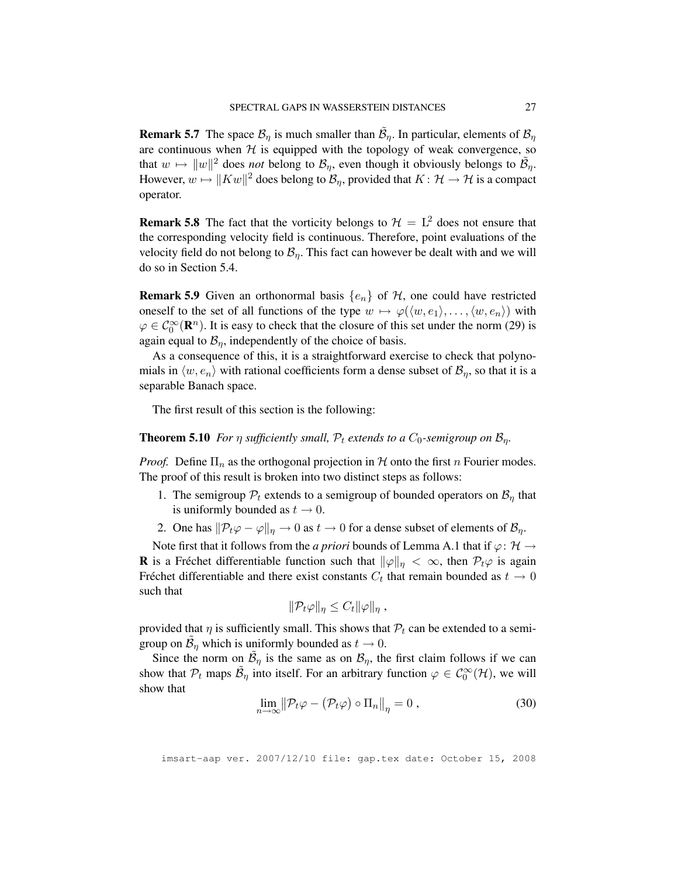**Remark 5.7** The space  $\mathcal{B}_{\eta}$  is much smaller than  $\tilde{\mathcal{B}}_{\eta}$ . In particular, elements of  $\mathcal{B}_{\eta}$ are continuous when  $H$  is equipped with the topology of weak convergence, so that  $w \mapsto ||w||^2$  does *not* belong to  $\mathcal{B}_\eta$ , even though it obviously belongs to  $\tilde{\mathcal{B}}_\eta$ . However,  $w \mapsto \|Kw\|^2$  does belong to  $\mathcal{B}_{\eta},$  provided that  $K \colon \mathcal{H} \to \mathcal{H}$  is a compact operator.

**Remark 5.8** The fact that the vorticity belongs to  $\mathcal{H} = L^2$  does not ensure that the corresponding velocity field is continuous. Therefore, point evaluations of the velocity field do not belong to  $\mathcal{B}_\eta$ . This fact can however be dealt with and we will do so in Section 5.4.

**Remark 5.9** Given an orthonormal basis  $\{e_n\}$  of  $H$ , one could have restricted oneself to the set of all functions of the type  $w \mapsto \varphi(\langle w, e_1 \rangle, \ldots, \langle w, e_n \rangle)$  with  $\varphi \in C_0^{\infty}(\mathbf{R}^n)$ . It is easy to check that the closure of this set under the norm (29) is again equal to  $\mathcal{B}_n$ , independently of the choice of basis.

As a consequence of this, it is a straightforward exercise to check that polynomials in  $\langle w, e_n \rangle$  with rational coefficients form a dense subset of  $\mathcal{B}_n$ , so that it is a separable Banach space.

The first result of this section is the following:

### **Theorem 5.10** *For*  $\eta$  *sufficiently small,*  $P_t$  *extends to a*  $C_0$ *-semigroup on*  $B_n$ *.*

*Proof.* Define  $\Pi_n$  as the orthogonal projection in  $H$  onto the first n Fourier modes. The proof of this result is broken into two distinct steps as follows:

- 1. The semigroup  $P_t$  extends to a semigroup of bounded operators on  $\mathcal{B}_\eta$  that is uniformly bounded as  $t \to 0$ .
- 2. One has  $\|\mathcal{P}_t\varphi \varphi\|_{\eta} \to 0$  as  $t \to 0$  for a dense subset of elements of  $\mathcal{B}_{\eta}$ .

Note first that it follows from the *a priori* bounds of Lemma A.1 that if  $\varphi$ :  $\mathcal{H} \rightarrow$ **R** is a Frechet differentiable function such that  $\|\varphi\|_{\eta} < \infty$ , then  $\mathcal{P}_t\varphi$  is again Fréchet differentiable and there exist constants  $C_t$  that remain bounded as  $t \to 0$ such that

$$
\|\mathcal{P}_t\varphi\|_{\eta} \leq C_t \|\varphi\|_{\eta} ,
$$

provided that  $\eta$  is sufficiently small. This shows that  $P_t$  can be extended to a semigroup on  $\tilde{\mathcal{B}}_{\eta}$  which is uniformly bounded as  $t \to 0$ .

Since the norm on  $\tilde{\mathcal{B}}_{\eta}$  is the same as on  $\mathcal{B}_{\eta}$ , the first claim follows if we can show that  $\mathcal{P}_t$  maps  $\tilde{\mathcal{B}}_\eta$  into itself. For an arbitrary function  $\varphi \in C_0^\infty(\mathcal{H})$ , we will show that

$$
\lim_{n \to \infty} \|\mathcal{P}_t \varphi - (\mathcal{P}_t \varphi) \circ \Pi_n\|_{\eta} = 0,
$$
\n(30)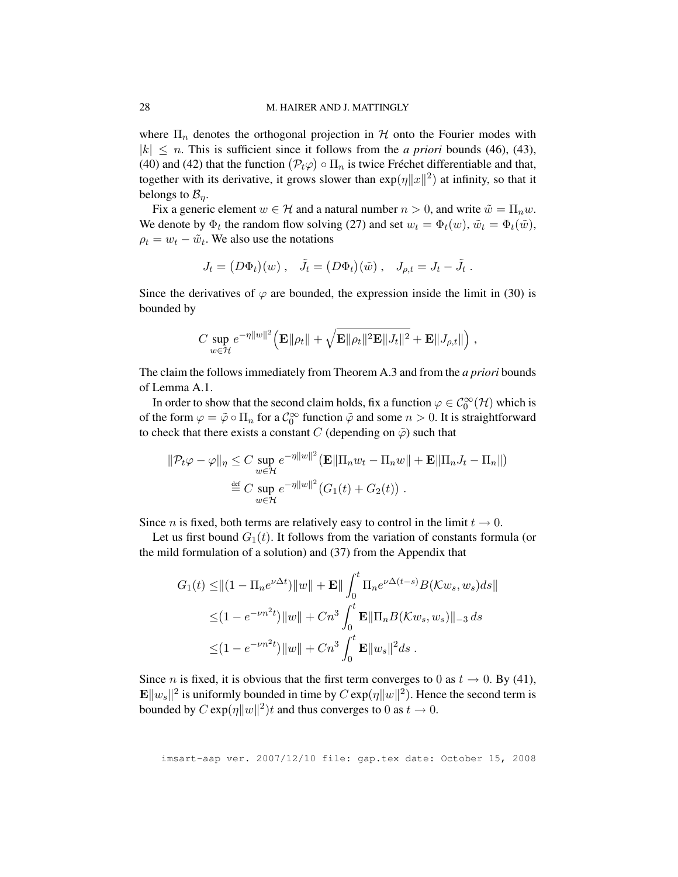where  $\Pi_n$  denotes the orthogonal projection in H onto the Fourier modes with  $|k| \leq n$ . This is sufficient since it follows from the *a priori* bounds (46), (43), (40) and (42) that the function  $(\mathcal{P}_t\varphi) \circ \Pi_n$  is twice Fréchet differentiable and that, together with its derivative, it grows slower than  $exp(\eta ||x||^2)$  at infinity, so that it belongs to  $\mathcal{B}_\eta$ .

Fix a generic element  $w \in \mathcal{H}$  and a natural number  $n > 0$ , and write  $\tilde{w} = \prod_n w$ . We denote by  $\Phi_t$  the random flow solving (27) and set  $w_t = \Phi_t(w)$ ,  $\tilde{w}_t = \Phi_t(\tilde{w})$ ,  $\rho_t = w_t - \tilde{w}_t$ . We also use the notations

$$
J_t = (D\Phi_t)(w) , \quad \tilde{J}_t = (D\Phi_t)(\tilde{w}) , \quad J_{\rho,t} = J_t - \tilde{J}_t .
$$

Since the derivatives of  $\varphi$  are bounded, the expression inside the limit in (30) is bounded by

$$
C \sup_{w \in \mathcal{H}} e^{-\eta ||w||^2} \Big( \mathbf{E} ||\rho_t|| + \sqrt{\mathbf{E} ||\rho_t||^2 \mathbf{E} ||J_t||^2} + \mathbf{E} ||J_{\rho,t}|| \Big) ,
$$

The claim the follows immediately from Theorem A.3 and from the *a priori* bounds of Lemma A.1.

In order to show that the second claim holds, fix a function  $\varphi \in C_0^{\infty}(\mathcal{H})$  which is of the form  $\varphi = \tilde{\varphi} \circ \Pi_n$  for a  $\mathcal{C}_0^{\infty}$  function  $\tilde{\varphi}$  and some  $n > 0$ . It is straightforward to check that there exists a constant C (depending on  $\tilde{\varphi}$ ) such that

$$
\|\mathcal{P}_t\varphi - \varphi\|_{\eta} \leq C \sup_{w \in \mathcal{H}} e^{-\eta \|w\|^2} (\mathbf{E} \|\Pi_n w_t - \Pi_n w\| + \mathbf{E} \|\Pi_n J_t - \Pi_n\|)
$$
  
\n
$$
\stackrel{\text{def}}{=} C \sup_{w \in \mathcal{H}} e^{-\eta \|w\|^2} (G_1(t) + G_2(t)) .
$$

Since *n* is fixed, both terms are relatively easy to control in the limit  $t \to 0$ .

Let us first bound  $G_1(t)$ . It follows from the variation of constants formula (or the mild formulation of a solution) and (37) from the Appendix that

$$
G_1(t) \leq ||(1 - \Pi_n e^{\nu \Delta t})||w|| + \mathbf{E}|| \int_0^t \Pi_n e^{\nu \Delta(t-s)} B(\mathcal{K}w_s, w_s) ds||
$$
  

$$
\leq (1 - e^{-\nu n^2 t}) ||w|| + Cn^3 \int_0^t \mathbf{E} ||\Pi_n B(\mathcal{K}w_s, w_s)||_{-3} ds
$$
  

$$
\leq (1 - e^{-\nu n^2 t}) ||w|| + Cn^3 \int_0^t \mathbf{E} ||w_s||^2 ds.
$$

Since *n* is fixed, it is obvious that the first term converges to 0 as  $t \to 0$ . By (41),  $\mathbf{E} \Vert w_s \Vert^2$  is uniformly bounded in time by  $C \exp(\eta \|w\|^2)$ . Hence the second term is bounded by  $C \exp(\eta ||w||^2)t$  and thus converges to 0 as  $t \to 0$ .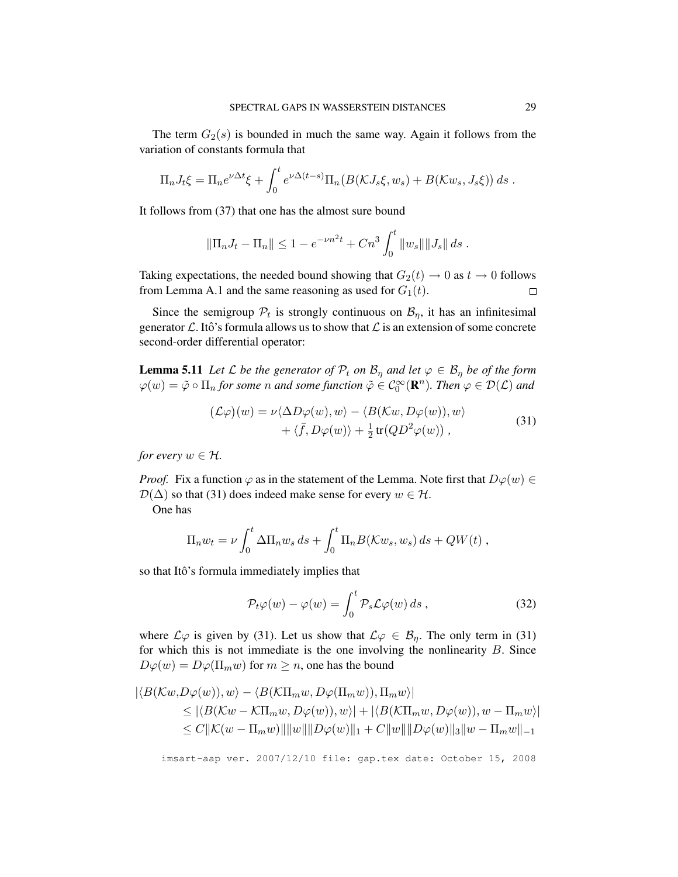The term  $G_2(s)$  is bounded in much the same way. Again it follows from the variation of constants formula that

$$
\Pi_n J_t \xi = \Pi_n e^{\nu \Delta t} \xi + \int_0^t e^{\nu \Delta (t-s)} \Pi_n(B(\mathcal{K}J_s \xi, w_s) + B(\mathcal{K}w_s, J_s \xi)) ds.
$$

It follows from (37) that one has the almost sure bound

$$
\|\Pi_n J_t - \Pi_n\| \le 1 - e^{-\nu n^2 t} + Cn^3 \int_0^t \|w_s\| \|J_s\| ds.
$$

Taking expectations, the needed bound showing that  $G_2(t) \to 0$  as  $t \to 0$  follows from Lemma A.1 and the same reasoning as used for  $G_1(t)$ .  $\Box$ 

Since the semigroup  $\mathcal{P}_t$  is strongly continuous on  $\mathcal{B}_{\eta}$ , it has an infinitesimal generator  $\mathcal L$ . Itô's formula allows us to show that  $\mathcal L$  is an extension of some concrete second-order differential operator:

**Lemma 5.11** *Let*  $\mathcal L$  *be the generator of*  $\mathcal P_t$  *on*  $\mathcal B_\eta$  *and let*  $\varphi \in \mathcal B_\eta$  *be of the form*  $\varphi(w)=\tilde{\varphi}\circ\Pi_n$  *for some n and some function*  $\tilde{\varphi}\in\mathcal{C}_0^\infty(\mathbf{R}^n)$ *. Then*  $\varphi\in\mathcal{D}(\mathcal{L})$  *and* 

$$
(\mathcal{L}\varphi)(w) = \nu \langle \Delta D\varphi(w), w \rangle - \langle B(\mathcal{K}w, D\varphi(w)), w \rangle + \langle \bar{f}, D\varphi(w) \rangle + \frac{1}{2} \operatorname{tr}(QD^2\varphi(w)),
$$
\n(31)

*for every*  $w \in \mathcal{H}$ *.* 

*Proof.* Fix a function  $\varphi$  as in the statement of the Lemma. Note first that  $D\varphi(w) \in$  $\mathcal{D}(\Delta)$  so that (31) does indeed make sense for every  $w \in \mathcal{H}$ .

One has

$$
\Pi_n w_t = \nu \int_0^t \Delta \Pi_n w_s ds + \int_0^t \Pi_n B(\mathcal{K}w_s, w_s) ds + QW(t) ,
$$

so that Itô's formula immediately implies that

$$
\mathcal{P}_t\varphi(w) - \varphi(w) = \int_0^t \mathcal{P}_s\mathcal{L}\varphi(w) \, ds \,, \tag{32}
$$

where  $\mathcal{L}\varphi$  is given by (31). Let us show that  $\mathcal{L}\varphi \in \mathcal{B}_\eta$ . The only term in (31) for which this is not immediate is the one involving the nonlinearity  $B$ . Since  $D\varphi(w) = D\varphi(\Pi_m w)$  for  $m \geq n$ , one has the bound

$$
|\langle B(\mathcal{K}w, D\varphi(w)), w \rangle - \langle B(\mathcal{K}\Pi_m w, D\varphi(\Pi_m w)), \Pi_m w \rangle|
$$
  
\n
$$
\leq |\langle B(\mathcal{K}w - \mathcal{K}\Pi_m w, D\varphi(w)), w \rangle| + |\langle B(\mathcal{K}\Pi_m w, D\varphi(w)), w - \Pi_m w \rangle|
$$
  
\n
$$
\leq C \|\mathcal{K}(w - \Pi_m w)\| \|w\| \|D\varphi(w)\|_1 + C \|w\| \|D\varphi(w)\|_3 \|w - \Pi_m w\|_{-1}
$$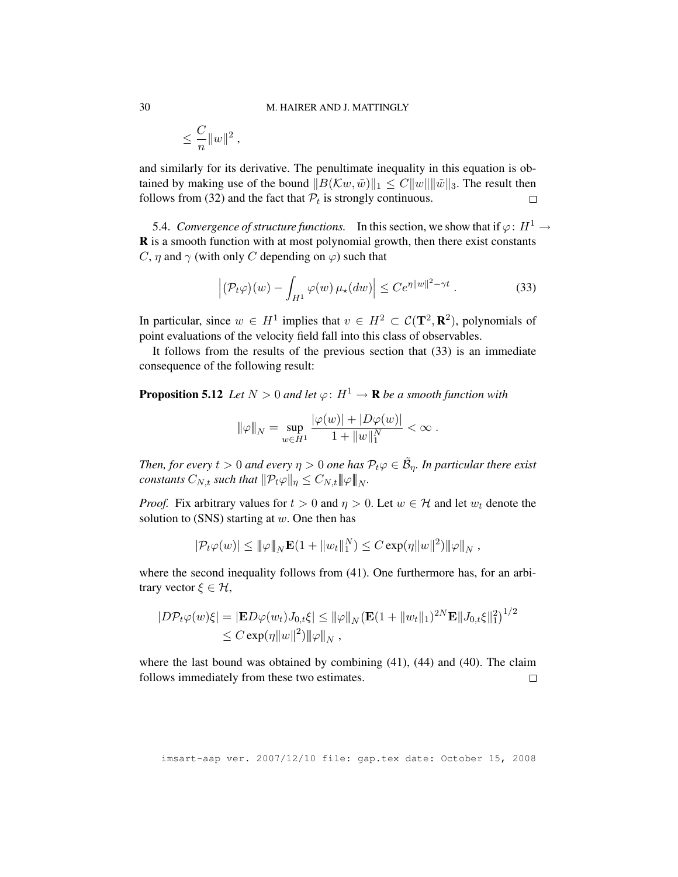$$
\leq \frac{C}{n}\|w\|^2\;,
$$

and similarly for its derivative. The penultimate inequality in this equation is obtained by making use of the bound  $||B(\mathcal{K}w, \tilde{w})||_1 \leq C||w|| ||\tilde{w}||_3$ . The result then follows from (32) and the fact that  $P_t$  is strongly continuous.  $\Box$ 

5.4. *Convergence of structure functions.* In this section, we show that if  $\varphi: H^1 \to$ R is a smooth function with at most polynomial growth, then there exist constants C,  $\eta$  and  $\gamma$  (with only C depending on  $\varphi$ ) such that

$$
\left| \left( \mathcal{P}_t \varphi \right)(w) - \int_{H^1} \varphi(w) \, \mu_\star(dw) \right| \leq C e^{\eta \|w\|^2 - \gamma t} \,. \tag{33}
$$

In particular, since  $w \in H^1$  implies that  $v \in H^2 \subset C(\mathbf{T}^2, \mathbf{R}^2)$ , polynomials of point evaluations of the velocity field fall into this class of observables.

It follows from the results of the previous section that (33) is an immediate consequence of the following result:

**Proposition 5.12** *Let*  $N > 0$  *and let*  $\varphi: H^1 \to \mathbf{R}$  *be a smooth function with* 

$$
\|\varphi\|_N = \sup_{w \in H^1} \frac{|\varphi(w)| + |D\varphi(w)|}{1 + \|w\|_1^N} < \infty.
$$

*Then, for every*  $t > 0$  and every  $\eta > 0$  one has  $\mathcal{P}_t\varphi \in \tilde{\mathcal{B}}_{\eta}$ . In particular there exist *constants*  $C_{N,t}$  *such that*  $\|\mathcal{P}_t\varphi\|_n \leq C_{N,t} \|\varphi\|_N$ .

*Proof.* Fix arbitrary values for  $t > 0$  and  $\eta > 0$ . Let  $w \in H$  and let  $w_t$  denote the solution to (SNS) starting at  $w$ . One then has

$$
|\mathcal{P}_t \varphi(w)| \leq ||\varphi||_N \mathbf{E}(1 + ||w_t||_1^N) \leq C \exp(\eta ||w||^2) ||\varphi||_N
$$
,

where the second inequality follows from (41). One furthermore has, for an arbitrary vector  $\xi \in \mathcal{H}$ ,

$$
|D\mathcal{P}_t\varphi(w)\xi| = |\mathbf{E}D\varphi(w_t)J_{0,t}\xi| \leq ||\varphi||_N (\mathbf{E}(1+||w_t||_1)^{2N}\mathbf{E}||J_{0,t}\xi||_1^2)^{1/2} \leq C \exp(\eta ||w||^2) ||\varphi||_N,
$$

where the last bound was obtained by combining (41), (44) and (40). The claim follows immediately from these two estimates.  $\Box$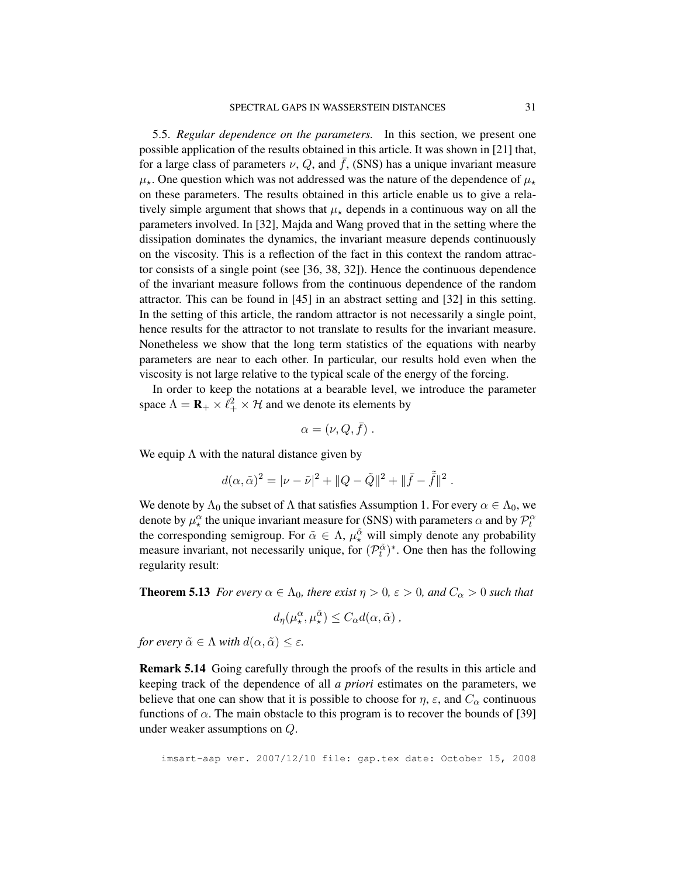5.5. *Regular dependence on the parameters.* In this section, we present one possible application of the results obtained in this article. It was shown in [21] that, for a large class of parameters  $\nu$ , Q, and  $\bar{f}$ , (SNS) has a unique invariant measure  $\mu_{\star}$ . One question which was not addressed was the nature of the dependence of  $\mu_{\star}$ on these parameters. The results obtained in this article enable us to give a relatively simple argument that shows that  $\mu_{\star}$  depends in a continuous way on all the parameters involved. In [32], Majda and Wang proved that in the setting where the dissipation dominates the dynamics, the invariant measure depends continuously on the viscosity. This is a reflection of the fact in this context the random attractor consists of a single point (see [36, 38, 32]). Hence the continuous dependence of the invariant measure follows from the continuous dependence of the random attractor. This can be found in [45] in an abstract setting and [32] in this setting. In the setting of this article, the random attractor is not necessarily a single point, hence results for the attractor to not translate to results for the invariant measure. Nonetheless we show that the long term statistics of the equations with nearby parameters are near to each other. In particular, our results hold even when the viscosity is not large relative to the typical scale of the energy of the forcing.

In order to keep the notations at a bearable level, we introduce the parameter space  $\Lambda = \mathbf{R}_{+} \times \ell_{+}^{2} \times \mathcal{H}$  and we denote its elements by

$$
\alpha = (\nu, Q, \bar{f}) \ .
$$

We equip  $\Lambda$  with the natural distance given by

$$
d(\alpha,\tilde{\alpha})^2=|\nu-\tilde{\nu}|^2+\|Q-\tilde{Q}\|^2+\|\bar{f}-\tilde{\bar{f}}\|^2\;.
$$

We denote by  $\Lambda_0$  the subset of  $\Lambda$  that satisfies Assumption 1. For every  $\alpha \in \Lambda_0$ , we denote by  $\mu^{\alpha}_*$  the unique invariant measure for (SNS) with parameters  $\alpha$  and by  $\mathcal{P}_t^{\alpha}$ the corresponding semigroup. For  $\tilde{\alpha} \in \Lambda$ ,  $\mu^{\tilde{\alpha}}_{\star}$  will simply denote any probability measure invariant, not necessarily unique, for  $(\mathcal{P}_t^{\tilde{\alpha}})^*$ . One then has the following regularity result:

**Theorem 5.13** *For every*  $\alpha \in \Lambda_0$ *, there exist*  $\eta > 0$ *,*  $\varepsilon > 0$ *, and*  $C_\alpha > 0$  *such that* 

$$
d_{\eta}(\mu^{\alpha}_{\star}, \mu^{\tilde{\alpha}}_{\star}) \leq C_{\alpha} d(\alpha, \tilde{\alpha}),
$$

*for every*  $\tilde{\alpha} \in \Lambda$  *with*  $d(\alpha, \tilde{\alpha}) \leq \varepsilon$ *.* 

Remark 5.14 Going carefully through the proofs of the results in this article and keeping track of the dependence of all *a priori* estimates on the parameters, we believe that one can show that it is possible to choose for  $\eta$ ,  $\varepsilon$ , and  $C_{\alpha}$  continuous functions of  $\alpha$ . The main obstacle to this program is to recover the bounds of [39] under weaker assumptions on Q.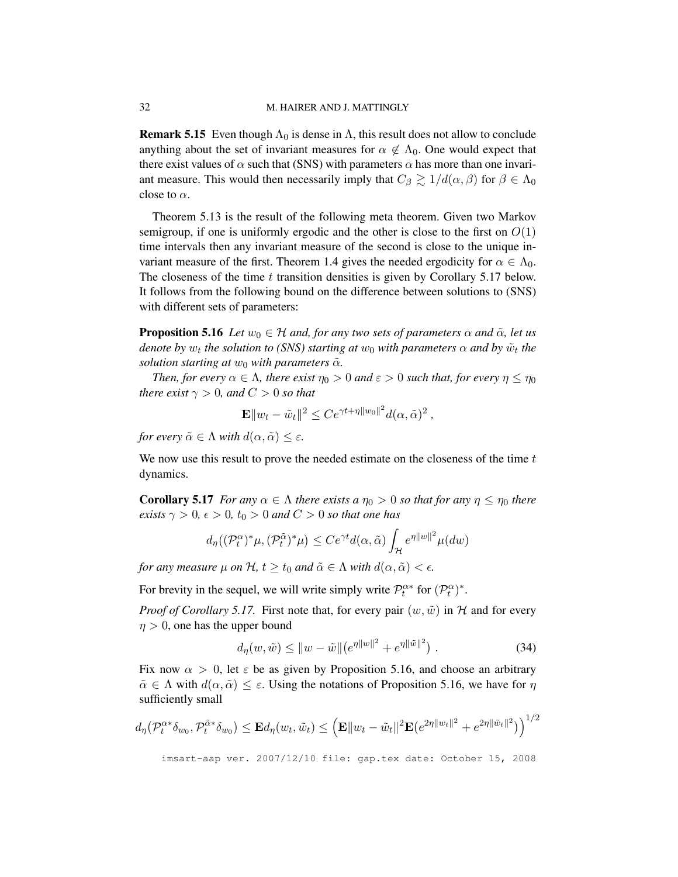**Remark 5.15** Even though  $\Lambda_0$  is dense in  $\Lambda$ , this result does not allow to conclude anything about the set of invariant measures for  $\alpha \notin \Lambda_0$ . One would expect that there exist values of  $\alpha$  such that (SNS) with parameters  $\alpha$  has more than one invariant measure. This would then necessarily imply that  $C_\beta \gtrsim 1/d(\alpha, \beta)$  for  $\beta \in \Lambda_0$ close to  $\alpha$ .

Theorem 5.13 is the result of the following meta theorem. Given two Markov semigroup, if one is uniformly ergodic and the other is close to the first on  $O(1)$ time intervals then any invariant measure of the second is close to the unique invariant measure of the first. Theorem 1.4 gives the needed ergodicity for  $\alpha \in \Lambda_0$ . The closeness of the time  $t$  transition densities is given by Corollary 5.17 below. It follows from the following bound on the difference between solutions to (SNS) with different sets of parameters:

**Proposition 5.16** *Let*  $w_0 \in H$  *and, for any two sets of parameters*  $\alpha$  *and*  $\tilde{\alpha}$ *, let us denote by*  $w_t$  *the solution to (SNS) starting at*  $w_0$  *with parameters*  $\alpha$  *and by*  $\tilde{w}_t$  *the solution starting at*  $w_0$  *with parameters*  $\tilde{\alpha}$ *.* 

*Then, for every*  $\alpha \in \Lambda$ *, there exist*  $\eta_0 > 0$  *and*  $\varepsilon > 0$  *such that, for every*  $\eta \leq \eta_0$ *there exist*  $\gamma > 0$ *, and*  $C > 0$  *so that* 

$$
\mathbf{E} \|w_t - \tilde{w}_t\|^2 \leq Ce^{\gamma t + \eta \|w_0\|^2} d(\alpha, \tilde{\alpha})^2,
$$

*for every*  $\tilde{\alpha} \in \Lambda$  *with*  $d(\alpha, \tilde{\alpha}) \leq \varepsilon$ *.* 

We now use this result to prove the needed estimate on the closeness of the time  $t$ dynamics.

**Corollary 5.17** *For any*  $\alpha \in \Lambda$  *there exists a*  $\eta_0 > 0$  *so that for any*  $\eta \leq \eta_0$  *there exists*  $\gamma > 0$ ,  $\epsilon > 0$ ,  $t_0 > 0$  *and*  $C > 0$  *so that one has* 

$$
d_{\eta}((\mathcal{P}_t^{\alpha})^*\mu, (\mathcal{P}_t^{\tilde{\alpha}})^*\mu) \le Ce^{\gamma t}d(\alpha, \tilde{\alpha})\int_{\mathcal{H}} e^{\eta ||w||^2}\mu(dw)
$$

*for any measure*  $\mu$  *on*  $\mathcal{H}$ *,*  $t \geq t_0$  *and*  $\tilde{\alpha} \in \Lambda$  *with*  $d(\alpha, \tilde{\alpha}) < \epsilon$ *.* 

For brevity in the sequel, we will write simply write  $\mathcal{P}_t^{\alpha*}$  for  $(\mathcal{P}_t^{\alpha})^*$ .

*Proof of Corollary 5.17.* First note that, for every pair  $(w, \tilde{w})$  in H and for every  $\eta > 0$ , one has the upper bound

$$
d_{\eta}(w,\tilde{w}) \le ||w - \tilde{w}|| (e^{\eta ||w||^{2}} + e^{\eta ||\tilde{w}||^{2}}).
$$
 (34)

Fix now  $\alpha > 0$ , let  $\varepsilon$  be as given by Proposition 5.16, and choose an arbitrary  $\tilde{\alpha} \in \Lambda$  with  $d(\alpha, \tilde{\alpha}) \leq \varepsilon$ . Using the notations of Proposition 5.16, we have for  $\eta$ sufficiently small

$$
d_{\eta}(\mathcal{P}_t^{\alpha*}\delta_{w_0}, \mathcal{P}_t^{\tilde{\alpha}*}\delta_{w_0}) \leq \mathbf{E} d_{\eta}(w_t, \tilde{w}_t) \leq \left(\mathbf{E} || w_t - \tilde{w}_t ||^2 \mathbf{E}(e^{2\eta || w_t ||^2} + e^{2\eta || \tilde{w}_t ||^2})\right)^{1/2}
$$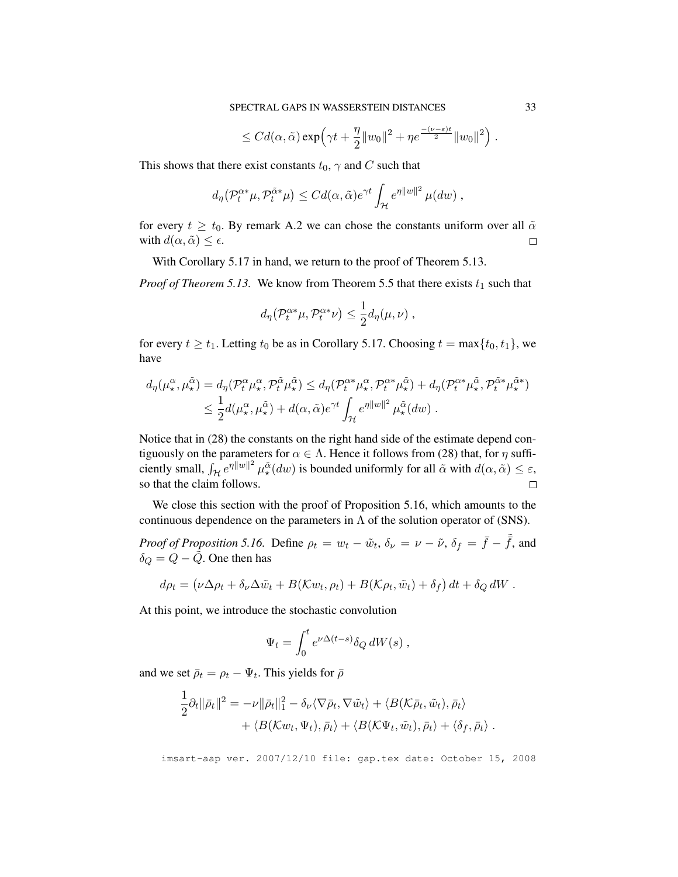$$
\leq C d(\alpha,\tilde{\alpha}) \exp\left(\gamma t + \frac{\eta}{2} ||w_0||^2 + \eta e^{\frac{-(\nu-\varepsilon)t}{2}} ||w_0||^2\right).
$$

This shows that there exist constants  $t_0$ ,  $\gamma$  and C such that

$$
d_{\eta}(\mathcal{P}_t^{\alpha*}\mu, \mathcal{P}_t^{\tilde{\alpha}*}\mu) \leq C d(\alpha, \tilde{\alpha}) e^{\gamma t} \int_{\mathcal{H}} e^{\eta ||w||^2} \mu(dw) ,
$$

for every  $t \geq t_0$ . By remark A.2 we can chose the constants uniform over all  $\tilde{\alpha}$ with  $d(\alpha, \tilde{\alpha}) \leq \epsilon$ .  $\Box$ 

With Corollary 5.17 in hand, we return to the proof of Theorem 5.13.

*Proof of Theorem 5.13.* We know from Theorem 5.5 that there exists  $t_1$  such that

$$
d_{\eta}(\mathcal{P}_t^{\alpha*}\mu, \mathcal{P}_t^{\alpha*}\nu) \leq \frac{1}{2}d_{\eta}(\mu, \nu) ,
$$

for every  $t \ge t_1$ . Letting  $t_0$  be as in Corollary 5.17. Choosing  $t = \max\{t_0, t_1\}$ , we have

$$
d_{\eta}(\mu_{\star}^{\alpha}, \mu_{\star}^{\tilde{\alpha}}) = d_{\eta}(\mathcal{P}_{t}^{\alpha} \mu_{\star}^{\alpha}, \mathcal{P}_{t}^{\tilde{\alpha}} \mu_{\star}^{\tilde{\alpha}}) \leq d_{\eta}(\mathcal{P}_{t}^{\alpha*} \mu_{\star}^{\alpha}, \mathcal{P}_{t}^{\alpha*} \mu_{\star}^{\tilde{\alpha}}) + d_{\eta}(\mathcal{P}_{t}^{\alpha*} \mu_{\star}^{\tilde{\alpha}}, \mathcal{P}_{t}^{\tilde{\alpha}*} \mu_{\star}^{\tilde{\alpha}})
$$
  

$$
\leq \frac{1}{2} d(\mu_{\star}^{\alpha}, \mu_{\star}^{\tilde{\alpha}}) + d(\alpha, \tilde{\alpha}) e^{\gamma t} \int_{\mathcal{H}} e^{\eta ||w||^{2}} \mu_{\star}^{\tilde{\alpha}}(dw).
$$

Notice that in (28) the constants on the right hand side of the estimate depend contiguously on the parameters for  $\alpha \in \Lambda$ . Hence it follows from (28) that, for  $\eta$  sufficiently small,  $\int_{\mathcal{H}} e^{\eta ||w||^2} \mu^{\alpha}_{\star}(dw)$  is bounded uniformly for all  $\tilde{\alpha}$  with  $d(\alpha, \tilde{\alpha}) \leq \varepsilon$ , so that the claim follows.  $\Box$ 

We close this section with the proof of Proposition 5.16, which amounts to the continuous dependence on the parameters in  $\Lambda$  of the solution operator of (SNS).

*Proof of Proposition 5.16.* Define  $\rho_t = w_t - \tilde{w}_t$ ,  $\delta_{\nu} = \nu - \tilde{\nu}$ ,  $\delta_f = \bar{f} - \tilde{f}$ , and  $\delta_Q = Q - Q$ . One then has

$$
d\rho_t = (\nu \Delta \rho_t + \delta_\nu \Delta \tilde{w}_t + B(\mathcal{K}w_t, \rho_t) + B(\mathcal{K} \rho_t, \tilde{w}_t) + \delta_f) dt + \delta_Q dW.
$$

At this point, we introduce the stochastic convolution

$$
\Psi_t = \int_0^t e^{\nu \Delta (t-s)} \delta_Q dW(s) ,
$$

and we set  $\bar{\rho}_t = \rho_t - \Psi_t$ . This yields for  $\bar{\rho}$ 

$$
\frac{1}{2}\partial_t \|\bar{\rho}_t\|^2 = -\nu \|\bar{\rho}_t\|_1^2 - \delta_\nu \langle \nabla \bar{\rho}_t, \nabla \tilde{w}_t \rangle + \langle B(\mathcal{K}\bar{\rho}_t, \tilde{w}_t), \bar{\rho}_t \rangle + \langle B(\mathcal{K}w_t, \Psi_t), \bar{\rho}_t \rangle + \langle B(\mathcal{K}\Psi_t, \tilde{w}_t), \bar{\rho}_t \rangle + \langle \delta_f, \bar{\rho}_t \rangle.
$$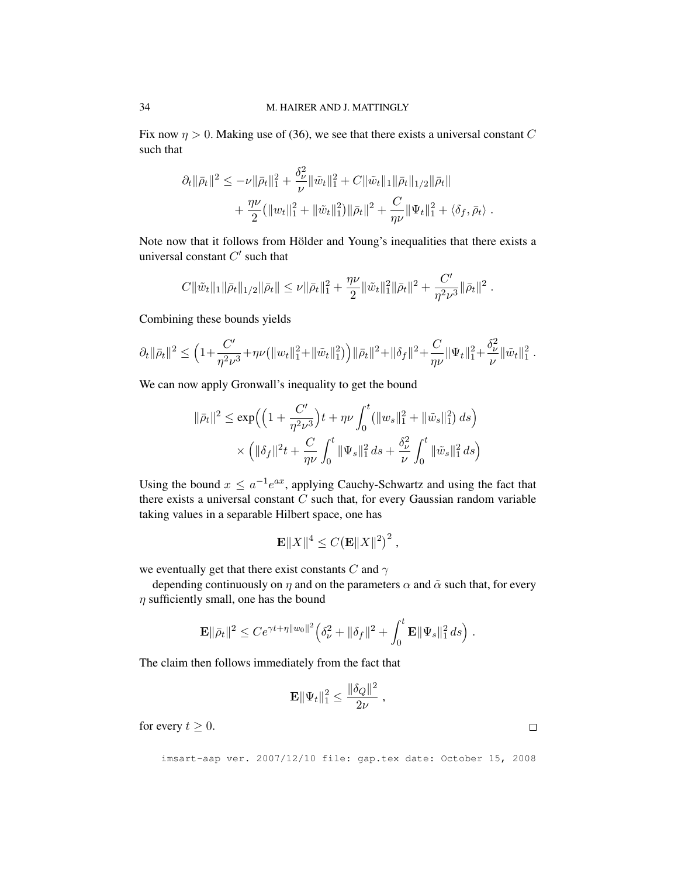Fix now  $\eta > 0$ . Making use of (36), we see that there exists a universal constant C such that

$$
\partial_t \|\bar{\rho}_t\|^2 \leq -\nu \|\bar{\rho}_t\|_1^2 + \frac{\delta_\nu^2}{\nu} \|\tilde{w}_t\|_1^2 + C \|\tilde{w}_t\|_1 \|\bar{\rho}_t\|_{1/2} \|\bar{\rho}_t\| + \frac{\eta \nu}{2} (\|w_t\|_1^2 + \|\tilde{w}_t\|_1^2) \|\bar{\rho}_t\|^2 + \frac{C}{\eta \nu} \|\Psi_t\|_1^2 + \langle \delta_f, \bar{\rho}_t \rangle .
$$

Note now that it follows from Hölder and Young's inequalities that there exists a universal constant  $C'$  such that

$$
C \|\tilde{w}_t\|_1 \|\bar{\rho}_t\|_{1/2} \|\bar{\rho}_t\| \leq \nu \|\bar{\rho}_t\|_1^2 + \frac{\eta \nu}{2} \|\tilde{w}_t\|_1^2 \|\bar{\rho}_t\|^2 + \frac{C'}{\eta^2 \nu^3} \|\bar{\rho}_t\|^2.
$$

Combining these bounds yields

$$
\partial_t \|\bar{\rho}_t\|^2 \leq \Big(1+\frac{C'}{\eta^2\nu^3}+\eta\nu\big(\|w_t\|_1^2+\|\tilde{w}_t\|_1^2\big)\Big)\|\bar{\rho}_t\|^2+\|\delta_f\|^2+\frac{C}{\eta\nu}\|\Psi_t\|_1^2+\frac{\delta_\nu^2}{\nu}\|\tilde{w}_t\|_1^2
$$

We can now apply Gronwall's inequality to get the bound

$$
\|\bar{\rho}_t\|^2 \le \exp\Big( \Big(1 + \frac{C'}{\eta^2 \nu^3}\Big) t + \eta \nu \int_0^t \left( \|w_s\|_1^2 + \|\tilde{w}_s\|_1^2 \right) ds \Big) \times \Big( \|\delta_f\|^2 t + \frac{C}{\eta \nu} \int_0^t \|\Psi_s\|_1^2 ds + \frac{\delta_{\nu}^2}{\nu} \int_0^t \|\tilde{w}_s\|_1^2 ds \Big)
$$

Using the bound  $x \leq a^{-1}e^{ax}$ , applying Cauchy-Schwartz and using the fact that there exists a universal constant  $C$  such that, for every Gaussian random variable taking values in a separable Hilbert space, one has

$$
\mathbf{E}||X||^4 \leq C \big(\mathbf{E}||X||^2\big)^2,
$$

we eventually get that there exist constants C and  $\gamma$ 

depending continuously on  $\eta$  and on the parameters  $\alpha$  and  $\tilde{\alpha}$  such that, for every  $\eta$  sufficiently small, one has the bound

$$
\mathbf{E} \|\bar{\rho}_t\|^2 \leq Ce^{\gamma t + \eta \|w_0\|^2} \Big(\delta_\nu^2 + \|\delta_f\|^2 + \int_0^t \mathbf{E} \|\Psi_s\|_1^2 ds\Big).
$$

The claim then follows immediately from the fact that

$$
\mathbf{E} \|\Psi_t\|_1^2 \leq \frac{\|\delta_Q\|^2}{2\nu} \;,
$$

for every  $t \geq 0$ .

imsart-aap ver. 2007/12/10 file: gap.tex date: October 15, 2008

.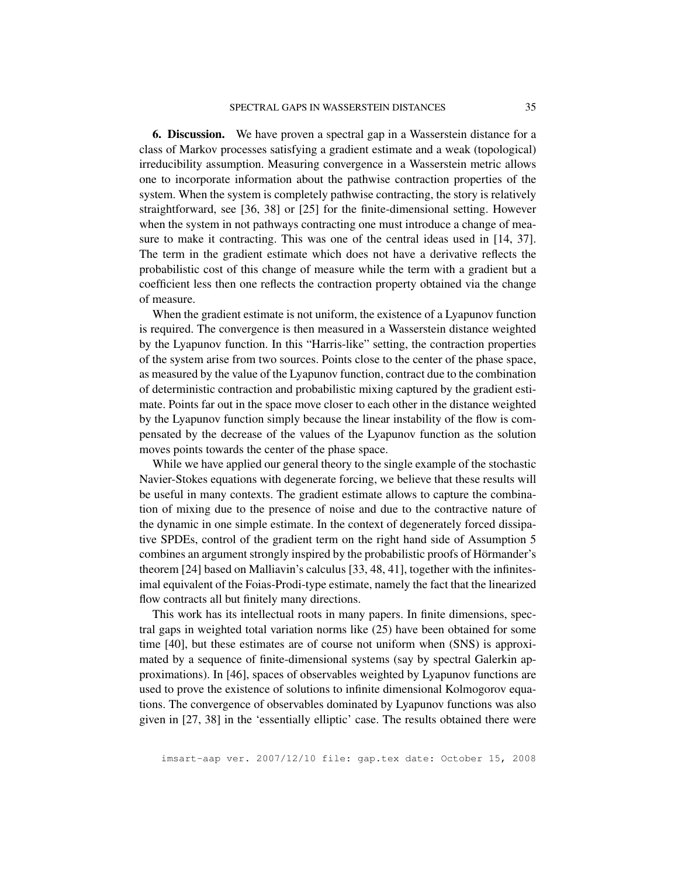6. Discussion. We have proven a spectral gap in a Wasserstein distance for a class of Markov processes satisfying a gradient estimate and a weak (topological) irreducibility assumption. Measuring convergence in a Wasserstein metric allows one to incorporate information about the pathwise contraction properties of the system. When the system is completely pathwise contracting, the story is relatively straightforward, see [36, 38] or [25] for the finite-dimensional setting. However when the system in not pathways contracting one must introduce a change of measure to make it contracting. This was one of the central ideas used in [14, 37]. The term in the gradient estimate which does not have a derivative reflects the probabilistic cost of this change of measure while the term with a gradient but a coefficient less then one reflects the contraction property obtained via the change of measure.

When the gradient estimate is not uniform, the existence of a Lyapunov function is required. The convergence is then measured in a Wasserstein distance weighted by the Lyapunov function. In this "Harris-like" setting, the contraction properties of the system arise from two sources. Points close to the center of the phase space, as measured by the value of the Lyapunov function, contract due to the combination of deterministic contraction and probabilistic mixing captured by the gradient estimate. Points far out in the space move closer to each other in the distance weighted by the Lyapunov function simply because the linear instability of the flow is compensated by the decrease of the values of the Lyapunov function as the solution moves points towards the center of the phase space.

While we have applied our general theory to the single example of the stochastic Navier-Stokes equations with degenerate forcing, we believe that these results will be useful in many contexts. The gradient estimate allows to capture the combination of mixing due to the presence of noise and due to the contractive nature of the dynamic in one simple estimate. In the context of degenerately forced dissipative SPDEs, control of the gradient term on the right hand side of Assumption 5 combines an argument strongly inspired by the probabilistic proofs of Hörmander's theorem [24] based on Malliavin's calculus [33, 48, 41], together with the infinitesimal equivalent of the Foias-Prodi-type estimate, namely the fact that the linearized flow contracts all but finitely many directions.

This work has its intellectual roots in many papers. In finite dimensions, spectral gaps in weighted total variation norms like (25) have been obtained for some time [40], but these estimates are of course not uniform when (SNS) is approximated by a sequence of finite-dimensional systems (say by spectral Galerkin approximations). In [46], spaces of observables weighted by Lyapunov functions are used to prove the existence of solutions to infinite dimensional Kolmogorov equations. The convergence of observables dominated by Lyapunov functions was also given in [27, 38] in the 'essentially elliptic' case. The results obtained there were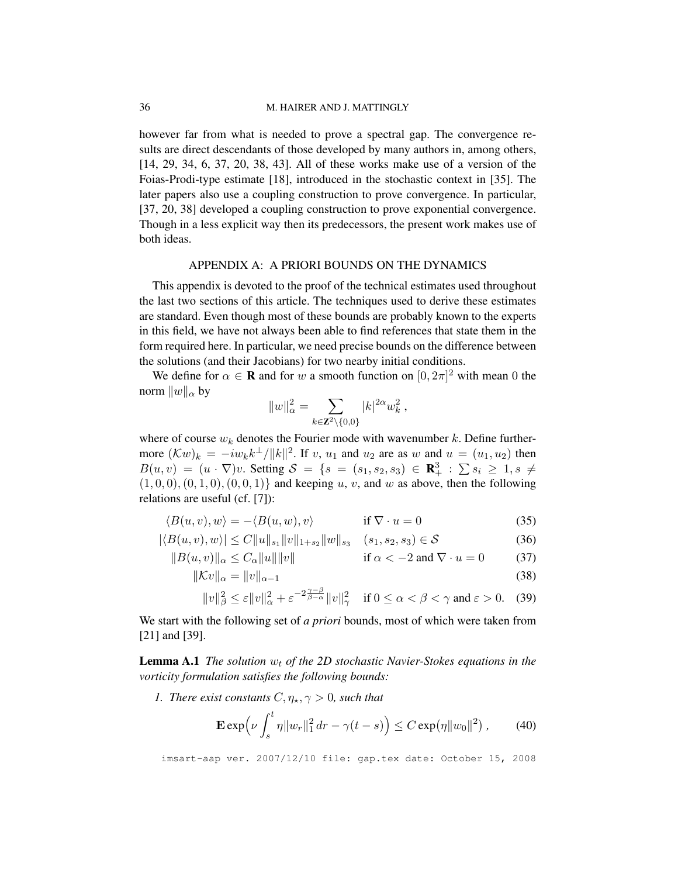however far from what is needed to prove a spectral gap. The convergence results are direct descendants of those developed by many authors in, among others, [14, 29, 34, 6, 37, 20, 38, 43]. All of these works make use of a version of the Foias-Prodi-type estimate [18], introduced in the stochastic context in [35]. The later papers also use a coupling construction to prove convergence. In particular, [37, 20, 38] developed a coupling construction to prove exponential convergence. Though in a less explicit way then its predecessors, the present work makes use of both ideas.

## APPENDIX A: A PRIORI BOUNDS ON THE DYNAMICS

This appendix is devoted to the proof of the technical estimates used throughout the last two sections of this article. The techniques used to derive these estimates are standard. Even though most of these bounds are probably known to the experts in this field, we have not always been able to find references that state them in the form required here. In particular, we need precise bounds on the difference between the solutions (and their Jacobians) for two nearby initial conditions.

We define for  $\alpha \in \mathbf{R}$  and for w a smooth function on  $[0, 2\pi]^2$  with mean 0 the norm  $||w||_{\alpha}$  by

$$
||w||_{\alpha}^{2} = \sum_{k \in \mathbf{Z}^{2} \setminus \{0,0\}} |k|^{2\alpha} w_{k}^{2},
$$

where of course  $w_k$  denotes the Fourier mode with wavenumber k. Define furthermore  $(\mathcal{K}w)_k = -iw_k k^{\perp}/||k||^2$ . If v,  $u_1$  and  $u_2$  are as w and  $u = (u_1, u_2)$  then  $B(u, v) = (u \cdot \nabla)v$ . Setting  $S = \{s = (s_1, s_2, s_3) \in \mathbb{R}^3_+ : \sum s_i \geq 1, s \neq 0\}$  $(1, 0, 0), (0, 1, 0), (0, 0, 1)$  and keeping u, v, and w as above, then the following relations are useful (cf. [7]):

$$
\langle B(u, v), w \rangle = -\langle B(u, w), v \rangle \qquad \text{if } \nabla \cdot u = 0 \tag{35}
$$

$$
|\langle B(u,v),w\rangle| \le C||u||_{s_1}||v||_{1+s_2}||w||_{s_3} \quad (s_1,s_2,s_3) \in \mathcal{S}
$$
\n(36)

$$
||B(u, v)||_{\alpha} \le C_{\alpha} ||u|| ||v|| \qquad \text{if } \alpha < -2 \text{ and } \nabla \cdot u = 0 \qquad (37)
$$

$$
\|\mathcal{K}v\|_{\alpha} = \|v\|_{\alpha-1} \tag{38}
$$

$$
||v||_{\beta}^{2} \leq \varepsilon ||v||_{\alpha}^{2} + \varepsilon^{-2\frac{\gamma-\beta}{\beta-\alpha}} ||v||_{\gamma}^{2} \quad \text{if } 0 \leq \alpha < \beta < \gamma \text{ and } \varepsilon > 0. \tag{39}
$$

We start with the following set of *a priori* bounds, most of which were taken from [21] and [39].

**Lemma A.1** *The solution*  $w_t$  *of the 2D stochastic Navier-Stokes equations in the vorticity formulation satisfies the following bounds:*

*1. There exist constants*  $C, \eta_{\star}, \gamma > 0$ *, such that* 

$$
\mathbf{E} \exp \left( \nu \int_s^t \eta \|w_r\|_1^2 dr - \gamma(t-s) \right) \le C \exp(\eta \|w_0\|^2) , \tag{40}
$$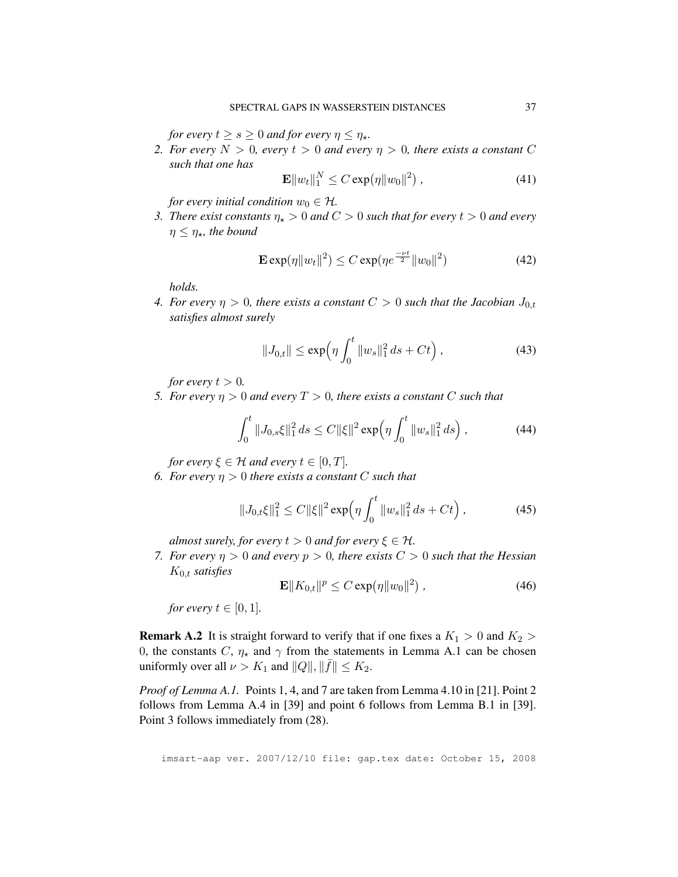*for every*  $t \geq s \geq 0$  *and for every*  $\eta \leq \eta_{\star}$ *.* 

*2. For every*  $N > 0$ , every  $t > 0$  and every  $\eta > 0$ , there exists a constant C *such that one has*

$$
\mathbf{E} \|w_t\|_1^N \le C \exp(\eta \|w_0\|^2) \,, \tag{41}
$$

*for every initial condition*  $w_0 \in \mathcal{H}$ .

*3. There exist constants*  $\eta_{\star} > 0$  *and*  $C > 0$  *such that for every*  $t > 0$  *and every*  $\eta \leq \eta_{\star}$ , the bound

$$
\mathbf{E} \exp(\eta \|w_t\|^2) \le C \exp(\eta e^{\frac{-\nu t}{2}} \|w_0\|^2)
$$
 (42)

*holds.*

*4. For every*  $\eta > 0$ , there exists a constant  $C > 0$  such that the Jacobian  $J_{0,t}$ *satisfies almost surely*

$$
||J_{0,t}|| \le \exp\left(\eta \int_0^t ||w_s||_1^2 ds + Ct\right), \tag{43}
$$

*for every*  $t > 0$ *.* 

*5. For every*  $\eta > 0$  *and every*  $T > 0$ *, there exists a constant* C *such that* 

$$
\int_0^t \|J_{0,s}\xi\|_1^2 ds \le C \|\xi\|^2 \exp\left(\eta \int_0^t \|w_s\|_1^2 ds\right),\tag{44}
$$

*for every*  $\xi \in \mathcal{H}$  *and every*  $t \in [0, T]$ *.* 

*6. For every*  $\eta > 0$  *there exists a constant C such that* 

$$
||J_{0,t}\xi||_1^2 \le C ||\xi||^2 \exp\left(\eta \int_0^t ||w_s||_1^2 ds + Ct\right),\tag{45}
$$

*almost surely, for every*  $t > 0$  *and for every*  $\xi \in H$ .

*7. For every*  $\eta > 0$  *and every*  $p > 0$ *, there exists*  $C > 0$  *such that the Hessian* K0,t *satisfies*

$$
\mathbf{E} \| K_{0,t} \|^p \le C \exp(\eta \| w_0 \|^2) \,, \tag{46}
$$

*for every*  $t \in [0, 1]$ *.* 

**Remark A.2** It is straight forward to verify that if one fixes a  $K_1 > 0$  and  $K_2 > 0$ 0, the constants C,  $\eta_{\star}$  and  $\gamma$  from the statements in Lemma A.1 can be chosen uniformly over all  $\nu > K_1$  and  $||Q||, ||\overline{f}|| \leq K_2$ .

*Proof of Lemma A.1.* Points 1, 4, and 7 are taken from Lemma 4.10 in [21]. Point 2 follows from Lemma A.4 in [39] and point 6 follows from Lemma B.1 in [39]. Point 3 follows immediately from (28).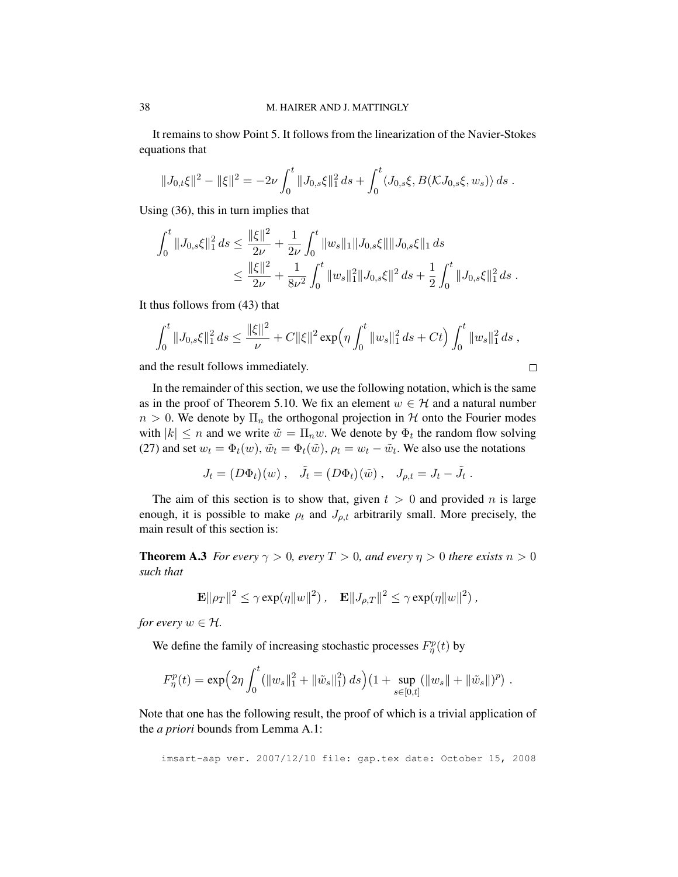It remains to show Point 5. It follows from the linearization of the Navier-Stokes equations that

$$
||J_{0,t}\xi||^2 - ||\xi||^2 = -2\nu \int_0^t ||J_{0,s}\xi||_1^2 ds + \int_0^t \langle J_{0,s}\xi, B(\mathcal{K}J_{0,s}\xi, w_s) \rangle ds.
$$

Using (36), this in turn implies that

$$
\int_0^t \|J_{0,s}\xi\|_1^2 ds \le \frac{\|\xi\|^2}{2\nu} + \frac{1}{2\nu} \int_0^t \|w_s\|_1 \|J_{0,s}\xi\| \|J_{0,s}\xi\|_1 ds
$$
  

$$
\le \frac{\|\xi\|^2}{2\nu} + \frac{1}{8\nu^2} \int_0^t \|w_s\|_1^2 \|J_{0,s}\xi\|^2 ds + \frac{1}{2} \int_0^t \|J_{0,s}\xi\|_1^2 ds.
$$

It thus follows from (43) that

$$
\int_0^t \|J_{0,s}\xi\|_1^2 ds \leq \frac{\|\xi\|^2}{\nu} + C\|\xi\|^2 \exp\left(\eta \int_0^t \|w_s\|_1^2 ds + Ct\right) \int_0^t \|w_s\|_1^2 ds,
$$

 $\Box$ 

and the result follows immediately.

In the remainder of this section, we use the following notation, which is the same  
as in the proof of Theorem 5.10. We fix an element 
$$
w \in \mathcal{H}
$$
 and a natural number  
 $n > 0$ . We denote by  $\Pi_n$  the orthogonal projection in  $\mathcal{H}$  onto the Fourier modes  
with  $|k| \le n$  and we write  $\tilde{w} = \Pi_n w$ . We denote by  $\Phi_t$  the random flow solving  
(27) and set  $w_t = \Phi_t(w)$ ,  $\tilde{w}_t = \Phi_t(\tilde{w})$ ,  $\rho_t = w_t - \tilde{w}_t$ . We also use the notations

$$
J_t = (D\Phi_t)(w) , \quad \tilde{J}_t = (D\Phi_t)(\tilde{w}) , \quad J_{\rho,t} = J_t - \tilde{J}_t .
$$

The aim of this section is to show that, given  $t > 0$  and provided n is large enough, it is possible to make  $\rho_t$  and  $J_{\rho,t}$  arbitrarily small. More precisely, the main result of this section is:

**Theorem A.3** *For every*  $\gamma > 0$ *, every*  $T > 0$ *, and every*  $\eta > 0$  *there exists*  $n > 0$ *such that*

$$
\mathbf{E} \|\rho_T\|^2 \leq \gamma \exp(\eta \|w\|^2) , \quad \mathbf{E} \|J_{\rho,T}\|^2 \leq \gamma \exp(\eta \|w\|^2) ,
$$

*for every*  $w \in \mathcal{H}$ *.* 

We define the family of increasing stochastic processes  $F_{\eta}^{p}(t)$  by

$$
F_{\eta}^{p}(t) = \exp\Bigl(2\eta \int_0^t (\|w_s\|_1^2 + \|\tilde{w}_s\|_1^2) ds\Bigr) \bigl(1 + \sup_{s \in [0,t]} (\|w_s\| + \|\tilde{w}_s\|)^p \bigr) .
$$

Note that one has the following result, the proof of which is a trivial application of the *a priori* bounds from Lemma A.1: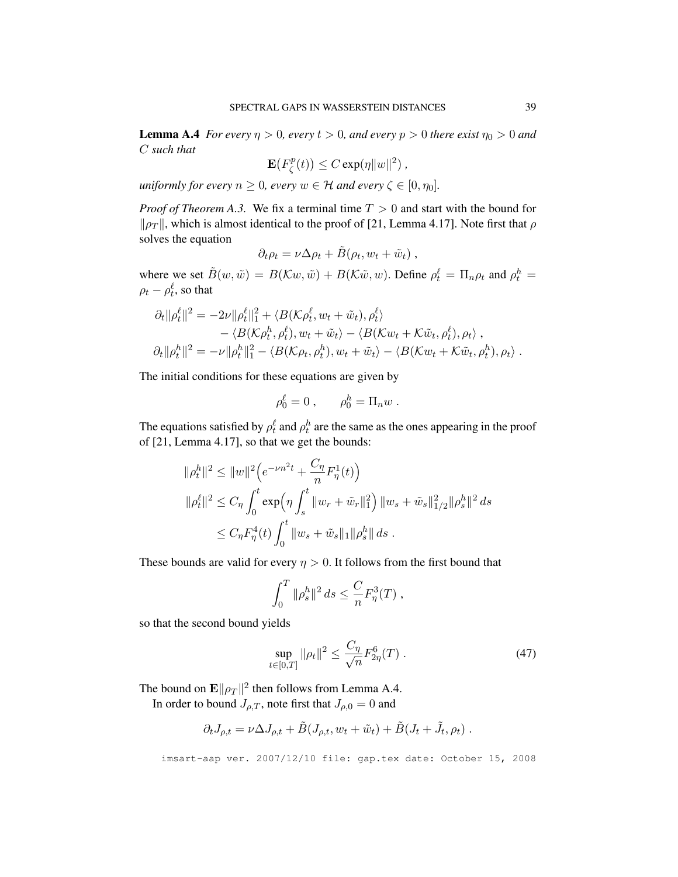**Lemma A.4** *For every*  $\eta > 0$ *, every*  $t > 0$ *, and every*  $p > 0$  *there exist*  $\eta_0 > 0$  *and* C *such that*

$$
\mathbf{E}(F_{\zeta}^p(t)) \leq C \exp(\eta \|w\|^2),
$$

*uniformly for every*  $n \geq 0$ *, every*  $w \in \mathcal{H}$  *and every*  $\zeta \in [0, \eta_0]$ *.* 

*Proof of Theorem A.3.* We fix a terminal time  $T > 0$  and start with the bound for  $\|\rho_T\|$ , which is almost identical to the proof of [21, Lemma 4.17]. Note first that  $\rho$ solves the equation

$$
\partial_t \rho_t = \nu \Delta \rho_t + \tilde{B}(\rho_t, w_t + \tilde{w}_t) ,
$$

where we set  $\tilde{B}(w, \tilde{w}) = B(\mathcal{K}w, \tilde{w}) + B(\mathcal{K}\tilde{w}, w)$ . Define  $\rho_t^{\ell} = \prod_n \rho_t$  and  $\rho_t^h =$  $\rho_t - \rho_t^\ell$ , so that

$$
\partial_t \|\rho_t^{\ell}\|^2 = -2\nu \|\rho_t^{\ell}\|^2_1 + \langle B(\mathcal{K}\rho_t^{\ell}, w_t + \tilde{w}_t), \rho_t^{\ell}\rangle \n- \langle B(\mathcal{K}\rho_t^h, \rho_t^{\ell}), w_t + \tilde{w}_t\rangle - \langle B(\mathcal{K}w_t + \mathcal{K}\tilde{w}_t, \rho_t^{\ell}), \rho_t\rangle ,\n\partial_t \|\rho_t^h\|^2 = -\nu \|\rho_t^h\|^2_1 - \langle B(\mathcal{K}\rho_t, \rho_t^h), w_t + \tilde{w}_t\rangle - \langle B(\mathcal{K}w_t + \mathcal{K}\tilde{w}_t, \rho_t^h), \rho_t\rangle .
$$

The initial conditions for these equations are given by

$$
\rho_0^{\ell} = 0 , \qquad \rho_0^h = \Pi_n w .
$$

The equations satisfied by  $\rho_t^{\ell}$  and  $\rho_t^h$  are the same as the ones appearing in the proof of [21, Lemma 4.17], so that we get the bounds:

$$
\begin{aligned} \|\rho_t^h\|^2 &\le \|w\|^2 \Big(e^{-\nu n^2 t}+ \frac{C_\eta}{n} F_\eta^1(t)\Big) \\ \|\rho_t^\ell\|^2 &\le C_\eta \int_0^t \exp\Bigl(\eta \int_s^t \|w_r + \tilde{w}_r\|_1^2\Bigr) \|w_s + \tilde{w}_s\|_{1/2}^2 \|\rho_s^h\|^2 ds \\ &\le C_\eta F_\eta^4(t) \int_0^t \|w_s + \tilde{w}_s\|_1 \|\rho_s^h\| ds \ . \end{aligned}
$$

These bounds are valid for every  $\eta > 0$ . It follows from the first bound that

$$
\int_0^T \|\rho_s^h\|^2 ds \leq \frac{C}{n} F_\eta^3(T) ,
$$

so that the second bound yields

$$
\sup_{t \in [0,T]} \|\rho_t\|^2 \le \frac{C_\eta}{\sqrt{n}} F_{2\eta}^6(T) \ . \tag{47}
$$

The bound on  $\mathbf{E} \|\rho_T\|^2$  then follows from Lemma A.4.

In order to bound  $J_{\rho,T}$ , note first that  $J_{\rho,0} = 0$  and

$$
\partial_t J_{\rho,t} = \nu \Delta J_{\rho,t} + \tilde{B}(J_{\rho,t}, w_t + \tilde{w}_t) + \tilde{B}(J_t + \tilde{J}_t, \rho_t) .
$$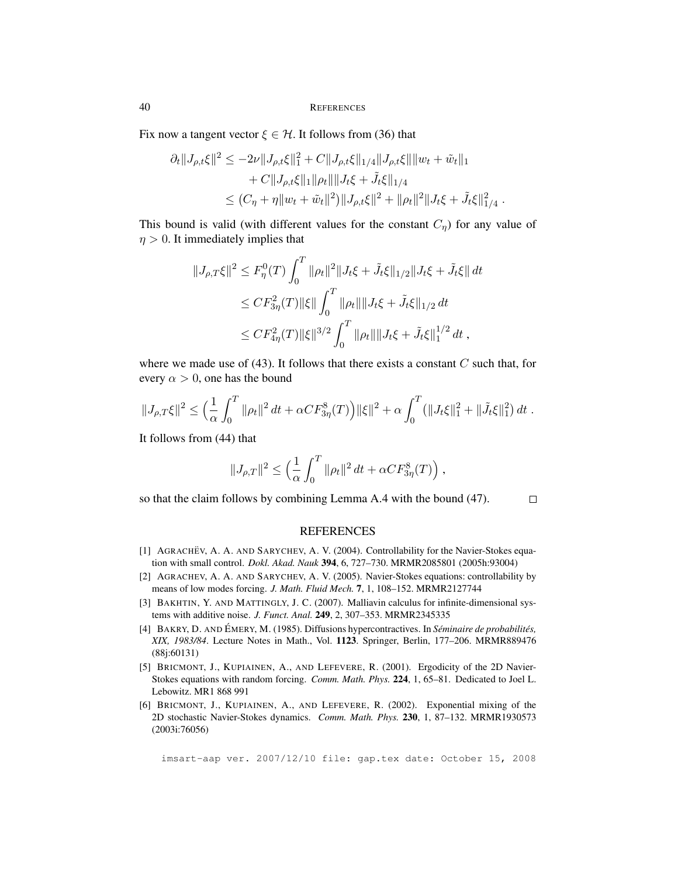Fix now a tangent vector  $\xi \in \mathcal{H}$ . It follows from (36) that

$$
\partial_t ||J_{\rho,t}\xi||^2 \le -2\nu ||J_{\rho,t}\xi||_1^2 + C||J_{\rho,t}\xi||_{1/4}||J_{\rho,t}\xi|| ||w_t + \tilde{w}_t||_1 + C||J_{\rho,t}\xi||_1||\rho_t|| ||J_t\xi + \tilde{J}_t\xi||_{1/4} \le (C_\eta + \eta ||w_t + \tilde{w}_t||^2) ||J_{\rho,t}\xi||^2 + ||\rho_t||^2 ||J_t\xi + \tilde{J}_t\xi||_{1/4}^2.
$$

This bound is valid (with different values for the constant  $C_{\eta}$ ) for any value of  $\eta > 0$ . It immediately implies that

$$
||J_{\rho,T}\xi||^{2} \leq F_{\eta}^{0}(T) \int_{0}^{T} ||\rho_{t}||^{2} ||J_{t}\xi + \tilde{J}_{t}\xi||_{1/2} ||J_{t}\xi + \tilde{J}_{t}\xi|| dt
$$
  
\n
$$
\leq C F_{3\eta}^{2}(T) ||\xi|| \int_{0}^{T} ||\rho_{t}|| ||J_{t}\xi + \tilde{J}_{t}\xi||_{1/2} dt
$$
  
\n
$$
\leq C F_{4\eta}^{2}(T) ||\xi||^{3/2} \int_{0}^{T} ||\rho_{t}|| ||J_{t}\xi + \tilde{J}_{t}\xi||_{1}^{1/2} dt,
$$

where we made use of  $(43)$ . It follows that there exists a constant C such that, for every  $\alpha > 0$ , one has the bound

$$
||J_{\rho,T}\xi||^2 \leq \left(\frac{1}{\alpha}\int_0^T \|\rho_t\|^2 dt + \alpha C F_{3\eta}^8(T)\right) ||\xi||^2 + \alpha \int_0^T (||J_t\xi||_1^2 + ||\tilde{J}_t\xi||_1^2) dt.
$$

It follows from (44) that

$$
\|J_{\rho,T}\|^2\leq \Big(\frac{1}{\alpha}\int_0^T\|\rho_t\|^2\,dt+\alpha C F_{3\eta}^8(T)\Big)\;,
$$

so that the claim follows by combining Lemma A.4 with the bound (47).

#### $\Box$

### **REFERENCES**

- [1] AGRACHEV, A. A. AND SARYCHEV, A. V. (2004). Controllability for the Navier-Stokes equation with small control. *Dokl. Akad. Nauk* 394, 6, 727–730. MRMR2085801 (2005h:93004)
- [2] AGRACHEV, A. A. AND SARYCHEV, A. V. (2005). Navier-Stokes equations: controllability by means of low modes forcing. *J. Math. Fluid Mech.* 7, 1, 108–152. MRMR2127744
- [3] BAKHTIN, Y. AND MATTINGLY, J. C. (2007). Malliavin calculus for infinite-dimensional systems with additive noise. *J. Funct. Anal.* 249, 2, 307–353. MRMR2345335
- [4] BAKRY, D. AND ÉMERY, M. (1985). Diffusions hypercontractives. In *Séminaire de probabilités*, *XIX, 1983/84*. Lecture Notes in Math., Vol. 1123. Springer, Berlin, 177–206. MRMR889476 (88j:60131)
- [5] BRICMONT, J., KUPIAINEN, A., AND LEFEVERE, R. (2001). Ergodicity of the 2D Navier-Stokes equations with random forcing. *Comm. Math. Phys.* 224, 1, 65–81. Dedicated to Joel L. Lebowitz. MR1 868 991
- [6] BRICMONT, J., KUPIAINEN, A., AND LEFEVERE, R. (2002). Exponential mixing of the 2D stochastic Navier-Stokes dynamics. *Comm. Math. Phys.* 230, 1, 87–132. MRMR1930573 (2003i:76056)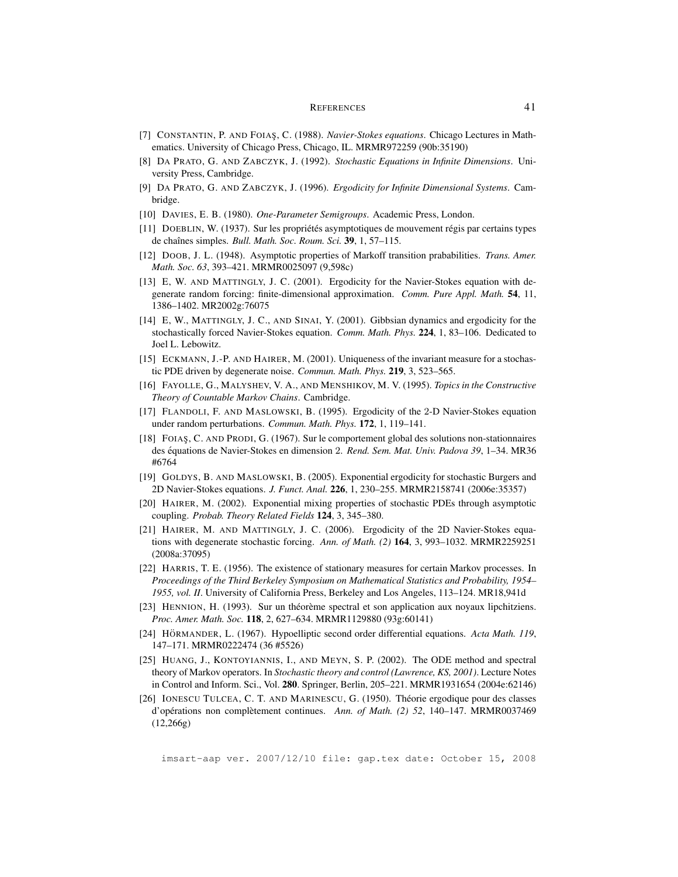- [7] CONSTANTIN, P. AND FOIAS¸, C. (1988). *Navier-Stokes equations*. Chicago Lectures in Mathematics. University of Chicago Press, Chicago, IL. MRMR972259 (90b:35190)
- [8] DA PRATO, G. AND ZABCZYK, J. (1992). *Stochastic Equations in Infinite Dimensions*. University Press, Cambridge.
- [9] DA PRATO, G. AND ZABCZYK, J. (1996). *Ergodicity for Infinite Dimensional Systems*. Cambridge.
- [10] DAVIES, E. B. (1980). *One-Parameter Semigroups*. Academic Press, London.
- $[11]$  DOEBLIN, W. (1937). Sur les propriétés asymptotiques de mouvement régis par certains types de chaˆınes simples. *Bull. Math. Soc. Roum. Sci.* 39, 1, 57–115.
- [12] DOOB, J. L. (1948). Asymptotic properties of Markoff transition prababilities. *Trans. Amer. Math. Soc. 63*, 393–421. MRMR0025097 (9,598c)
- [13] E, W. AND MATTINGLY, J. C. (2001). Ergodicity for the Navier-Stokes equation with degenerate random forcing: finite-dimensional approximation. *Comm. Pure Appl. Math.* 54, 11, 1386–1402. MR2002g:76075
- [14] E, W., MATTINGLY, J. C., AND SINAI, Y. (2001). Gibbsian dynamics and ergodicity for the stochastically forced Navier-Stokes equation. *Comm. Math. Phys.* 224, 1, 83–106. Dedicated to Joel L. Lebowitz.
- [15] ECKMANN, J.-P. AND HAIRER, M. (2001). Uniqueness of the invariant measure for a stochastic PDE driven by degenerate noise. *Commun. Math. Phys.* 219, 3, 523–565.
- [16] FAYOLLE, G., MALYSHEV, V. A., AND MENSHIKOV, M. V. (1995). *Topics in the Constructive Theory of Countable Markov Chains*. Cambridge.
- [17] FLANDOLI, F. AND MASLOWSKI, B. (1995). Ergodicity of the 2-D Navier-Stokes equation under random perturbations. *Commun. Math. Phys.* 172, 1, 119–141.
- [18] FOIAS¸, C. AND PRODI, G. (1967). Sur le comportement global des solutions non-stationnaires des équations de Navier-Stokes en dimension 2. *Rend. Sem. Mat. Univ. Padova 39*, 1–34. MR36 #6764
- [19] GOLDYS, B. AND MASLOWSKI, B. (2005). Exponential ergodicity for stochastic Burgers and 2D Navier-Stokes equations. *J. Funct. Anal.* 226, 1, 230–255. MRMR2158741 (2006e:35357)
- [20] HAIRER, M. (2002). Exponential mixing properties of stochastic PDEs through asymptotic coupling. *Probab. Theory Related Fields* 124, 3, 345–380.
- [21] HAIRER, M. AND MATTINGLY, J. C. (2006). Ergodicity of the 2D Navier-Stokes equations with degenerate stochastic forcing. *Ann. of Math. (2)* 164, 3, 993–1032. MRMR2259251 (2008a:37095)
- [22] HARRIS, T. E. (1956). The existence of stationary measures for certain Markov processes. In *Proceedings of the Third Berkeley Symposium on Mathematical Statistics and Probability, 1954– 1955, vol. II*. University of California Press, Berkeley and Los Angeles, 113–124. MR18,941d
- [23] HENNION, H. (1993). Sur un théorème spectral et son application aux noyaux lipchitziens. *Proc. Amer. Math. Soc.* 118, 2, 627–634. MRMR1129880 (93g:60141)
- [24] HÖRMANDER, L. (1967). Hypoelliptic second order differential equations. Acta Math. 119, 147–171. MRMR0222474 (36 #5526)
- [25] HUANG, J., KONTOYIANNIS, I., AND MEYN, S. P. (2002). The ODE method and spectral theory of Markov operators. In *Stochastic theory and control (Lawrence, KS, 2001)*. Lecture Notes in Control and Inform. Sci., Vol. 280. Springer, Berlin, 205–221. MRMR1931654 (2004e:62146)
- [26] IONESCU TULCEA, C. T. AND MARINESCU, G. (1950). Theorie ergodique pour des classes ´ d'opérations non complètement continues. Ann. of Math. (2) 52, 140-147. MRMR0037469 (12,266g)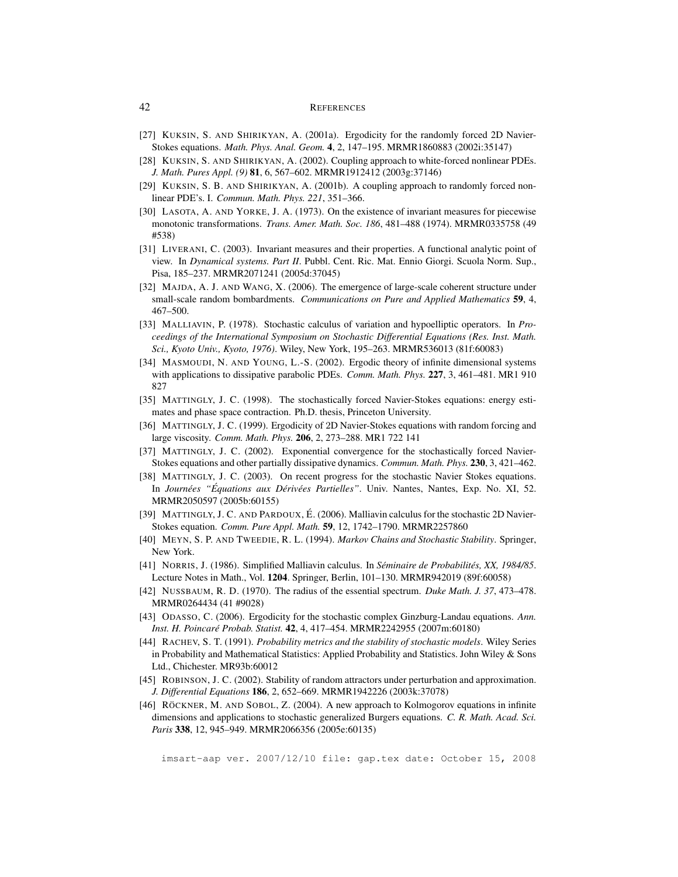- [27] KUKSIN, S. AND SHIRIKYAN, A. (2001a). Ergodicity for the randomly forced 2D Navier-Stokes equations. *Math. Phys. Anal. Geom.* 4, 2, 147–195. MRMR1860883 (2002i:35147)
- [28] KUKSIN, S. AND SHIRIKYAN, A. (2002). Coupling approach to white-forced nonlinear PDEs. *J. Math. Pures Appl. (9)* 81, 6, 567–602. MRMR1912412 (2003g:37146)
- [29] KUKSIN, S. B. AND SHIRIKYAN, A. (2001b). A coupling approach to randomly forced nonlinear PDE's. I. *Commun. Math. Phys. 221*, 351–366.
- [30] LASOTA, A. AND YORKE, J. A. (1973). On the existence of invariant measures for piecewise monotonic transformations. *Trans. Amer. Math. Soc. 186*, 481–488 (1974). MRMR0335758 (49 #538)
- [31] LIVERANI, C. (2003). Invariant measures and their properties. A functional analytic point of view. In *Dynamical systems. Part II*. Pubbl. Cent. Ric. Mat. Ennio Giorgi. Scuola Norm. Sup., Pisa, 185–237. MRMR2071241 (2005d:37045)
- [32] MAJDA, A. J. AND WANG, X. (2006). The emergence of large-scale coherent structure under small-scale random bombardments. *Communications on Pure and Applied Mathematics* 59, 4, 467–500.
- [33] MALLIAVIN, P. (1978). Stochastic calculus of variation and hypoelliptic operators. In *Proceedings of the International Symposium on Stochastic Differential Equations (Res. Inst. Math. Sci., Kyoto Univ., Kyoto, 1976)*. Wiley, New York, 195–263. MRMR536013 (81f:60083)
- [34] MASMOUDI, N. AND YOUNG, L.-S. (2002). Ergodic theory of infinite dimensional systems with applications to dissipative parabolic PDEs. *Comm. Math. Phys.* 227, 3, 461–481. MR1 910 827
- [35] MATTINGLY, J. C. (1998). The stochastically forced Navier-Stokes equations: energy estimates and phase space contraction. Ph.D. thesis, Princeton University.
- [36] MATTINGLY, J. C. (1999). Ergodicity of 2D Navier-Stokes equations with random forcing and large viscosity. *Comm. Math. Phys.* 206, 2, 273–288. MR1 722 141
- [37] MATTINGLY, J. C. (2002). Exponential convergence for the stochastically forced Navier-Stokes equations and other partially dissipative dynamics. *Commun. Math. Phys.* 230, 3, 421–462.
- [38] MATTINGLY, J. C. (2003). On recent progress for the stochastic Navier Stokes equations. In *Journees " ´ Equations aux D ´ eriv ´ ees Partielles" ´* . Univ. Nantes, Nantes, Exp. No. XI, 52. MRMR2050597 (2005b:60155)
- [39] MATTINGLY, J. C. AND PARDOUX, E. (2006). Malliavin calculus for the stochastic 2D Navier- ´ Stokes equation. *Comm. Pure Appl. Math.* 59, 12, 1742–1790. MRMR2257860
- [40] MEYN, S. P. AND TWEEDIE, R. L. (1994). *Markov Chains and Stochastic Stability*. Springer, New York.
- [41] NORRIS, J. (1986). Simplified Malliavin calculus. In *Seminaire de Probabilit ´ es, XX, 1984/85 ´* . Lecture Notes in Math., Vol. 1204. Springer, Berlin, 101–130. MRMR942019 (89f:60058)
- [42] NUSSBAUM, R. D. (1970). The radius of the essential spectrum. *Duke Math. J. 37*, 473–478. MRMR0264434 (41 #9028)
- [43] ODASSO, C. (2006). Ergodicity for the stochastic complex Ginzburg-Landau equations. *Ann. Inst. H. Poincare Probab. Statist. ´* 42, 4, 417–454. MRMR2242955 (2007m:60180)
- [44] RACHEV, S. T. (1991). *Probability metrics and the stability of stochastic models*. Wiley Series in Probability and Mathematical Statistics: Applied Probability and Statistics. John Wiley & Sons Ltd., Chichester. MR93b:60012
- [45] ROBINSON, J. C. (2002). Stability of random attractors under perturbation and approximation. *J. Differential Equations* 186, 2, 652–669. MRMR1942226 (2003k:37078)
- [46] RÖCKNER, M. AND SOBOL, Z. (2004). A new approach to Kolmogorov equations in infinite dimensions and applications to stochastic generalized Burgers equations. *C. R. Math. Acad. Sci. Paris* 338, 12, 945–949. MRMR2066356 (2005e:60135)